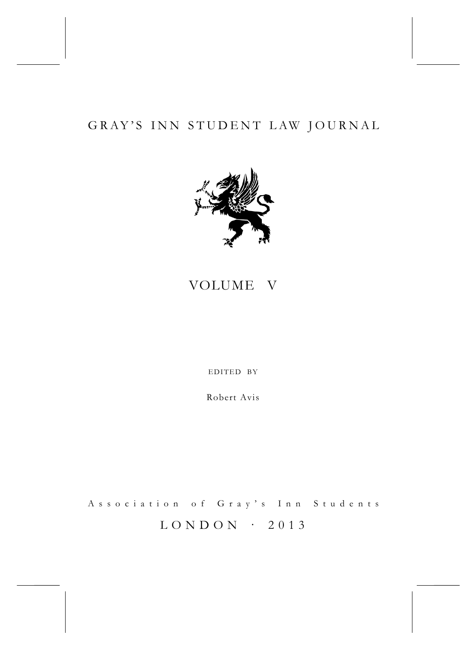# GRAY'S INN STUDENT LAW JOURNAL



# VOLUME V

EDITED BY

Robert Avis

A s s o c i a t i o n o f G r a y ' s I n n S t u d e n t s  $LO N D ON$  · 2013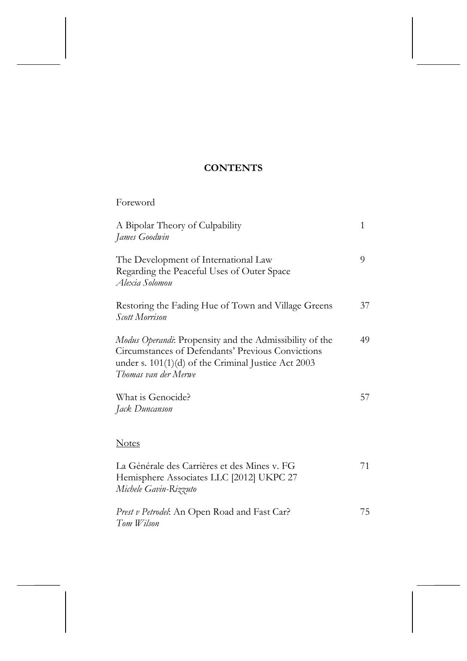## **CONTENTS**

| Foreword                                                                                                                                                                                    |              |
|---------------------------------------------------------------------------------------------------------------------------------------------------------------------------------------------|--------------|
| A Bipolar Theory of Culpability<br>James Goodwin                                                                                                                                            | $\mathbf{1}$ |
| The Development of International Law<br>Regarding the Peaceful Uses of Outer Space<br>Alexia Solomou                                                                                        | 9            |
| Restoring the Fading Hue of Town and Village Greens<br><b>Scott Morrison</b>                                                                                                                | 37           |
| Modus Operandi: Propensity and the Admissibility of the<br>Circumstances of Defendants' Previous Convictions<br>under s. 101(1)(d) of the Criminal Justice Act 2003<br>Thomas van der Merwe | 49           |
| What is Genocide?<br>Jack Duncanson                                                                                                                                                         | 57           |
| <b>Notes</b>                                                                                                                                                                                |              |
| La Générale des Carrières et des Mines v. FG<br>Hemisphere Associates LLC [2012] UKPC 27<br>Michele Gavin-Rizzuto                                                                           | 71           |
| Prest v Petrodel: An Open Road and Fast Car?<br>Tom Wilson                                                                                                                                  | 75           |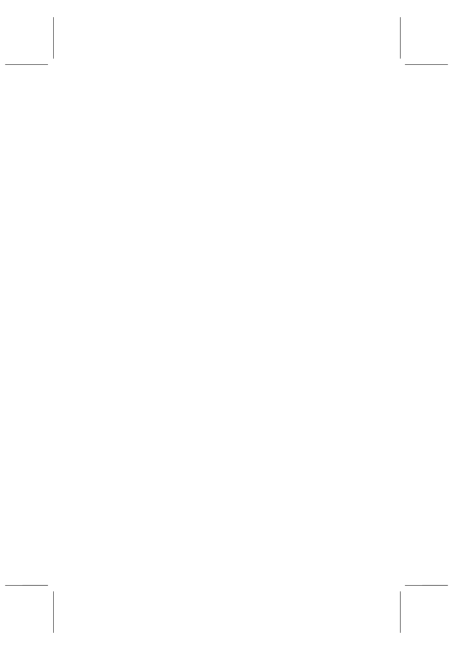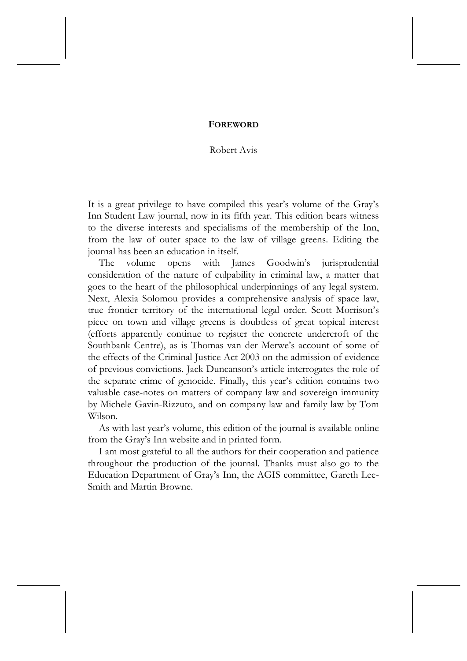#### **FOREWORD**

## Robert Avis

It is a great privilege to have compiled this year's volume of the Gray's Inn Student Law journal, now in its fifth year. This edition bears witness to the diverse interests and specialisms of the membership of the Inn, from the law of outer space to the law of village greens. Editing the journal has been an education in itself.

The volume opens with James Goodwin's jurisprudential consideration of the nature of culpability in criminal law, a matter that goes to the heart of the philosophical underpinnings of any legal system. Next, Alexia Solomou provides a comprehensive analysis of space law, true frontier territory of the international legal order. Scott Morrison's piece on town and village greens is doubtless of great topical interest (efforts apparently continue to register the concrete undercroft of the Southbank Centre), as is Thomas van der Merwe's account of some of the effects of the Criminal Justice Act 2003 on the admission of evidence of previous convictions. Jack Duncanson's article interrogates the role of the separate crime of genocide. Finally, this year's edition contains two valuable case-notes on matters of company law and sovereign immunity by Michele Gavin-Rizzuto, and on company law and family law by Tom Wilson.

As with last year's volume, this edition of the journal is available online from the Gray's Inn website and in printed form.

I am most grateful to all the authors for their cooperation and patience throughout the production of the journal. Thanks must also go to the Education Department of Gray's Inn, the AGIS committee, Gareth Lee-Smith and Martin Browne.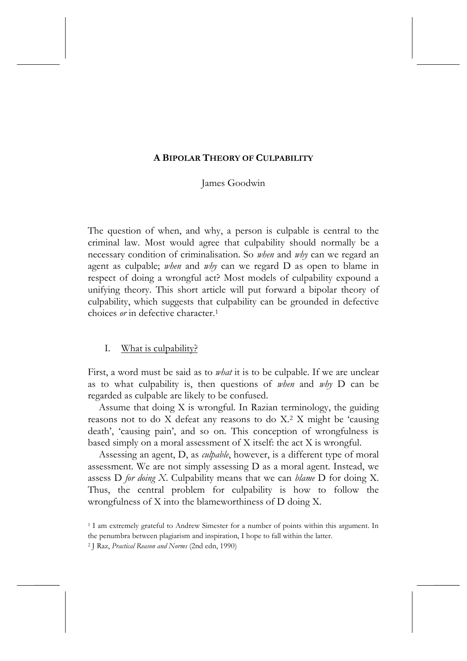## **A BIPOLAR THEORY OF CULPABILITY**

James Goodwin

The question of when, and why, a person is culpable is central to the criminal law. Most would agree that culpability should normally be a necessary condition of criminalisation. So *when* and *why* can we regard an agent as culpable; *when* and *why* can we regard D as open to blame in respect of doing a wrongful act? Most models of culpability expound a unifying theory. This short article will put forward a bipolar theory of culpability, which suggests that culpability can be grounded in defective choices *or* in defective character.<sup>1</sup>

## I. What is culpability?

First, a word must be said as to *what* it is to be culpable. If we are unclear as to what culpability is, then questions of *when* and *why* D can be regarded as culpable are likely to be confused.

Assume that doing X is wrongful. In Razian terminology, the guiding reasons not to do X defeat any reasons to do X.<sup>2</sup> X might be 'causing death', 'causing pain', and so on. This conception of wrongfulness is based simply on a moral assessment of X itself: the act X is wrongful.

Assessing an agent, D, as *culpable*, however, is a different type of moral assessment. We are not simply assessing D as a moral agent. Instead, we assess D *for doing X*. Culpability means that we can *blame* D for doing X. Thus, the central problem for culpability is how to follow the wrongfulness of X into the blameworthiness of D doing X.

<sup>&</sup>lt;sup>1</sup> I am extremely grateful to Andrew Simester for a number of points within this argument. In the penumbra between plagiarism and inspiration, I hope to fall within the latter. 2 J Raz, *Practical Reason and Norms* (2nd edn, 1990)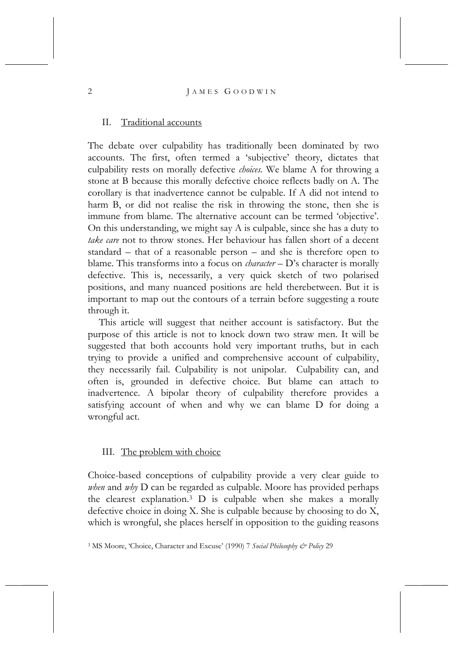## 2 J A M E S G O O D W I N

## II. Traditional accounts

The debate over culpability has traditionally been dominated by two accounts. The first, often termed a 'subjective' theory, dictates that culpability rests on morally defective *choices.* We blame A for throwing a stone at B because this morally defective choice reflects badly on A. The corollary is that inadvertence cannot be culpable. If A did not intend to harm B, or did not realise the risk in throwing the stone, then she is immune from blame. The alternative account can be termed 'objective'. On this understanding, we might say A is culpable, since she has a duty to *take care* not to throw stones. Her behaviour has fallen short of a decent standard – that of a reasonable person – and she is therefore open to blame. This transforms into a focus on *character –* D's character is morally defective. This is, necessarily, a very quick sketch of two polarised positions, and many nuanced positions are held therebetween. But it is important to map out the contours of a terrain before suggesting a route through it.

This article will suggest that neither account is satisfactory. But the purpose of this article is not to knock down two straw men. It will be suggested that both accounts hold very important truths, but in each trying to provide a unified and comprehensive account of culpability, they necessarily fail. Culpability is not unipolar. Culpability can, and often is, grounded in defective choice. But blame can attach to inadvertence. A bipolar theory of culpability therefore provides a satisfying account of when and why we can blame D for doing a wrongful act.

## III. The problem with choice

Choice-based conceptions of culpability provide a very clear guide to *when* and *why* D can be regarded as culpable. Moore has provided perhaps the clearest explanation.<sup>3</sup> D is culpable when she makes a morally defective choice in doing X. She is culpable because by choosing to do X, which is wrongful, she places herself in opposition to the guiding reasons

<sup>3</sup> MS Moore, 'Choice, Character and Excuse' (1990) 7 *Social Philosophy & Policy* 29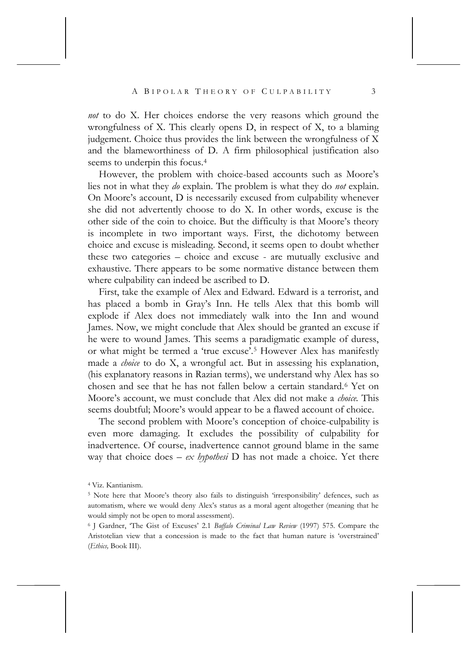#### A BIPOLAR THEORY OF CULPABILITY 3

*not* to do X. Her choices endorse the very reasons which ground the wrongfulness of X. This clearly opens D, in respect of X, to a blaming judgement. Choice thus provides the link between the wrongfulness of X and the blameworthiness of D. A firm philosophical justification also seems to underpin this focus.<sup>4</sup>

However, the problem with choice-based accounts such as Moore's lies not in what they *do* explain. The problem is what they do *not* explain. On Moore's account, D is necessarily excused from culpability whenever she did not advertently choose to do X. In other words, excuse is the other side of the coin to choice. But the difficulty is that Moore's theory is incomplete in two important ways. First, the dichotomy between choice and excuse is misleading. Second, it seems open to doubt whether these two categories – choice and excuse - are mutually exclusive and exhaustive. There appears to be some normative distance between them where culpability can indeed be ascribed to D.

First, take the example of Alex and Edward. Edward is a terrorist, and has placed a bomb in Gray's Inn. He tells Alex that this bomb will explode if Alex does not immediately walk into the Inn and wound James. Now, we might conclude that Alex should be granted an excuse if he were to wound James. This seems a paradigmatic example of duress, or what might be termed a 'true excuse'.<sup>5</sup> However Alex has manifestly made a *choice* to do X, a wrongful act. But in assessing his explanation, (his explanatory reasons in Razian terms), we understand why Alex has so chosen and see that he has not fallen below a certain standard.<sup>6</sup> Yet on Moore's account, we must conclude that Alex did not make a *choice.* This seems doubtful; Moore's would appear to be a flawed account of choice.

The second problem with Moore's conception of choice-culpability is even more damaging. It excludes the possibility of culpability for inadvertence. Of course, inadvertence cannot ground blame in the same way that choice does – *ex hypothesi* D has not made a choice. Yet there

<sup>4</sup> Viz. Kantianism.

<sup>&</sup>lt;sup>5</sup> Note here that Moore's theory also fails to distinguish 'irresponsibility' defences, such as automatism, where we would deny Alex's status as a moral agent altogether (meaning that he would simply not be open to moral assessment).

<sup>6</sup> J Gardner, 'The Gist of Excuses' 2.1 *Buffalo Criminal Law Review* (1997) 575. Compare the Aristotelian view that a concession is made to the fact that human nature is 'overstrained' (*Ethics,* Book III).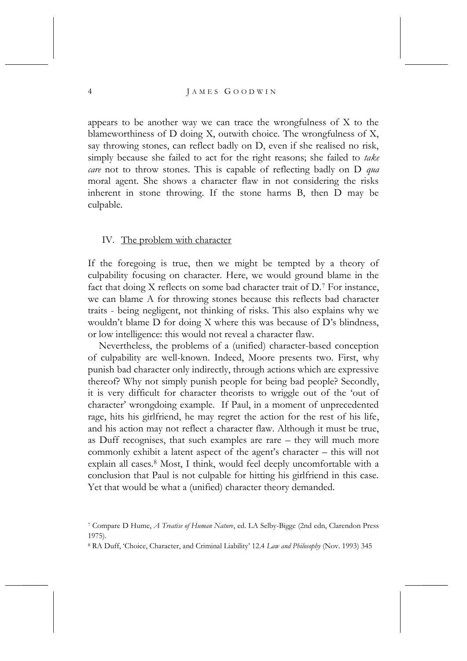#### 4 J A M E S G O O D W I N

appears to be another way we can trace the wrongfulness of X to the blameworthiness of D doing X, outwith choice. The wrongfulness of X, say throwing stones, can reflect badly on D, even if she realised no risk, simply because she failed to act for the right reasons; she failed to *take care* not to throw stones. This is capable of reflecting badly on D *qua* moral agent. She shows a character flaw in not considering the risks inherent in stone throwing. If the stone harms B, then D may be culpable.

#### IV. The problem with character

If the foregoing is true, then we might be tempted by a theory of culpability focusing on character. Here, we would ground blame in the fact that doing X reflects on some bad character trait of D.<sup>7</sup> For instance, we can blame A for throwing stones because this reflects bad character traits - being negligent, not thinking of risks. This also explains why we wouldn't blame D for doing X where this was because of D's blindness, or low intelligence: this would not reveal a character flaw.

Nevertheless, the problems of a (unified) character-based conception of culpability are well-known. Indeed, Moore presents two. First, why punish bad character only indirectly, through actions which are expressive thereof? Why not simply punish people for being bad people? Secondly, it is very difficult for character theorists to wriggle out of the 'out of character' wrongdoing example. If Paul, in a moment of unprecedented rage, hits his girlfriend, he may regret the action for the rest of his life, and his action may not reflect a character flaw. Although it must be true, as Duff recognises, that such examples are rare – they will much more commonly exhibit a latent aspect of the agent's character – this will not explain all cases.<sup>8</sup> Most, I think, would feel deeply uncomfortable with a conclusion that Paul is not culpable for hitting his girlfriend in this case. Yet that would be what a (unified) character theory demanded.

<sup>7</sup> Compare D Hume, *A Treatise of Human Nature*, ed. LA Selby-Bigge (2nd edn, Clarendon Press 1975).

<sup>8</sup> RA Duff, 'Choice, Character, and Criminal Liability' 12.4 *Law and Philosophy* (Nov. 1993) 345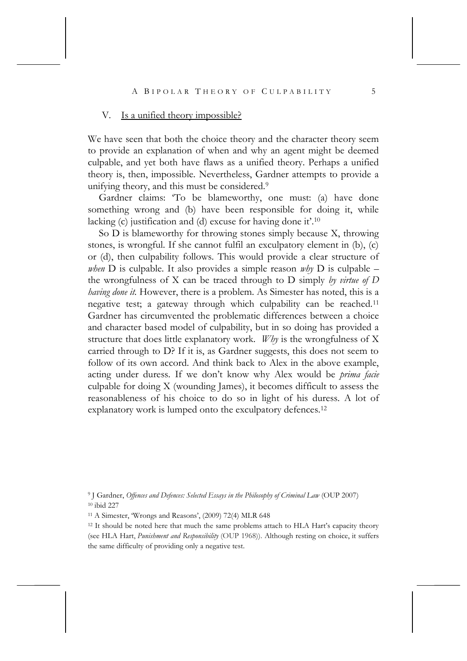#### A BIPOLAR THEORY OF CULPABILITY 5

## V. Is a unified theory impossible?

We have seen that both the choice theory and the character theory seem to provide an explanation of when and why an agent might be deemed culpable, and yet both have flaws as a unified theory. Perhaps a unified theory is, then, impossible. Nevertheless, Gardner attempts to provide a unifying theory, and this must be considered.<sup>9</sup>

Gardner claims: 'To be blameworthy, one must: (a) have done something wrong and (b) have been responsible for doing it, while lacking (c) justification and (d) excuse for having done it'.<sup>10</sup>

So D is blameworthy for throwing stones simply because X, throwing stones, is wrongful. If she cannot fulfil an exculpatory element in (b), (c) or (d), then culpability follows. This would provide a clear structure of *when*  $D$  is culpable. It also provides a simple reason *why*  $D$  is culpable – the wrongfulness of X can be traced through to D simply *by virtue of D having done it.* However, there is a problem. As Simester has noted, this is a negative test; a gateway through which culpability can be reached.<sup>11</sup> Gardner has circumvented the problematic differences between a choice and character based model of culpability, but in so doing has provided a structure that does little explanatory work. *Why* is the wrongfulness of X carried through to D? If it is, as Gardner suggests, this does not seem to follow of its own accord. And think back to Alex in the above example, acting under duress. If we don't know why Alex would be *prima facie*  culpable for doing X (wounding James), it becomes difficult to assess the reasonableness of his choice to do so in light of his duress. A lot of explanatory work is lumped onto the exculpatory defences.<sup>12</sup>

9 J Gardner, *Offences and Defences: Selected Essays in the Philosophy of Criminal Law* (OUP 2007) <sup>10</sup> ibid 227

<sup>11</sup> A Simester, 'Wrongs and Reasons', (2009) 72(4) MLR 648

<sup>12</sup> It should be noted here that much the same problems attach to HLA Hart's capacity theory (see HLA Hart, *Punishment and Responsibility* (OUP 1968)). Although resting on choice, it suffers the same difficulty of providing only a negative test.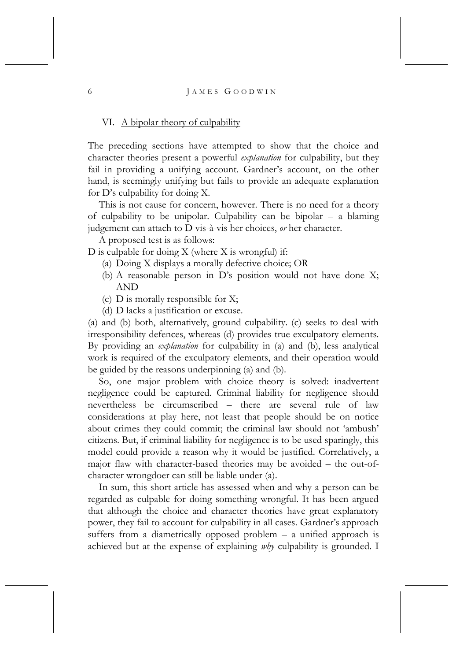#### 6 J A M E S G O O D W I N

## VI. A bipolar theory of culpability

The preceding sections have attempted to show that the choice and character theories present a powerful *explanation* for culpability, but they fail in providing a unifying account. Gardner's account, on the other hand, is seemingly unifying but fails to provide an adequate explanation for D's culpability for doing X.

This is not cause for concern, however. There is no need for a theory of culpability to be unipolar. Culpability can be bipolar – a blaming judgement can attach to D vis-à-vis her choices, *or* her character.

A proposed test is as follows:

D is culpable for doing X (where X is wrongful) if:

- (a) Doing X displays a morally defective choice; OR
- (b) A reasonable person in D's position would not have done X; AND
- (c) D is morally responsible for X;
- (d) D lacks a justification or excuse.

(a) and (b) both, alternatively, ground culpability. (c) seeks to deal with irresponsibility defences, whereas (d) provides true exculpatory elements. By providing an *explanation* for culpability in (a) and (b), less analytical work is required of the exculpatory elements, and their operation would be guided by the reasons underpinning (a) and (b).

So, one major problem with choice theory is solved: inadvertent negligence could be captured. Criminal liability for negligence should nevertheless be circumscribed – there are several rule of law considerations at play here, not least that people should be on notice about crimes they could commit; the criminal law should not 'ambush' citizens. But, if criminal liability for negligence is to be used sparingly, this model could provide a reason why it would be justified. Correlatively, a major flaw with character-based theories may be avoided – the out-ofcharacter wrongdoer can still be liable under (a).

In sum, this short article has assessed when and why a person can be regarded as culpable for doing something wrongful. It has been argued that although the choice and character theories have great explanatory power, they fail to account for culpability in all cases. Gardner's approach suffers from a diametrically opposed problem – a unified approach is achieved but at the expense of explaining *why* culpability is grounded. I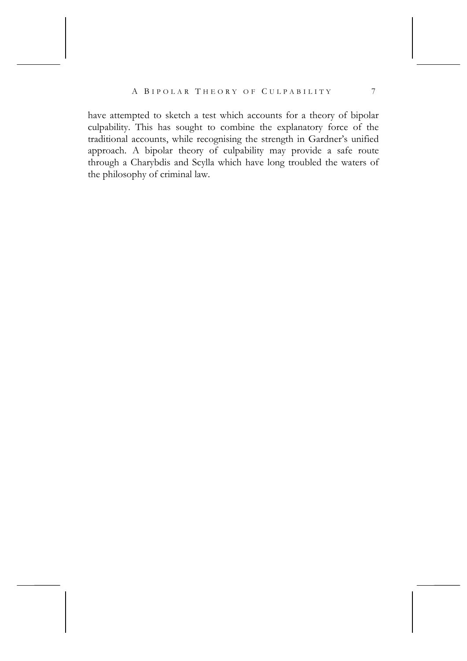## A BIPOLAR THEORY OF CULPABILITY 7

have attempted to sketch a test which accounts for a theory of bipolar culpability. This has sought to combine the explanatory force of the traditional accounts, while recognising the strength in Gardner's unified approach. A bipolar theory of culpability may provide a safe route through a Charybdis and Scylla which have long troubled the waters of the philosophy of criminal law.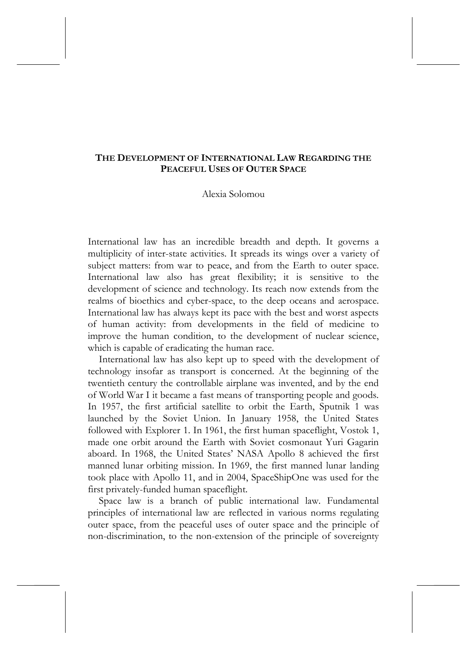## **THE DEVELOPMENT OF INTERNATIONAL LAW REGARDING THE PEACEFUL USES OF OUTER SPACE**

## Alexia Solomou

International law has an incredible breadth and depth. It governs a multiplicity of inter-state activities. It spreads its wings over a variety of subject matters: from war to peace, and from the Earth to outer space. International law also has great flexibility; it is sensitive to the development of science and technology. Its reach now extends from the realms of bioethics and cyber-space, to the deep oceans and aerospace. International law has always kept its pace with the best and worst aspects of human activity: from developments in the field of medicine to improve the human condition, to the development of nuclear science, which is capable of eradicating the human race.

International law has also kept up to speed with the development of technology insofar as transport is concerned. At the beginning of the twentieth century the controllable airplane was invented, and by the end of World War I it became a fast means of transporting people and goods. In 1957, the first artificial satellite to orbit the Earth, Sputnik 1 was launched by the Soviet Union. In January 1958, the United States followed with Explorer 1. In 1961, the first human spaceflight, Vostok 1, made one orbit around the Earth with Soviet cosmonaut Yuri Gagarin aboard. In 1968, the United States' NASA Apollo 8 achieved the first manned lunar orbiting mission. In 1969, the first manned lunar landing took place with Apollo 11, and in 2004, SpaceShipOne was used for the first privately-funded human spaceflight.

Space law is a branch of public international law. Fundamental principles of international law are reflected in various norms regulating outer space, from the peaceful uses of outer space and the principle of non-discrimination, to the non-extension of the principle of sovereignty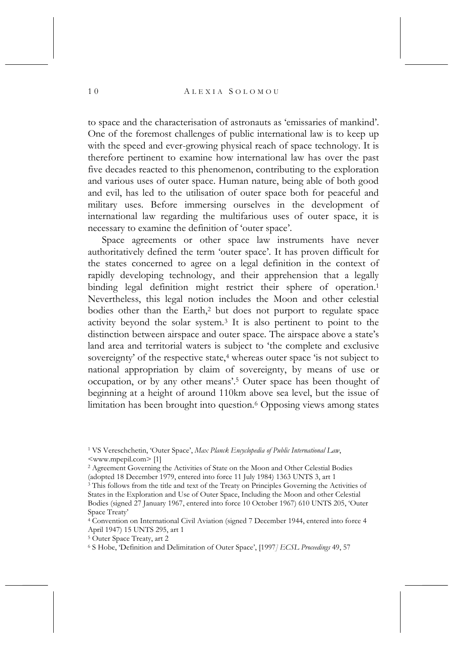to space and the characterisation of astronauts as 'emissaries of mankind'. One of the foremost challenges of public international law is to keep up with the speed and ever-growing physical reach of space technology. It is therefore pertinent to examine how international law has over the past five decades reacted to this phenomenon, contributing to the exploration and various uses of outer space. Human nature, being able of both good and evil, has led to the utilisation of outer space both for peaceful and military uses. Before immersing ourselves in the development of international law regarding the multifarious uses of outer space, it is necessary to examine the definition of 'outer space'.

Space agreements or other space law instruments have never authoritatively defined the term 'outer space'. It has proven difficult for the states concerned to agree on a legal definition in the context of rapidly developing technology, and their apprehension that a legally binding legal definition might restrict their sphere of operation.<sup>1</sup> Nevertheless, this legal notion includes the Moon and other celestial bodies other than the Earth,<sup>2</sup> but does not purport to regulate space activity beyond the solar system.<sup>3</sup> It is also pertinent to point to the distinction between airspace and outer space. The airspace above a state's land area and territorial waters is subject to 'the complete and exclusive sovereignty' of the respective state,<sup>4</sup> whereas outer space 'is not subject to national appropriation by claim of sovereignty, by means of use or occupation, or by any other means'. <sup>5</sup> Outer space has been thought of beginning at a height of around 110km above sea level, but the issue of limitation has been brought into question.<sup>6</sup> Opposing views among states

<sup>1</sup> VS Vereschchetin, 'Outer Space', *Max Planck Encyclopedia of Public International Law*, <www.mpepil.com> [1]

<sup>2</sup> Agreement Governing the Activities of State on the Moon and Other Celestial Bodies (adopted 18 December 1979, entered into force 11 July 1984) 1363 UNTS 3, art 1

<sup>&</sup>lt;sup>3</sup> This follows from the title and text of the Treaty on Principles Governing the Activities of States in the Exploration and Use of Outer Space, Including the Moon and other Celestial Bodies (signed 27 January 1967, entered into force 10 October 1967) 610 UNTS 205, 'Outer Space Treaty'

<sup>4</sup> Convention on International Civil Aviation (signed 7 December 1944, entered into force 4 April 1947) 15 UNTS 295, art 1

<sup>5</sup> Outer Space Treaty, art 2

<sup>6</sup> S Hobe, 'Definition and Delimitation of Outer Space', [1997*] ECSL Proceedings* 49, 57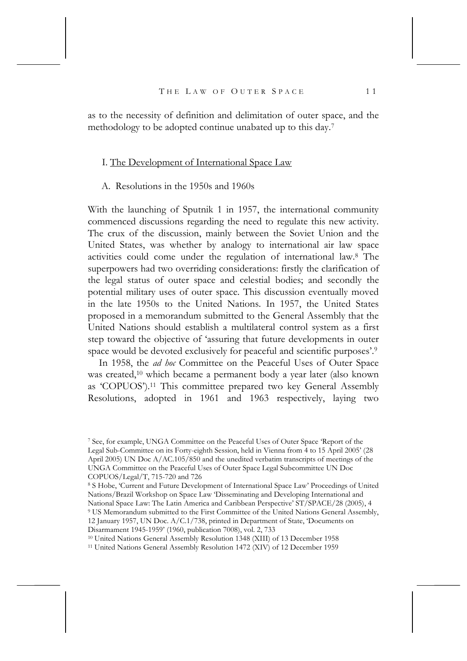as to the necessity of definition and delimitation of outer space, and the methodology to be adopted continue unabated up to this day.<sup>7</sup>

#### I. The Development of International Space Law

## A. Resolutions in the 1950s and 1960s

With the launching of Sputnik 1 in 1957, the international community commenced discussions regarding the need to regulate this new activity. The crux of the discussion, mainly between the Soviet Union and the United States, was whether by analogy to international air law space activities could come under the regulation of international law.<sup>8</sup> The superpowers had two overriding considerations: firstly the clarification of the legal status of outer space and celestial bodies; and secondly the potential military uses of outer space. This discussion eventually moved in the late 1950s to the United Nations. In 1957, the United States proposed in a memorandum submitted to the General Assembly that the United Nations should establish a multilateral control system as a first step toward the objective of 'assuring that future developments in outer space would be devoted exclusively for peaceful and scientific purposes'.<sup>9</sup>

In 1958, the *ad hoc* Committee on the Peaceful Uses of Outer Space was created,<sup>10</sup> which became a permanent body a year later (also known as 'COPUOS').<sup>11</sup> This committee prepared two key General Assembly Resolutions, adopted in 1961 and 1963 respectively, laying two

<sup>10</sup> United Nations General Assembly Resolution 1348 (XIII) of 13 December 1958

<sup>11</sup> United Nations General Assembly Resolution 1472 (XIV) of 12 December 1959

<sup>7</sup> See, for example, UNGA Committee on the Peaceful Uses of Outer Space 'Report of the Legal Sub-Committee on its Forty-eighth Session, held in Vienna from 4 to 15 April 2005' (28 April 2005) UN Doc A/AC.105/850 and the unedited verbatim transcripts of meetings of the UNGA Committee on the Peaceful Uses of Outer Space Legal Subcommittee UN Doc COPUOS/Legal/T, 715-720 and 726

<sup>8</sup> S Hobe, 'Current and Future Development of International Space Law' Proceedings of United Nations/Brazil Workshop on Space Law 'Disseminating and Developing International and National Space Law: The Latin America and Caribbean Perspective' ST/SPACE/28 (2005), 4 <sup>9</sup> US Memorandum submitted to the First Committee of the United Nations General Assembly, 12 January 1957, UN Doc. A/C.1/738, printed in Department of State, 'Documents on Disarmament 1945-1959' (1960, publication 7008), vol. 2, 733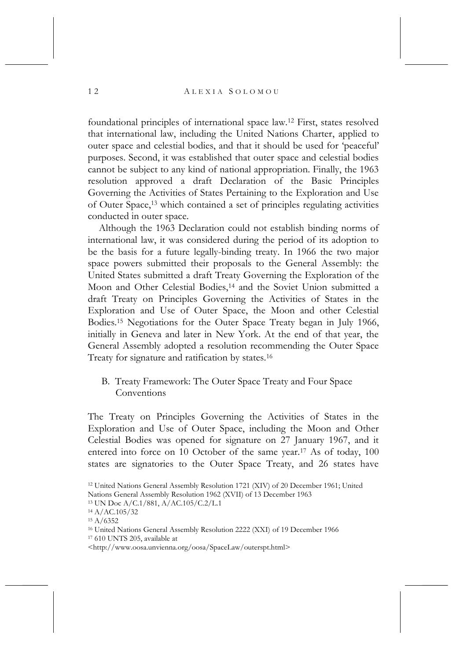foundational principles of international space law.<sup>12</sup> First, states resolved that international law, including the United Nations Charter, applied to outer space and celestial bodies, and that it should be used for 'peaceful' purposes. Second, it was established that outer space and celestial bodies cannot be subject to any kind of national appropriation. Finally, the 1963 resolution approved a draft Declaration of the Basic Principles Governing the Activities of States Pertaining to the Exploration and Use of Outer Space,<sup>13</sup> which contained a set of principles regulating activities conducted in outer space.

Although the 1963 Declaration could not establish binding norms of international law, it was considered during the period of its adoption to be the basis for a future legally-binding treaty. In 1966 the two major space powers submitted their proposals to the General Assembly: the United States submitted a draft Treaty Governing the Exploration of the Moon and Other Celestial Bodies,<sup>14</sup> and the Soviet Union submitted a draft Treaty on Principles Governing the Activities of States in the Exploration and Use of Outer Space, the Moon and other Celestial Bodies.<sup>15</sup> Negotiations for the Outer Space Treaty began in July 1966, initially in Geneva and later in New York. At the end of that year, the General Assembly adopted a resolution recommending the Outer Space Treaty for signature and ratification by states.<sup>16</sup>

## B. Treaty Framework: The Outer Space Treaty and Four Space **Conventions**

The Treaty on Principles Governing the Activities of States in the Exploration and Use of Outer Space, including the Moon and Other Celestial Bodies was opened for signature on 27 January 1967, and it entered into force on 10 October of the same year.<sup>17</sup> As of today, 100 states are signatories to the Outer Space Treaty, and 26 states have

<sup>12</sup> United Nations General Assembly Resolution 1721 (XIV) of 20 December 1961; United

Nations General Assembly Resolution 1962 (XVII) of 13 December 1963

<sup>13</sup> UN Doc A/C.1/881, A/AC.105/C.2/L.1

<sup>14</sup> A/AC.105/32

<sup>15</sup> A/6352

<sup>16</sup> United Nations General Assembly Resolution 2222 (XXI) of 19 December 1966

<sup>17</sup> 610 UNTS 205, available at

<sup>&</sup>lt;http://www.oosa.unvienna.org/oosa/SpaceLaw/outerspt.html>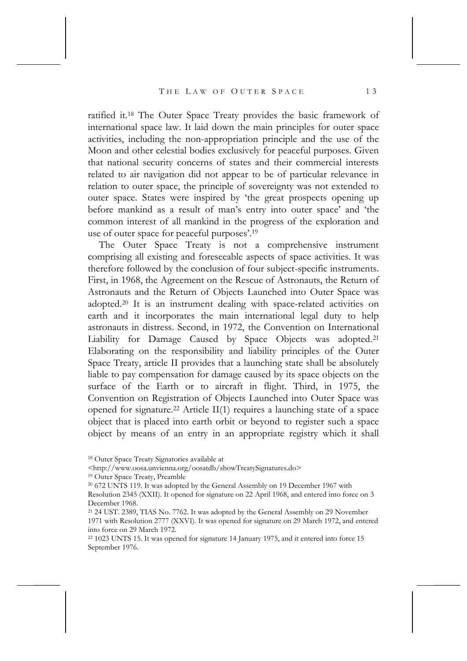ratified it.<sup>18</sup> The Outer Space Treaty provides the basic framework of international space law. It laid down the main principles for outer space activities, including the non-appropriation principle and the use of the Moon and other celestial bodies exclusively for peaceful purposes. Given that national security concerns of states and their commercial interests related to air navigation did not appear to be of particular relevance in relation to outer space, the principle of sovereignty was not extended to outer space. States were inspired by 'the great prospects opening up before mankind as a result of man's entry into outer space' and 'the common interest of all mankind in the progress of the exploration and use of outer space for peaceful purposes'. 19

The Outer Space Treaty is not a comprehensive instrument comprising all existing and foreseeable aspects of space activities. It was therefore followed by the conclusion of four subject-specific instruments. First, in 1968, the Agreement on the Rescue of Astronauts, the Return of Astronauts and the Return of Objects Launched into Outer Space was adopted.<sup>20</sup> It is an instrument dealing with space-related activities on earth and it incorporates the main international legal duty to help astronauts in distress. Second, in 1972, the Convention on International Liability for Damage Caused by Space Objects was adopted.<sup>21</sup> Elaborating on the responsibility and liability principles of the Outer Space Treaty, article II provides that a launching state shall be absolutely liable to pay compensation for damage caused by its space objects on the surface of the Earth or to aircraft in flight. Third, in 1975, the Convention on Registration of Objects Launched into Outer Space was opened for signature.<sup>22</sup> Article II(1) requires a launching state of a space object that is placed into earth orbit or beyond to register such a space object by means of an entry in an appropriate registry which it shall

<sup>19</sup> Outer Space Treaty, Preamble

<sup>18</sup> Outer Space Treaty Signatories available at

<sup>&</sup>lt;http://www.oosa.unvienna.org/oosatdb/showTreatySignatures.do>

<sup>&</sup>lt;sup>20</sup> 672 UNTS 119. It was adopted by the General Assembly on 19 December 1967 with

Resolution 2345 (XXII). It opened for signature on 22 April 1968, and entered into force on 3 December 1968.

<sup>21</sup> 24 UST. 2389, TIAS No. 7762. It was adopted by the General Assembly on 29 November 1971 with Resolution 2777 (XXVI). It was opened for signature on 29 March 1972, and entered into force on 29 March 1972.

<sup>22</sup> 1023 UNTS 15. It was opened for signature 14 January 1975, and it entered into force 15 September 1976.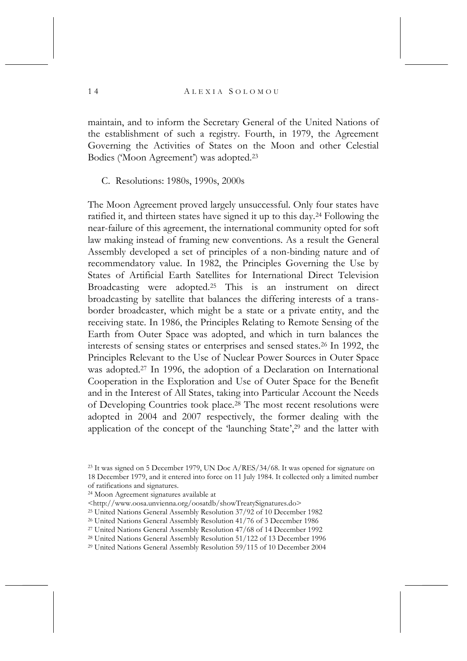maintain, and to inform the Secretary General of the United Nations of the establishment of such a registry. Fourth, in 1979, the Agreement Governing the Activities of States on the Moon and other Celestial Bodies ('Moon Agreement') was adopted.<sup>23</sup>

#### C. Resolutions: 1980s, 1990s, 2000s

The Moon Agreement proved largely unsuccessful. Only four states have ratified it, and thirteen states have signed it up to this day.<sup>24</sup> Following the near-failure of this agreement, the international community opted for soft law making instead of framing new conventions. As a result the General Assembly developed a set of principles of a non-binding nature and of recommendatory value. In 1982, the Principles Governing the Use by States of Artificial Earth Satellites for International Direct Television Broadcasting were adopted.<sup>25</sup> This is an instrument on direct broadcasting by satellite that balances the differing interests of a transborder broadcaster, which might be a state or a private entity, and the receiving state. In 1986, the Principles Relating to Remote Sensing of the Earth from Outer Space was adopted, and which in turn balances the interests of sensing states or enterprises and sensed states.<sup>26</sup> In 1992, the Principles Relevant to the Use of Nuclear Power Sources in Outer Space was adopted.<sup>27</sup> In 1996, the adoption of a Declaration on International Cooperation in the Exploration and Use of Outer Space for the Benefit and in the Interest of All States, taking into Particular Account the Needs of Developing Countries took place.<sup>28</sup> The most recent resolutions were adopted in 2004 and 2007 respectively, the former dealing with the application of the concept of the 'launching State', <sup>29</sup> and the latter with

<sup>23</sup> It was signed on 5 December 1979, UN Doc A/RES/34/68. It was opened for signature on 18 December 1979, and it entered into force on 11 July 1984. It collected only a limited number of ratifications and signatures.

<sup>24</sup> Moon Agreement signatures available at

<sup>&</sup>lt;http://www.oosa.unvienna.org/oosatdb/showTreatySignatures.do>

<sup>25</sup> United Nations General Assembly Resolution 37/92 of 10 December 1982

<sup>26</sup> United Nations General Assembly Resolution 41/76 of 3 December 1986

<sup>27</sup> United Nations General Assembly Resolution 47/68 of 14 December 1992

<sup>28</sup> United Nations General Assembly Resolution 51/122 of 13 December 1996

<sup>29</sup> United Nations General Assembly Resolution 59/115 of 10 December 2004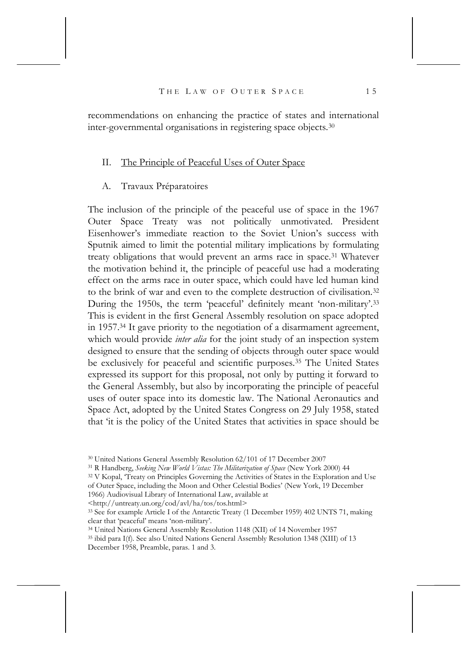recommendations on enhancing the practice of states and international inter-governmental organisations in registering space objects.<sup>30</sup>

## II. The Principle of Peaceful Uses of Outer Space

#### A. Travaux Préparatoires

The inclusion of the principle of the peaceful use of space in the 1967 Outer Space Treaty was not politically unmotivated. President Eisenhower's immediate reaction to the Soviet Union's success with Sputnik aimed to limit the potential military implications by formulating treaty obligations that would prevent an arms race in space.<sup>31</sup> Whatever the motivation behind it, the principle of peaceful use had a moderating effect on the arms race in outer space, which could have led human kind to the brink of war and even to the complete destruction of civilisation.<sup>32</sup> During the 1950s, the term 'peaceful' definitely meant 'non-military'. 33 This is evident in the first General Assembly resolution on space adopted in 1957.<sup>34</sup> It gave priority to the negotiation of a disarmament agreement, which would provide *inter alia* for the joint study of an inspection system designed to ensure that the sending of objects through outer space would be exclusively for peaceful and scientific purposes.<sup>35</sup> The United States expressed its support for this proposal, not only by putting it forward to the General Assembly, but also by incorporating the principle of peaceful uses of outer space into its domestic law. The National Aeronautics and Space Act, adopted by the United States Congress on 29 July 1958, stated that 'it is the policy of the United States that activities in space should be

<sup>30</sup> United Nations General Assembly Resolution 62/101 of 17 December 2007

<sup>31</sup> R Handberg, *Seeking New World Vistas: The Militarization of Space* (New York 2000) 44

<sup>32</sup> V Kopal, 'Treaty on Principles Governing the Activities of States in the Exploration and Use of Outer Space, including the Moon and Other Celestial Bodies' (New York, 19 December

<sup>1966)</sup> Audiovisual Library of International Law, available at

<sup>&</sup>lt;http://untreaty.un.org/cod/avl/ha/tos/tos.html>

<sup>33</sup> See for example Article I of the Antarctic Treaty (1 December 1959) 402 UNTS 71, making clear that 'peaceful' means 'non-military'.

<sup>34</sup> United Nations General Assembly Resolution 1148 (XII) of 14 November 1957

<sup>35</sup> ibid para I(f). See also United Nations General Assembly Resolution 1348 (XIII) of 13 December 1958, Preamble, paras. 1 and 3.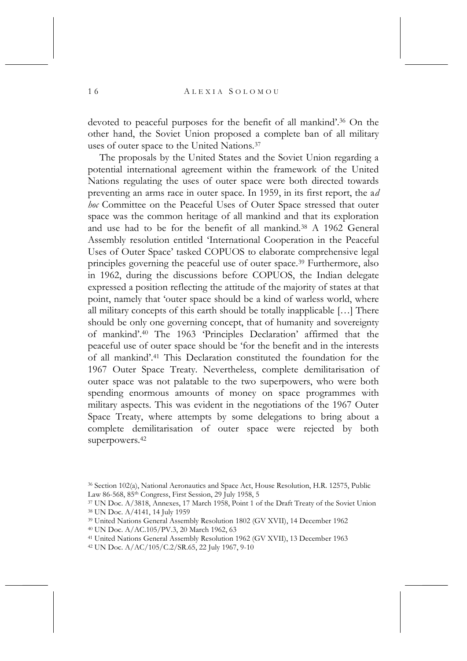devoted to peaceful purposes for the benefit of all mankind'. <sup>36</sup> On the other hand, the Soviet Union proposed a complete ban of all military uses of outer space to the United Nations.<sup>37</sup>

The proposals by the United States and the Soviet Union regarding a potential international agreement within the framework of the United Nations regulating the uses of outer space were both directed towards preventing an arms race in outer space. In 1959, in its first report, the a*d hoc* Committee on the Peaceful Uses of Outer Space stressed that outer space was the common heritage of all mankind and that its exploration and use had to be for the benefit of all mankind.<sup>38</sup> A 1962 General Assembly resolution entitled 'International Cooperation in the Peaceful Uses of Outer Space' tasked COPUOS to elaborate comprehensive legal principles governing the peaceful use of outer space.<sup>39</sup> Furthermore, also in 1962, during the discussions before COPUOS, the Indian delegate expressed a position reflecting the attitude of the majority of states at that point, namely that 'outer space should be a kind of warless world, where all military concepts of this earth should be totally inapplicable […] There should be only one governing concept, that of humanity and sovereignty of mankind'. <sup>40</sup> The 1963 'Principles Declaration' affirmed that the peaceful use of outer space should be 'for the benefit and in the interests of all mankind'. <sup>41</sup> This Declaration constituted the foundation for the 1967 Outer Space Treaty. Nevertheless, complete demilitarisation of outer space was not palatable to the two superpowers, who were both spending enormous amounts of money on space programmes with military aspects. This was evident in the negotiations of the 1967 Outer Space Treaty, where attempts by some delegations to bring about a complete demilitarisation of outer space were rejected by both superpowers.<sup>42</sup>

<sup>36</sup> Section 102(a), National Aeronautics and Space Act, House Resolution, H.R. 12575, Public Law 86-568, 85th Congress, First Session, 29 July 1958, 5

<sup>37</sup> UN Doc. A/3818, Annexes, 17 March 1958, Point 1 of the Draft Treaty of the Soviet Union <sup>38</sup> UN Doc. A/4141, 14 July 1959

<sup>39</sup> United Nations General Assembly Resolution 1802 (GV XVII), 14 December 1962

<sup>40</sup> UN Doc. A/AC.105/PV.3, 20 March 1962, 63

<sup>41</sup> United Nations General Assembly Resolution 1962 (GV XVII), 13 December 1963

<sup>42</sup> UN Doc. A/AC/105/C.2/SR.65, 22 July 1967, 9-10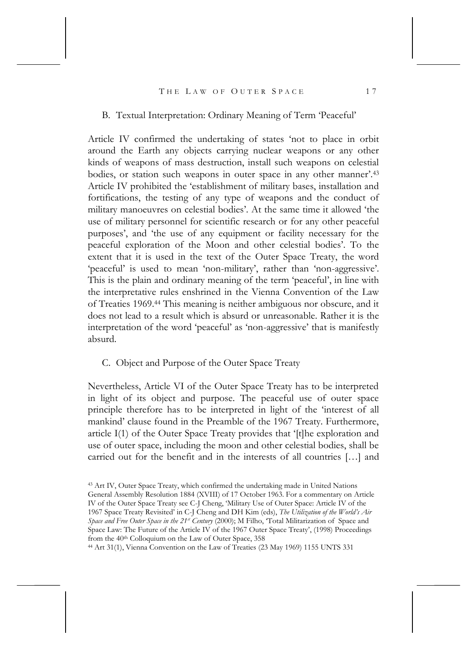## B. Textual Interpretation: Ordinary Meaning of Term 'Peaceful'

Article IV confirmed the undertaking of states 'not to place in orbit around the Earth any objects carrying nuclear weapons or any other kinds of weapons of mass destruction, install such weapons on celestial bodies, or station such weapons in outer space in any other manner'.<sup>43</sup> Article IV prohibited the 'establishment of military bases, installation and fortifications, the testing of any type of weapons and the conduct of military manoeuvres on celestial bodies'. At the same time it allowed 'the use of military personnel for scientific research or for any other peaceful purposes', and 'the use of any equipment or facility necessary for the peaceful exploration of the Moon and other celestial bodies'. To the extent that it is used in the text of the Outer Space Treaty, the word 'peaceful' is used to mean 'non-military', rather than 'non-aggressive'. This is the plain and ordinary meaning of the term 'peaceful', in line with the interpretative rules enshrined in the Vienna Convention of the Law of Treaties 1969.<sup>44</sup> This meaning is neither ambiguous nor obscure, and it does not lead to a result which is absurd or unreasonable. Rather it is the interpretation of the word 'peaceful' as 'non-aggressive' that is manifestly absurd.

## C. Object and Purpose of the Outer Space Treaty

Nevertheless, Article VI of the Outer Space Treaty has to be interpreted in light of its object and purpose. The peaceful use of outer space principle therefore has to be interpreted in light of the 'interest of all mankind' clause found in the Preamble of the 1967 Treaty. Furthermore, article I(1) of the Outer Space Treaty provides that '[t]he exploration and use of outer space, including the moon and other celestial bodies, shall be carried out for the benefit and in the interests of all countries […] and

<sup>44</sup> Art 31(1), Vienna Convention on the Law of Treaties (23 May 1969) 1155 UNTS 331

<sup>43</sup> Art IV, Outer Space Treaty, which confirmed the undertaking made in United Nations General Assembly Resolution 1884 (XVIII) of 17 October 1963. For a commentary on Article IV of the Outer Space Treaty see C-J Cheng, 'Military Use of Outer Space: Article IV of the 1967 Space Treaty Revisited' in C-J Cheng and DH Kim (eds), *The Utilization of the World's Air Space and Free Outer Space in the 21st Century* (2000); M Filho, 'Total Militarization of Space and Space Law: The Future of the Article IV of the 1967 Outer Space Treaty', (1998) Proceedings from the 40<sup>th</sup> Colloquium on the Law of Outer Space, 358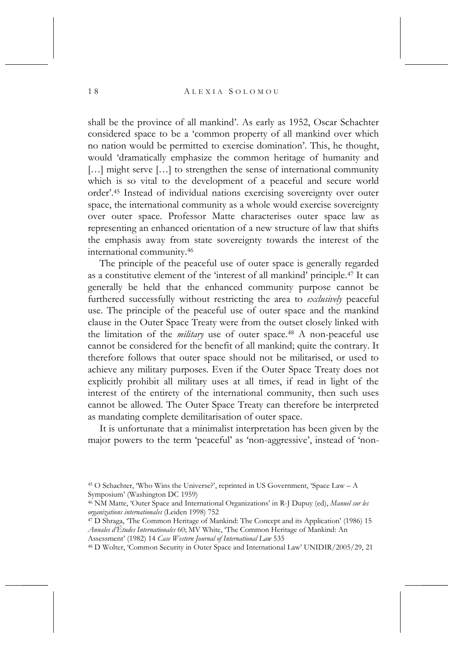shall be the province of all mankind'. As early as 1952, Oscar Schachter considered space to be a 'common property of all mankind over which no nation would be permitted to exercise domination'. This, he thought, would 'dramatically emphasize the common heritage of humanity and [...] might serve [...] to strengthen the sense of international community which is so vital to the development of a peaceful and secure world order'. <sup>45</sup> Instead of individual nations exercising sovereignty over outer space, the international community as a whole would exercise sovereignty over outer space. Professor Matte characterises outer space law as representing an enhanced orientation of a new structure of law that shifts the emphasis away from state sovereignty towards the interest of the international community.<sup>46</sup>

The principle of the peaceful use of outer space is generally regarded as a constitutive element of the 'interest of all mankind' principle.<sup>47</sup> It can generally be held that the enhanced community purpose cannot be furthered successfully without restricting the area to *exclusively* peaceful use. The principle of the peaceful use of outer space and the mankind clause in the Outer Space Treaty were from the outset closely linked with the limitation of the *military* use of outer space.<sup>48</sup> A non-peaceful use cannot be considered for the benefit of all mankind; quite the contrary. It therefore follows that outer space should not be militarised, or used to achieve any military purposes. Even if the Outer Space Treaty does not explicitly prohibit all military uses at all times, if read in light of the interest of the entirety of the international community, then such uses cannot be allowed. The Outer Space Treaty can therefore be interpreted as mandating complete demilitarisation of outer space.

It is unfortunate that a minimalist interpretation has been given by the major powers to the term 'peaceful' as 'non-aggressive', instead of 'non-

<sup>45</sup> O Schachter, 'Who Wins the Universe?', reprinted in US Government, 'Space Law – A Symposium' (Washington DC 1959)

<sup>46</sup> NM Matte, 'Outer Space and International Organizations' in R-J Dupuy (ed), *Manuel sur les organizations internationales* (Leiden 1998) 752

<sup>47</sup> D Shraga, 'The Common Heritage of Mankind: The Concept and its Application' (1986) 15 *Annales d'Études Internationales* 60; MV White, 'The Common Heritage of Mankind: An

Assessment' (1982) 14 *Case Western Journal of International Law* 535

<sup>48</sup> D Wolter, 'Common Security in Outer Space and International Law' UNIDIR/2005/29, 21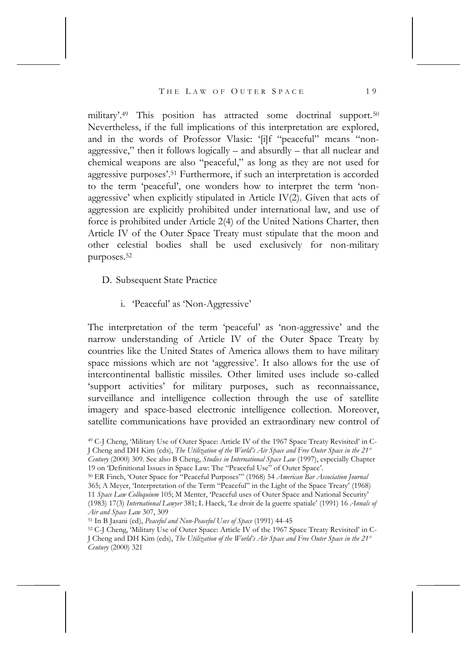military'. <sup>49</sup> This position has attracted some doctrinal support.<sup>50</sup> Nevertheless, if the full implications of this interpretation are explored, and in the words of Professor Vlasic: '[i]f "peaceful" means "nonaggressive," then it follows logically – and absurdly – that all nuclear and chemical weapons are also "peaceful," as long as they are not used for aggressive purposes'. <sup>51</sup> Furthermore, if such an interpretation is accorded to the term 'peaceful', one wonders how to interpret the term 'nonaggressive' when explicitly stipulated in Article IV(2). Given that acts of aggression are explicitly prohibited under international law, and use of force is prohibited under Article 2(4) of the United Nations Charter, then Article IV of the Outer Space Treaty must stipulate that the moon and other celestial bodies shall be used exclusively for non-military purposes.<sup>52</sup>

- D. Subsequent State Practice
	- i. 'Peaceful' as 'Non-Aggressive'

The interpretation of the term 'peaceful' as 'non-aggressive' and the narrow understanding of Article IV of the Outer Space Treaty by countries like the United States of America allows them to have military space missions which are not 'aggressive'. It also allows for the use of intercontinental ballistic missiles. Other limited uses include so-called 'support activities' for military purposes, such as reconnaissance, surveillance and intelligence collection through the use of satellite imagery and space-based electronic intelligence collection. Moreover, satellite communications have provided an extraordinary new control of

<sup>49</sup> C-J Cheng, 'Military Use of Outer Space: Article IV of the 1967 Space Treaty Revisited' in C-J Cheng and DH Kim (eds), *The Utilization of the World's Air Space and Free Outer Space in the 21st Century* (2000) 309. See also B Cheng, *Studies in International Space Law* (1997), especially Chapter 19 on 'Definitional Issues in Space Law: The "Peaceful Use" of Outer Space'.

<sup>50</sup> ER Finch, 'Outer Space for "Peaceful Purposes"' (1968) 54 *American Bar Association Journal* 365; A Meyer, 'Interpretation of the Term "Peaceful" in the Light of the Space Treaty' (1968) 11 *Space Law Colloquium* 105; M Menter, 'Peaceful uses of Outer Space and National Security' (1983) 17(3) *International Lawyer* 381; L Haeck, 'Le droit de la guerre spatiale' (1991) 16 *Annals of Air and Space Law* 307, 309

<sup>51</sup> In B Jasani (ed), *Peaceful and Non-Peaceful Uses of Space* (1991) 44-45

<sup>52</sup> C-J Cheng, 'Military Use of Outer Space: Article IV of the 1967 Space Treaty Revisited' in C-J Cheng and DH Kim (eds), *The Utilization of the World's Air Space and Free Outer Space in the 21st Century* (2000) 321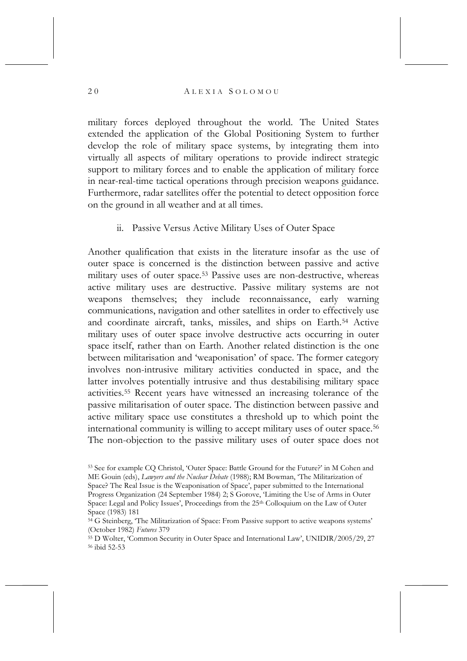military forces deployed throughout the world. The United States extended the application of the Global Positioning System to further develop the role of military space systems, by integrating them into virtually all aspects of military operations to provide indirect strategic support to military forces and to enable the application of military force in near-real-time tactical operations through precision weapons guidance. Furthermore, radar satellites offer the potential to detect opposition force on the ground in all weather and at all times.

## ii. Passive Versus Active Military Uses of Outer Space

Another qualification that exists in the literature insofar as the use of outer space is concerned is the distinction between passive and active military uses of outer space.<sup>53</sup> Passive uses are non-destructive, whereas active military uses are destructive. Passive military systems are not weapons themselves; they include reconnaissance, early warning communications, navigation and other satellites in order to effectively use and coordinate aircraft, tanks, missiles, and ships on Earth.<sup>54</sup> Active military uses of outer space involve destructive acts occurring in outer space itself, rather than on Earth. Another related distinction is the one between militarisation and 'weaponisation' of space. The former category involves non-intrusive military activities conducted in space, and the latter involves potentially intrusive and thus destabilising military space activities.<sup>55</sup> Recent years have witnessed an increasing tolerance of the passive militarisation of outer space. The distinction between passive and active military space use constitutes a threshold up to which point the international community is willing to accept military uses of outer space.<sup>56</sup> The non-objection to the passive military uses of outer space does not

<sup>53</sup> See for example CQ Christol, 'Outer Space: Battle Ground for the Future?' in M Cohen and ME Gouin (eds), *Lawyers and the Nuclear Debate* (1988); RM Bowman, 'The Militarization of Space? The Real Issue is the Weaponisation of Space', paper submitted to the International Progress Organization (24 September 1984) 2; S Gorove, 'Limiting the Use of Arms in Outer Space: Legal and Policy Issues', Proceedings from the 25<sup>th</sup> Colloquium on the Law of Outer Space (1983) 181

<sup>54</sup> G Steinberg, 'The Militarization of Space: From Passive support to active weapons systems' (October 1982) *Futures* 379

<sup>55</sup> D Wolter, 'Common Security in Outer Space and International Law', UNIDIR/2005/29, 27 <sup>56</sup> ibid 52-53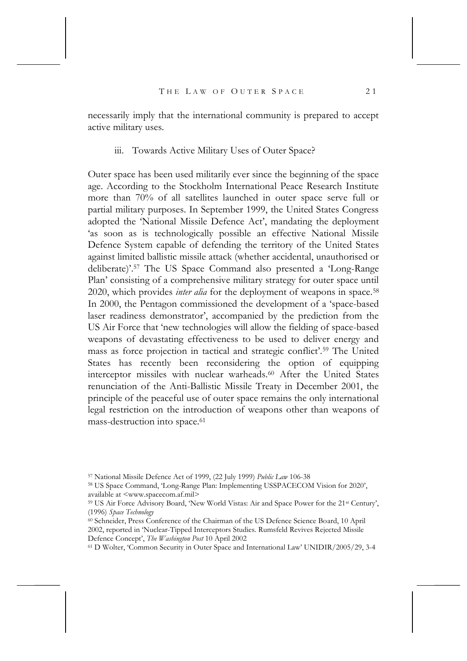necessarily imply that the international community is prepared to accept active military uses.

## iii. Towards Active Military Uses of Outer Space?

Outer space has been used militarily ever since the beginning of the space age. According to the Stockholm International Peace Research Institute more than 70% of all satellites launched in outer space serve full or partial military purposes. In September 1999, the United States Congress adopted the 'National Missile Defence Act', mandating the deployment 'as soon as is technologically possible an effective National Missile Defence System capable of defending the territory of the United States against limited ballistic missile attack (whether accidental, unauthorised or deliberate)'. <sup>57</sup> The US Space Command also presented a 'Long-Range Plan' consisting of a comprehensive military strategy for outer space until 2020, which provides *inter alia* for the deployment of weapons in space.<sup>58</sup> In 2000, the Pentagon commissioned the development of a 'space-based laser readiness demonstrator', accompanied by the prediction from the US Air Force that 'new technologies will allow the fielding of space-based weapons of devastating effectiveness to be used to deliver energy and mass as force projection in tactical and strategic conflict'. <sup>59</sup> The United States has recently been reconsidering the option of equipping interceptor missiles with nuclear warheads.<sup>60</sup> After the United States renunciation of the Anti-Ballistic Missile Treaty in December 2001, the principle of the peaceful use of outer space remains the only international legal restriction on the introduction of weapons other than weapons of mass-destruction into space.<sup>61</sup>

<sup>57</sup> National Missile Defence Act of 1999, (22 July 1999) *Public Law* 106-38

<sup>58</sup> US Space Command, 'Long-Range Plan: Implementing USSPACECOM Vision for 2020', available at <www.spacecom.af.mil>

<sup>59</sup> US Air Force Advisory Board, 'New World Vistas: Air and Space Power for the 21st Century', (1996) *Space Technology*

<sup>60</sup> Schneider, Press Conference of the Chairman of the US Defence Science Board, 10 April 2002, reported in 'Nuclear-Tipped Interceptors Studies. Rumsfeld Revives Rejected Missile Defence Concept', *The Washington Post* 10 April 2002

<sup>61</sup> D Wolter, 'Common Security in Outer Space and International Law' UNIDIR/2005/29, 3-4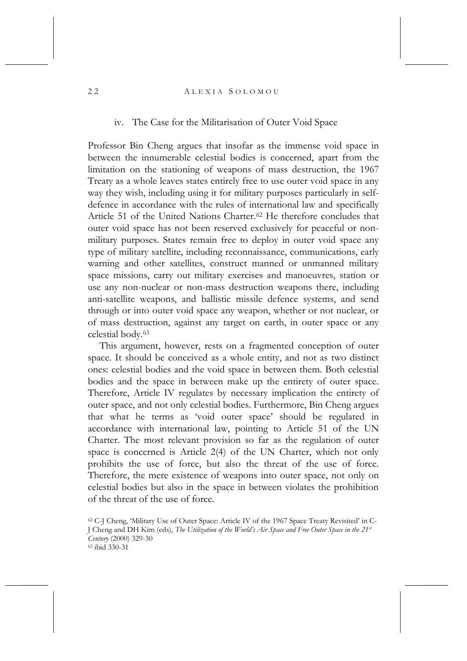#### 22 ALEXIA SOLOMOU

#### iv. The Case for the Militarisation of Outer Void Space

Professor Bin Cheng argues that insofar as the immense void space in between the innumerable celestial bodies is concerned, apart from the limitation on the stationing of weapons of mass destruction, the 1967 Treaty as a whole leaves states entirely free to use outer void space in any way they wish, including using it for military purposes particularly in selfdefence in accordance with the rules of international law and specifically Article 51 of the United Nations Charter.<sup>62</sup> He therefore concludes that outer void space has not been reserved exclusively for peaceful or nonmilitary purposes. States remain free to deploy in outer void space any type of military satellite, including reconnaissance, communications, early warning and other satellites, construct manned or unmanned military space missions, carry out military exercises and manoeuvres, station or use any non-nuclear or non-mass destruction weapons there, including anti-satellite weapons, and ballistic missile defence systems, and send through or into outer void space any weapon, whether or not nuclear, or of mass destruction, against any target on earth, in outer space or any celestial body.<sup>63</sup>

This argument, however, rests on a fragmented conception of outer space. It should be conceived as a whole entity, and not as two distinct ones: celestial bodies and the void space in between them. Both celestial bodies and the space in between make up the entirety of outer space. Therefore, Article IV regulates by necessary implication the entirety of outer space, and not only celestial bodies. Furthermore, Bin Cheng argues that what he terms as 'void outer space' should be regulated in accordance with international law, pointing to Article 51 of the UN Charter. The most relevant provision so far as the regulation of outer space is concerned is Article 2(4) of the UN Charter, which not only prohibits the use of force, but also the threat of the use of force. Therefore, the mere existence of weapons into outer space, not only on celestial bodies but also in the space in between violates the prohibition of the threat of the use of force.

<sup>62</sup> C-J Cheng, 'Military Use of Outer Space: Article IV of the 1967 Space Treaty Revisited' in C-J Cheng and DH Kim (eds), *The Utilization of the World's Air Space and Free Outer Space in the 21st Century* (2000) 329-30 <sup>63</sup> ibid 330-31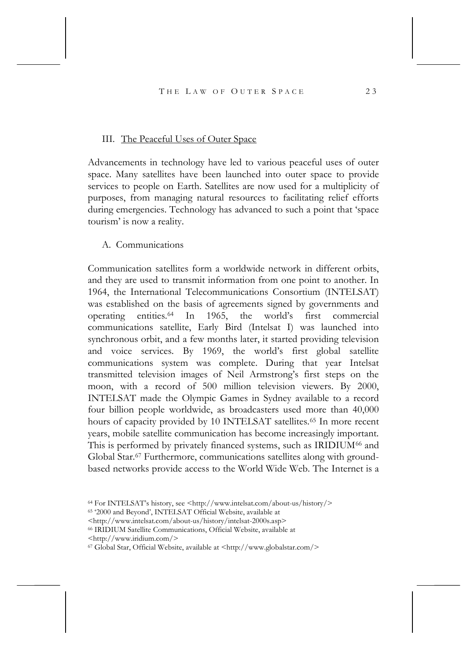### III. The Peaceful Uses of Outer Space

Advancements in technology have led to various peaceful uses of outer space. Many satellites have been launched into outer space to provide services to people on Earth. Satellites are now used for a multiplicity of purposes, from managing natural resources to facilitating relief efforts during emergencies. Technology has advanced to such a point that 'space tourism' is now a reality.

## A. Communications

Communication satellites form a worldwide network in different orbits, and they are used to transmit information from one point to another. In 1964, the International Telecommunications Consortium (INTELSAT) was established on the basis of agreements signed by governments and operating entities.<sup>64</sup> In 1965, the world's first commercial communications satellite, Early Bird (Intelsat I) was launched into synchronous orbit, and a few months later, it started providing television and voice services. By 1969, the world's first global satellite communications system was complete. During that year Intelsat transmitted television images of Neil Armstrong's first steps on the moon, with a record of 500 million television viewers. By 2000, INTELSAT made the Olympic Games in Sydney available to a record four billion people worldwide, as broadcasters used more than 40,000 hours of capacity provided by 10 INTELSAT satellites.<sup>65</sup> In more recent years, mobile satellite communication has become increasingly important. This is performed by privately financed systems, such as IRIDIUM<sup>66</sup> and Global Star.<sup>67</sup> Furthermore, communications satellites along with groundbased networks provide access to the World Wide Web. The Internet is a

<sup>64</sup> For INTELSAT's history, see <http://www.intelsat.com/about-us/history/>

<sup>65</sup> '2000 and Beyond', INTELSAT Official Website, available at

<sup>&</sup>lt;http://www.intelsat.com/about-us/history/intelsat-2000s.asp>

<sup>66</sup> IRIDIUM Satellite Communications, Official Website, available at

<sup>&</sup>lt;http://www.iridium.com/>

<sup>67</sup> Global Star, Official Website, available at <http://www.globalstar.com/>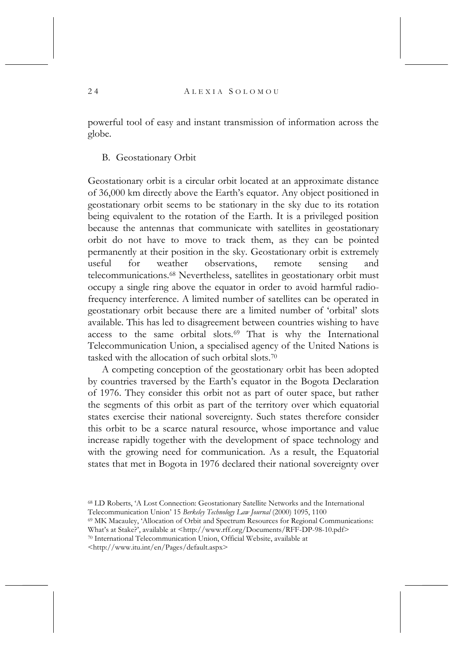powerful tool of easy and instant transmission of information across the globe.

## B. Geostationary Orbit

Geostationary orbit is a circular orbit located at an approximate distance of 36,000 km directly above the Earth's equator. Any object positioned in geostationary orbit seems to be stationary in the sky due to its rotation being equivalent to the rotation of the Earth. It is a privileged position because the antennas that communicate with satellites in geostationary orbit do not have to move to track them, as they can be pointed permanently at their position in the sky. Geostationary orbit is extremely useful for weather observations, remote sensing and telecommunications.<sup>68</sup> Nevertheless, satellites in geostationary orbit must occupy a single ring above the equator in order to avoid harmful radiofrequency interference. A limited number of satellites can be operated in geostationary orbit because there are a limited number of 'orbital' slots available. This has led to disagreement between countries wishing to have access to the same orbital slots.<sup>69</sup> That is why the International Telecommunication Union, a specialised agency of the United Nations is tasked with the allocation of such orbital slots.<sup>70</sup>

A competing conception of the geostationary orbit has been adopted by countries traversed by the Earth's equator in the Bogota Declaration of 1976. They consider this orbit not as part of outer space, but rather the segments of this orbit as part of the territory over which equatorial states exercise their national sovereignty. Such states therefore consider this orbit to be a scarce natural resource, whose importance and value increase rapidly together with the development of space technology and with the growing need for communication. As a result, the Equatorial states that met in Bogota in 1976 declared their national sovereignty over

<sup>69</sup> MK Macauley, 'Allocation of Orbit and Spectrum Resources for Regional Communications:

<sup>70</sup> International Telecommunication Union, Official Website, available at

<http://www.itu.int/en/Pages/default.aspx>

<sup>68</sup> LD Roberts, 'A Lost Connection: Geostationary Satellite Networks and the International

Telecommunication Union' 15 *Berkeley Technology Law Journal* (2000) 1095, 1100

What's at Stake?', available at <http://www.rff.org/Documents/RFF-DP-98-10.pdf>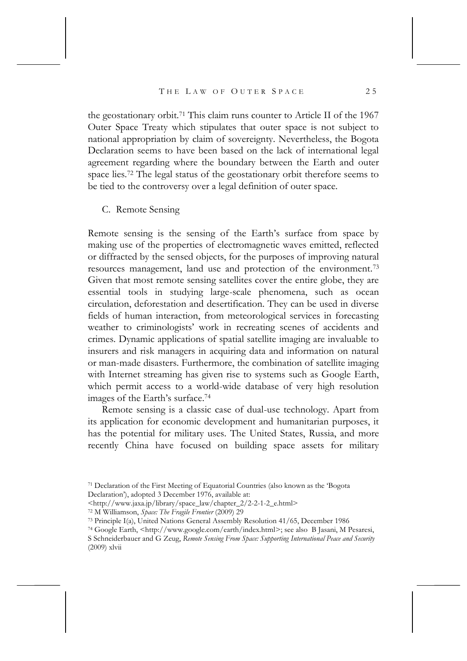the geostationary orbit.<sup>71</sup> This claim runs counter to Article II of the 1967 Outer Space Treaty which stipulates that outer space is not subject to national appropriation by claim of sovereignty. Nevertheless, the Bogota Declaration seems to have been based on the lack of international legal agreement regarding where the boundary between the Earth and outer space lies.<sup>72</sup> The legal status of the geostationary orbit therefore seems to be tied to the controversy over a legal definition of outer space.

C. Remote Sensing

Remote sensing is the sensing of the Earth's surface from space by making use of the properties of electromagnetic waves emitted, reflected or diffracted by the sensed objects, for the purposes of improving natural resources management, land use and protection of the environment.<sup>73</sup> Given that most remote sensing satellites cover the entire globe, they are essential tools in studying large-scale phenomena, such as ocean circulation, deforestation and desertification. They can be used in diverse fields of human interaction, from meteorological services in forecasting weather to criminologists' work in recreating scenes of accidents and crimes. Dynamic applications of spatial satellite imaging are invaluable to insurers and risk managers in acquiring data and information on natural or man-made disasters. Furthermore, the combination of satellite imaging with Internet streaming has given rise to systems such as Google Earth, which permit access to a world-wide database of very high resolution images of the Earth's surface. 74

Remote sensing is a classic case of dual-use technology. Apart from its application for economic development and humanitarian purposes, it has the potential for military uses. The United States, Russia, and more recently China have focused on building space assets for military

<sup>71</sup> Declaration of the First Meeting of Equatorial Countries (also known as the 'Bogota

Declaration'), adopted 3 December 1976, available at:

<sup>&</sup>lt;http://www.jaxa.jp/library/space\_law/chapter\_2/2-2-1-2\_e.html>

<sup>72</sup> M Williamson, *Space: The Fragile Frontier* (2009) 29

<sup>73</sup> Principle I(a), United Nations General Assembly Resolution 41/65, December 1986

<sup>74</sup> Google Earth, <http://www.google.com/earth/index.html>; see also B Jasani, M Pesaresi, S Schneiderbauer and G Zeug, *Remote Sensing From Space: Supporting International Peace and Security* (2009) xlvii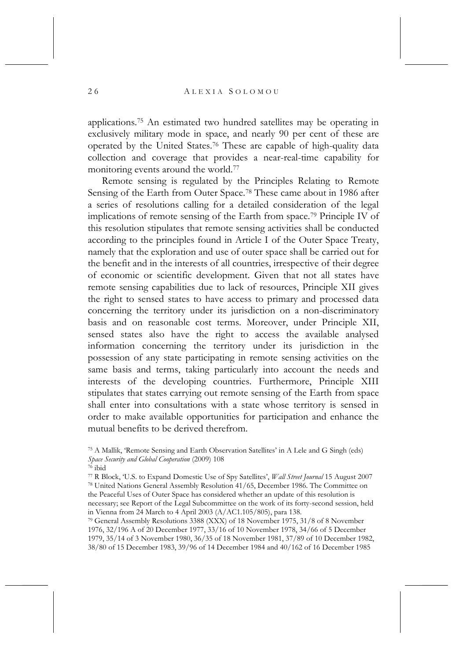applications.<sup>75</sup> An estimated two hundred satellites may be operating in exclusively military mode in space, and nearly 90 per cent of these are operated by the United States.<sup>76</sup> These are capable of high-quality data collection and coverage that provides a near-real-time capability for monitoring events around the world.<sup>77</sup>

Remote sensing is regulated by the Principles Relating to Remote Sensing of the Earth from Outer Space.<sup>78</sup> These came about in 1986 after a series of resolutions calling for a detailed consideration of the legal implications of remote sensing of the Earth from space.<sup>79</sup> Principle IV of this resolution stipulates that remote sensing activities shall be conducted according to the principles found in Article I of the Outer Space Treaty, namely that the exploration and use of outer space shall be carried out for the benefit and in the interests of all countries, irrespective of their degree of economic or scientific development. Given that not all states have remote sensing capabilities due to lack of resources, Principle XII gives the right to sensed states to have access to primary and processed data concerning the territory under its jurisdiction on a non-discriminatory basis and on reasonable cost terms. Moreover, under Principle XII, sensed states also have the right to access the available analysed information concerning the territory under its jurisdiction in the possession of any state participating in remote sensing activities on the same basis and terms, taking particularly into account the needs and interests of the developing countries. Furthermore, Principle XIII stipulates that states carrying out remote sensing of the Earth from space shall enter into consultations with a state whose territory is sensed in order to make available opportunities for participation and enhance the mutual benefits to be derived therefrom.

<sup>77</sup> R Block, 'U.S. to Expand Domestic Use of Spy Satellites', *Wall Street Journal* 15 August 2007 <sup>78</sup> United Nations General Assembly Resolution 41/65, December 1986. The Committee on the Peaceful Uses of Outer Space has considered whether an update of this resolution is necessary; see Report of the Legal Subcommittee on the work of its forty-second session, held in Vienna from 24 March to 4 April 2003 (A/AC1.105/805), para 138.

<sup>75</sup> A Mallik, 'Remote Sensing and Earth Observation Satellites' in A Lele and G Singh (eds) *Space Security and Global Cooperation* (2009) 108

<sup>76</sup> ibid

<sup>79</sup> General Assembly Resolutions 3388 (XXX) of 18 November 1975, 31/8 of 8 November 1976, 32/196 A of 20 December 1977, 33/16 of 10 November 1978, 34/66 of 5 December 1979, 35/14 of 3 November 1980, 36/35 of 18 November 1981, 37/89 of 10 December 1982, 38/80 of 15 December 1983, 39/96 of 14 December 1984 and 40/162 of 16 December 1985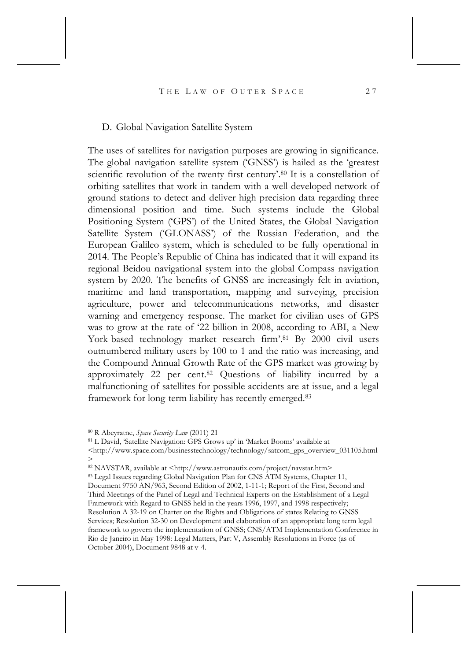#### D. Global Navigation Satellite System

The uses of satellites for navigation purposes are growing in significance. The global navigation satellite system ('GNSS') is hailed as the 'greatest scientific revolution of the twenty first century'.<sup>80</sup> It is a constellation of orbiting satellites that work in tandem with a well-developed network of ground stations to detect and deliver high precision data regarding three dimensional position and time. Such systems include the Global Positioning System ('GPS') of the United States, the Global Navigation Satellite System ('GLONASS') of the Russian Federation, and the European Galileo system, which is scheduled to be fully operational in 2014. The People's Republic of China has indicated that it will expand its regional Beidou navigational system into the global Compass navigation system by 2020. The benefits of GNSS are increasingly felt in aviation, maritime and land transportation, mapping and surveying, precision agriculture, power and telecommunications networks, and disaster warning and emergency response. The market for civilian uses of GPS was to grow at the rate of '22 billion in 2008, according to ABI, a New York-based technology market research firm'. <sup>81</sup> By 2000 civil users outnumbered military users by 100 to 1 and the ratio was increasing, and the Compound Annual Growth Rate of the GPS market was growing by approximately 22 per cent. <sup>82</sup> Questions of liability incurred by a malfunctioning of satellites for possible accidents are at issue, and a legal framework for long-term liability has recently emerged.<sup>83</sup>

<sup>80</sup> R Abeyratne, *Space Security Law* (2011) 21

<sup>81</sup> L David, 'Satellite Navigation: GPS Grows up' in 'Market Booms' available at

<sup>&</sup>lt;http://www.space.com/businesstechnology/technology/satcom\_gps\_overview\_031105.html >

<sup>82</sup> NAVSTAR, available at <http://www.astronautix.com/project/navstar.htm>

<sup>83</sup> Legal Issues regarding Global Navigation Plan for CNS ATM Systems, Chapter 11, Document 9750 AN/963, Second Edition of 2002, 1-11-1; Report of the First, Second and Third Meetings of the Panel of Legal and Technical Experts on the Establishment of a Legal Framework with Regard to GNSS held in the years 1996, 1997, and 1998 respectively; Resolution A 32-19 on Charter on the Rights and Obligations of states Relating to GNSS Services; Resolution 32-30 on Development and elaboration of an appropriate long term legal framework to govern the implementation of GNSS; CNS/ATM Implementation Conference in Rio de Janeiro in May 1998: Legal Matters, Part V, Assembly Resolutions in Force (as of October 2004), Document 9848 at v-4.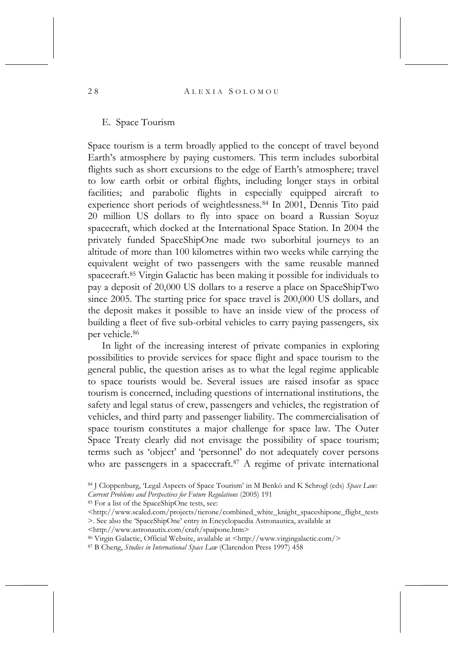#### 28 ALEXIA SOLOMOU

## E. Space Tourism

Space tourism is a term broadly applied to the concept of travel beyond Earth's atmosphere by paying customers. This term includes suborbital flights such as short excursions to the edge of Earth's atmosphere; travel to low earth orbit or orbital flights, including longer stays in orbital facilities; and parabolic flights in especially equipped aircraft to experience short periods of weightlessness.<sup>84</sup> In 2001, Dennis Tito paid 20 million US dollars to fly into space on board a Russian Soyuz spacecraft, which docked at the International Space Station. In 2004 the privately funded SpaceShipOne made two suborbital journeys to an altitude of more than 100 kilometres within two weeks while carrying the equivalent weight of two passengers with the same reusable manned spacecraft.<sup>85</sup> Virgin Galactic has been making it possible for individuals to pay a deposit of 20,000 US dollars to a reserve a place on SpaceShipTwo since 2005. The starting price for space travel is 200,000 US dollars, and the deposit makes it possible to have an inside view of the process of building a fleet of five sub-orbital vehicles to carry paying passengers, six per vehicle.<sup>86</sup>

In light of the increasing interest of private companies in exploring possibilities to provide services for space flight and space tourism to the general public, the question arises as to what the legal regime applicable to space tourists would be. Several issues are raised insofar as space tourism is concerned, including questions of international institutions, the safety and legal status of crew, passengers and vehicles, the registration of vehicles, and third party and passenger liability. The commercialisation of space tourism constitutes a major challenge for space law. The Outer Space Treaty clearly did not envisage the possibility of space tourism; terms such as 'object' and 'personnel' do not adequately cover persons who are passengers in a spacecraft.<sup>87</sup> A regime of private international

<sup>84</sup> J Cloppenburg, 'Legal Aspects of Space Tourism' in M Benkö and K Schrogl (eds) *Space Law: Current Problems and Perspectives for Future Regulations* (2005) 191

<sup>85</sup> For a list of the SpaceShipOne tests, see:

<sup>&</sup>lt;http://www.scaled.com/projects/tierone/combined\_white\_knight\_spaceshipone\_flight\_tests >. See also the 'SpaceShipOne' entry in Encyclopaedia Astronautica, available at

<sup>&</sup>lt;http://www.astronautix.com/craft/spaipone.htm>

<sup>86</sup> Virgin Galactic, Official Website, available at <http://www.virgingalactic.com/>

<sup>87</sup> B Cheng, *Studies in International Space Law* (Clarendon Press 1997) 458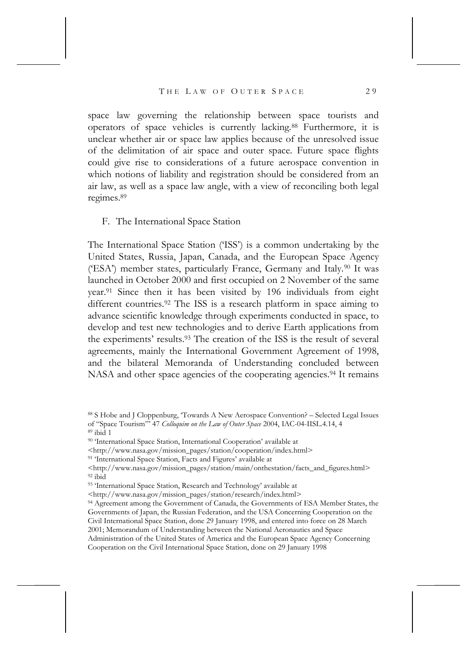space law governing the relationship between space tourists and operators of space vehicles is currently lacking.<sup>88</sup> Furthermore, it is unclear whether air or space law applies because of the unresolved issue of the delimitation of air space and outer space. Future space flights could give rise to considerations of a future aerospace convention in which notions of liability and registration should be considered from an air law, as well as a space law angle, with a view of reconciling both legal regimes.<sup>89</sup>

#### F. The International Space Station

The International Space Station ('ISS') is a common undertaking by the United States, Russia, Japan, Canada, and the European Space Agency ('ESA') member states, particularly France, Germany and Italy.<sup>90</sup> It was launched in October 2000 and first occupied on 2 November of the same year.<sup>91</sup> Since then it has been visited by 196 individuals from eight different countries.<sup>92</sup> The ISS is a research platform in space aiming to advance scientific knowledge through experiments conducted in space, to develop and test new technologies and to derive Earth applications from the experiments' results. <sup>93</sup> The creation of the ISS is the result of several agreements, mainly the International Government Agreement of 1998, and the bilateral Memoranda of Understanding concluded between NASA and other space agencies of the cooperating agencies.<sup>94</sup> It remains

<sup>88</sup> S Hobe and J Cloppenburg, 'Towards A New Aerospace Convention? – Selected Legal Issues of "Space Tourism"' 47 *Colloquim on the Law of Outer Space* 2004, IAC-04-IISL.4.14, 4 <sup>89</sup> ibid 1

<sup>90</sup> 'International Space Station, International Cooperation' available at

<sup>&</sup>lt;http://www.nasa.gov/mission\_pages/station/cooperation/index.html>

<sup>91</sup> 'International Space Station, Facts and Figures' available at

<sup>&</sup>lt;http://www.nasa.gov/mission\_pages/station/main/onthestation/facts\_and\_figures.html> <sup>92</sup> ibid

<sup>93 &#</sup>x27;International Space Station, Research and Technology' available at

<sup>&</sup>lt;http://www.nasa.gov/mission\_pages/station/research/index.html>

<sup>94</sup> Agreement among the Government of Canada, the Governments of ESA Member States, the Governments of Japan, the Russian Federation, and the USA Concerning Cooperation on the Civil International Space Station, done 29 January 1998, and entered into force on 28 March 2001; Memorandum of Understanding between the National Aeronautics and Space

Administration of the United States of America and the European Space Agency Concerning Cooperation on the Civil International Space Station, done on 29 January 1998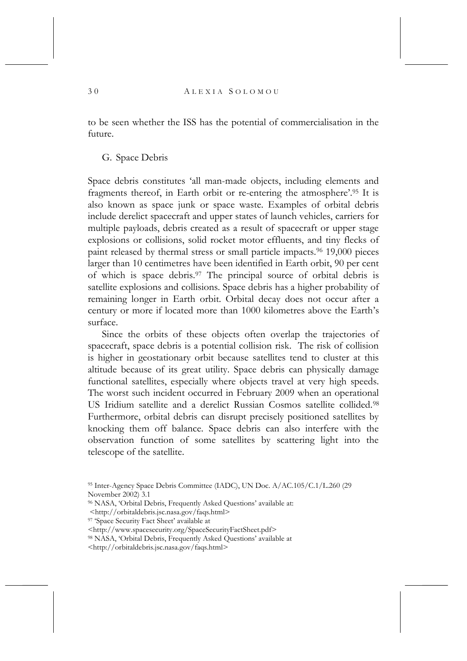to be seen whether the ISS has the potential of commercialisation in the future.

## G. Space Debris

Space debris constitutes 'all man-made objects, including elements and fragments thereof, in Earth orbit or re-entering the atmosphere'. <sup>95</sup> It is also known as space junk or space waste. Examples of orbital debris include derelict spacecraft and upper states of launch vehicles, carriers for multiple payloads, debris created as a result of spacecraft or upper stage explosions or collisions, solid rocket motor effluents, and tiny flecks of paint released by thermal stress or small particle impacts.<sup>96</sup> 19,000 pieces larger than 10 centimetres have been identified in Earth orbit, 90 per cent of which is space debris.<sup>97</sup> The principal source of orbital debris is satellite explosions and collisions. Space debris has a higher probability of remaining longer in Earth orbit. Orbital decay does not occur after a century or more if located more than 1000 kilometres above the Earth's surface.

Since the orbits of these objects often overlap the trajectories of spacecraft, space debris is a potential collision risk. The risk of collision is higher in geostationary orbit because satellites tend to cluster at this altitude because of its great utility. Space debris can physically damage functional satellites, especially where objects travel at very high speeds. The worst such incident occurred in February 2009 when an operational US Iridium satellite and a derelict Russian Cosmos satellite collided.<sup>98</sup> Furthermore, orbital debris can disrupt precisely positioned satellites by knocking them off balance. Space debris can also interfere with the observation function of some satellites by scattering light into the telescope of the satellite.

<sup>98</sup> NASA, 'Orbital Debris, Frequently Asked Questions' available at

<sup>95</sup> Inter-Agency Space Debris Committee (IADC), UN Doc. A/AC.105/C.1/L.260 (29 November 2002) 3.1

<sup>96</sup> NASA, 'Orbital Debris, Frequently Asked Questions' available at:

<sup>&</sup>lt;http://orbitaldebris.jsc.nasa.gov/faqs.html>

<sup>97</sup> 'Space Security Fact Sheet' available at

<sup>&</sup>lt;http://www.spacesecurity.org/SpaceSecurityFactSheet.pdf>

<sup>&</sup>lt;http://orbitaldebris.jsc.nasa.gov/faqs.html>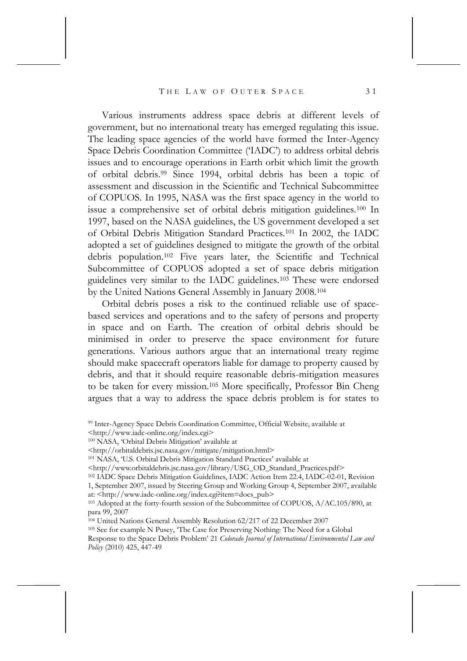#### THE LAW OF OUTER SPACE 31

Various instruments address space debris at different levels of government, but no international treaty has emerged regulating this issue. The leading space agencies of the world have formed the Inter-Agency Space Debris Coordination Committee ('IADC') to address orbital debris issues and to encourage operations in Earth orbit which limit the growth of orbital debris.<sup>99</sup> Since 1994, orbital debris has been a topic of assessment and discussion in the Scientific and Technical Subcommittee of COPUOS. In 1995, NASA was the first space agency in the world to issue a comprehensive set of orbital debris mitigation guidelines.<sup>100</sup> In 1997, based on the NASA guidelines, the US government developed a set of Orbital Debris Mitigation Standard Practices.<sup>101</sup> In 2002, the IADC adopted a set of guidelines designed to mitigate the growth of the orbital debris population.<sup>102</sup> Five years later, the Scientific and Technical Subcommittee of COPUOS adopted a set of space debris mitigation guidelines very similar to the IADC guidelines.<sup>103</sup> These were endorsed by the United Nations General Assembly in January 2008.<sup>104</sup>

Orbital debris poses a risk to the continued reliable use of spacebased services and operations and to the safety of persons and property in space and on Earth. The creation of orbital debris should be minimised in order to preserve the space environment for future generations. Various authors argue that an international treaty regime should make spacecraft operators liable for damage to property caused by debris, and that it should require reasonable debris-mitigation measures to be taken for every mission.<sup>105</sup> More specifically, Professor Bin Cheng argues that a way to address the space debris problem is for states to

<sup>104</sup> United Nations General Assembly Resolution 62/217 of 22 December 2007

<sup>99</sup> Inter-Agency Space Debris Coordination Committee, Official Website, available at

<sup>&</sup>lt;http://www.iadc-online.org/index.cgi>

<sup>100</sup> NASA, 'Orbital Debris Mitigation' available at

<sup>&</sup>lt;http://orbitaldebris.jsc.nasa.gov/mitigate/mitigation.html>

<sup>101</sup> NASA, 'U.S. Orbital Debris Mitigation Standard Practices' available at

<sup>&</sup>lt;http://www.orbitaldebris.jsc.nasa.gov/library/USG\_OD\_Standard\_Practices.pdf>

<sup>102</sup> IADC Space Debris Mitigation Guidelines, IADC Action Item 22.4, IADC-02-01, Revision 1, September 2007, issued by Steering Group and Working Group 4, September 2007, available at: <http://www.iadc-online.org/index.cgi?item=docs\_pub>

<sup>103</sup> Adopted at the forty-fourth session of the Subcommittee of COPUOS, A/AC.105/890, at para 99, 2007

<sup>105</sup> See for example N Pusey, 'The Case for Preserving Nothing: The Need for a Global

Response to the Space Debris Problem' 21 *Colorado Journal of International Environmental Law and Policy* (2010) 425, 447-49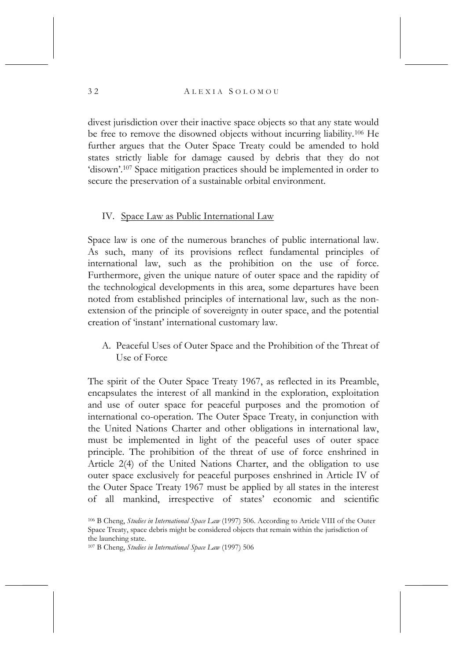### 32 A L E X I A S O L O M O U

divest jurisdiction over their inactive space objects so that any state would be free to remove the disowned objects without incurring liability.<sup>106</sup> He further argues that the Outer Space Treaty could be amended to hold states strictly liable for damage caused by debris that they do not 'disown'. <sup>107</sup> Space mitigation practices should be implemented in order to secure the preservation of a sustainable orbital environment.

## IV. Space Law as Public International Law

Space law is one of the numerous branches of public international law. As such, many of its provisions reflect fundamental principles of international law, such as the prohibition on the use of force. Furthermore, given the unique nature of outer space and the rapidity of the technological developments in this area, some departures have been noted from established principles of international law, such as the nonextension of the principle of sovereignty in outer space, and the potential creation of 'instant' international customary law.

A. Peaceful Uses of Outer Space and the Prohibition of the Threat of Use of Force

The spirit of the Outer Space Treaty 1967, as reflected in its Preamble, encapsulates the interest of all mankind in the exploration, exploitation and use of outer space for peaceful purposes and the promotion of international co-operation. The Outer Space Treaty, in conjunction with the United Nations Charter and other obligations in international law, must be implemented in light of the peaceful uses of outer space principle. The prohibition of the threat of use of force enshrined in Article 2(4) of the United Nations Charter, and the obligation to use outer space exclusively for peaceful purposes enshrined in Article IV of the Outer Space Treaty 1967 must be applied by all states in the interest of all mankind, irrespective of states' economic and scientific

<sup>106</sup> B Cheng, *Studies in International Space Law* (1997) 506. According to Article VIII of the Outer Space Treaty, space debris might be considered objects that remain within the jurisdiction of the launching state.

<sup>107</sup> B Cheng, *Studies in International Space Law* (1997) 506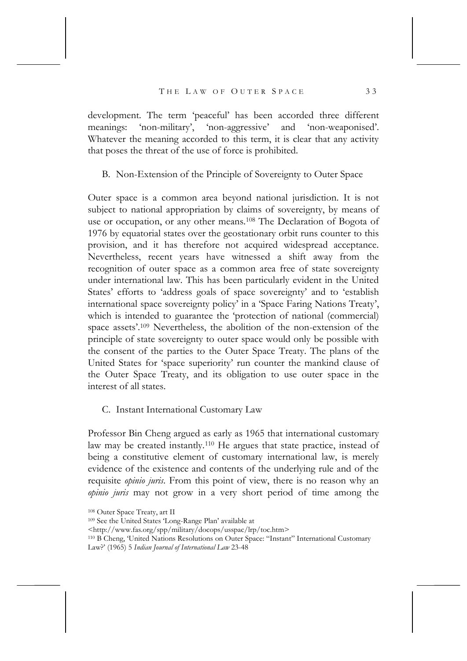### THE LAW OF OUTER SPACE 33

development. The term 'peaceful' has been accorded three different meanings: 'non-military', 'non-aggressive' and 'non-weaponised'. Whatever the meaning accorded to this term, it is clear that any activity that poses the threat of the use of force is prohibited.

B. Non-Extension of the Principle of Sovereignty to Outer Space

Outer space is a common area beyond national jurisdiction. It is not subject to national appropriation by claims of sovereignty, by means of use or occupation, or any other means.<sup>108</sup> The Declaration of Bogota of 1976 by equatorial states over the geostationary orbit runs counter to this provision, and it has therefore not acquired widespread acceptance. Nevertheless, recent years have witnessed a shift away from the recognition of outer space as a common area free of state sovereignty under international law. This has been particularly evident in the United States' efforts to 'address goals of space sovereignty' and to 'establish international space sovereignty policy' in a 'Space Faring Nations Treaty', which is intended to guarantee the 'protection of national (commercial) space assets'. <sup>109</sup> Nevertheless, the abolition of the non-extension of the principle of state sovereignty to outer space would only be possible with the consent of the parties to the Outer Space Treaty. The plans of the United States for 'space superiority' run counter the mankind clause of the Outer Space Treaty, and its obligation to use outer space in the interest of all states.

## C. Instant International Customary Law

Professor Bin Cheng argued as early as 1965 that international customary law may be created instantly.<sup>110</sup> He argues that state practice, instead of being a constitutive element of customary international law, is merely evidence of the existence and contents of the underlying rule and of the requisite *opinio juris*. From this point of view, there is no reason why an *opinio juris* may not grow in a very short period of time among the

<sup>108</sup> Outer Space Treaty, art II

<sup>109</sup> See the United States 'Long-Range Plan' available at

<sup>&</sup>lt;http://www.fas.org/spp/military/docops/usspac/lrp/toc.htm>

<sup>110</sup> B Cheng, 'United Nations Resolutions on Outer Space: "Instant" International Customary

Law?' (1965) 5 *Indian Journal of International Law* 23-48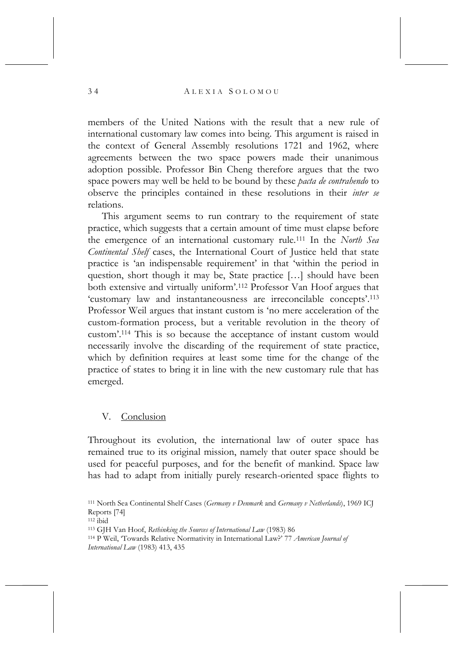### 34 A L E X I A S O L O M O U

members of the United Nations with the result that a new rule of international customary law comes into being. This argument is raised in the context of General Assembly resolutions 1721 and 1962, where agreements between the two space powers made their unanimous adoption possible. Professor Bin Cheng therefore argues that the two space powers may well be held to be bound by these *pacta de contrahendo* to observe the principles contained in these resolutions in their *inter se* relations.

This argument seems to run contrary to the requirement of state practice, which suggests that a certain amount of time must elapse before the emergence of an international customary rule.<sup>111</sup> In the *North Sea Continental Shelf* cases, the International Court of Justice held that state practice is 'an indispensable requirement' in that 'within the period in question, short though it may be, State practice […] should have been both extensive and virtually uniform'. <sup>112</sup> Professor Van Hoof argues that 'customary law and instantaneousness are irreconcilable concepts'. 113 Professor Weil argues that instant custom is 'no mere acceleration of the custom-formation process, but a veritable revolution in the theory of custom'. <sup>114</sup> This is so because the acceptance of instant custom would necessarily involve the discarding of the requirement of state practice, which by definition requires at least some time for the change of the practice of states to bring it in line with the new customary rule that has emerged.

# V. Conclusion

Throughout its evolution, the international law of outer space has remained true to its original mission, namely that outer space should be used for peaceful purposes, and for the benefit of mankind. Space law has had to adapt from initially purely research-oriented space flights to

<sup>111</sup> North Sea Continental Shelf Cases (*Germany v Denmark* and *Germany v Netherlands*), 1969 ICJ Reports [74]

<sup>112</sup> ibid

<sup>113</sup> GJH Van Hoof, *Rethinking the Sources of International Law* (1983) 86

<sup>114</sup> P Weil, 'Towards Relative Normativity in International Law?' 77 *American Journal of International Law* (1983) 413, 435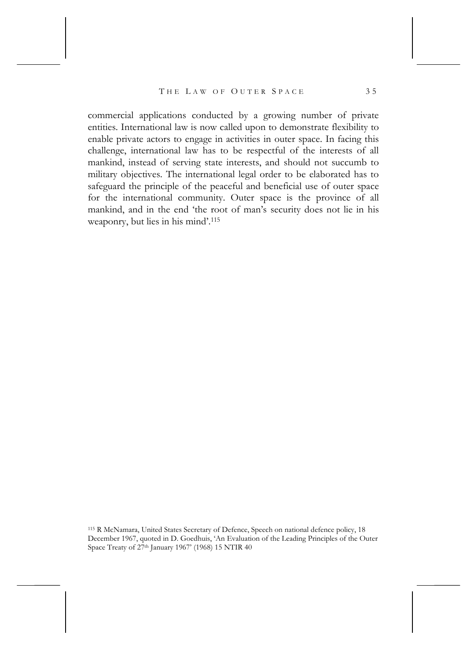### THE LAW OF OUTER SPACE 35

commercial applications conducted by a growing number of private entities. International law is now called upon to demonstrate flexibility to enable private actors to engage in activities in outer space. In facing this challenge, international law has to be respectful of the interests of all mankind, instead of serving state interests, and should not succumb to military objectives. The international legal order to be elaborated has to safeguard the principle of the peaceful and beneficial use of outer space for the international community. Outer space is the province of all mankind, and in the end 'the root of man's security does not lie in his weaponry, but lies in his mind'. 115

<sup>115</sup> R McNamara, United States Secretary of Defence, Speech on national defence policy, 18 December 1967, quoted in D. Goedhuis, 'An Evaluation of the Leading Principles of the Outer Space Treaty of 27th January 1967' (1968) 15 NTIR 40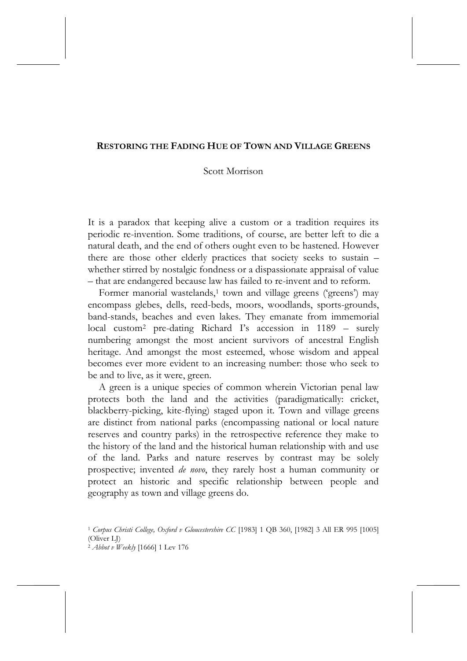# **RESTORING THE FADING HUE OF TOWN AND VILLAGE GREENS**

## Scott Morrison

It is a paradox that keeping alive a custom or a tradition requires its periodic re-invention. Some traditions, of course, are better left to die a natural death, and the end of others ought even to be hastened. However there are those other elderly practices that society seeks to sustain – whether stirred by nostalgic fondness or a dispassionate appraisal of value – that are endangered because law has failed to re-invent and to reform.

Former manorial wastelands,<sup>1</sup> town and village greens ('greens') may encompass glebes, dells, reed-beds, moors, woodlands, sports-grounds, band-stands, beaches and even lakes. They emanate from immemorial local custom<sup>2</sup> pre-dating Richard I's accession in 1189 – surely numbering amongst the most ancient survivors of ancestral English heritage. And amongst the most esteemed, whose wisdom and appeal becomes ever more evident to an increasing number: those who seek to be and to live, as it were, green.

A green is a unique species of common wherein Victorian penal law protects both the land and the activities (paradigmatically: cricket, blackberry-picking, kite-flying) staged upon it. Town and village greens are distinct from national parks (encompassing national or local nature reserves and country parks) in the retrospective reference they make to the history of the land and the historical human relationship with and use of the land. Parks and nature reserves by contrast may be solely prospective; invented *de novo*, they rarely host a human community or protect an historic and specific relationship between people and geography as town and village greens do.

<sup>1</sup> *Corpus Christi College, Oxford v Gloucestershire CC* [1983] 1 QB 360, [1982] 3 All ER 995 [1005] (Oliver LJ) <sup>2</sup> *Abbot v Weekly* [1666] 1 Lev 176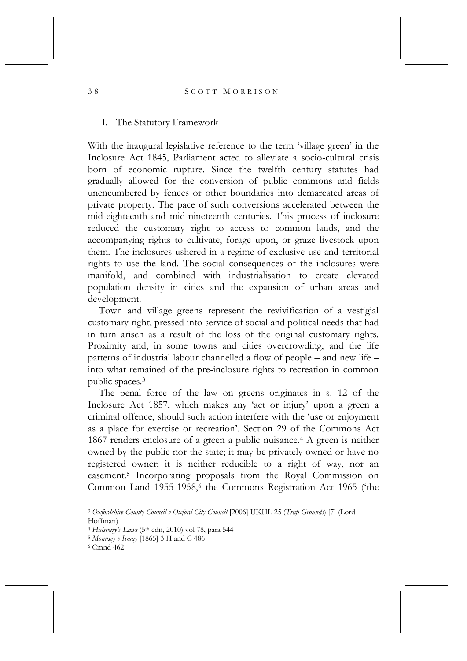#### 38 SCOTT MORRISON

### I. The Statutory Framework

With the inaugural legislative reference to the term 'village green' in the Inclosure Act 1845, Parliament acted to alleviate a socio-cultural crisis born of economic rupture. Since the twelfth century statutes had gradually allowed for the conversion of public commons and fields unencumbered by fences or other boundaries into demarcated areas of private property. The pace of such conversions accelerated between the mid-eighteenth and mid-nineteenth centuries. This process of inclosure reduced the customary right to access to common lands, and the accompanying rights to cultivate, forage upon, or graze livestock upon them. The inclosures ushered in a regime of exclusive use and territorial rights to use the land. The social consequences of the inclosures were manifold, and combined with industrialisation to create elevated population density in cities and the expansion of urban areas and development.

Town and village greens represent the revivification of a vestigial customary right, pressed into service of social and political needs that had in turn arisen as a result of the loss of the original customary rights. Proximity and, in some towns and cities overcrowding, and the life patterns of industrial labour channelled a flow of people – and new life – into what remained of the pre-inclosure rights to recreation in common public spaces.<sup>3</sup>

The penal force of the law on greens originates in s. 12 of the Inclosure Act 1857, which makes any 'act or injury' upon a green a criminal offence, should such action interfere with the 'use or enjoyment as a place for exercise or recreation'. Section 29 of the Commons Act 1867 renders enclosure of a green a public nuisance.<sup>4</sup> A green is neither owned by the public nor the state; it may be privately owned or have no registered owner; it is neither reducible to a right of way, nor an easement.<sup>5</sup> Incorporating proposals from the Royal Commission on Common Land 1955-1958, 6 the Commons Registration Act 1965 ('the

<sup>3</sup> *Oxfordshire County Council v Oxford City Council* [2006] UKHL 25 (*Trap Grounds*) [7] (Lord Hoffman)

<sup>4</sup> *Halsbury's Laws* (5th edn, 2010) vol 78, para 544

<sup>5</sup> *Mounsey v Ismay* [1865] 3 H and C 486

<sup>6</sup> Cmnd 462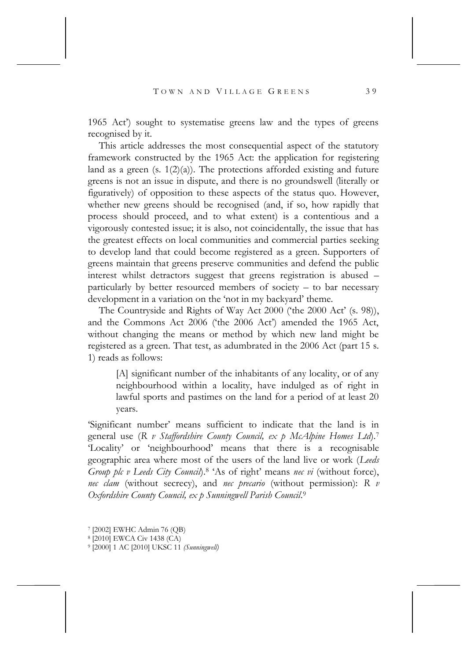1965 Act') sought to systematise greens law and the types of greens recognised by it.

This article addresses the most consequential aspect of the statutory framework constructed by the 1965 Act: the application for registering land as a green (s.  $1(2)(a)$ ). The protections afforded existing and future greens is not an issue in dispute, and there is no groundswell (literally or figuratively) of opposition to these aspects of the status quo. However, whether new greens should be recognised (and, if so, how rapidly that process should proceed, and to what extent) is a contentious and a vigorously contested issue; it is also, not coincidentally, the issue that has the greatest effects on local communities and commercial parties seeking to develop land that could become registered as a green. Supporters of greens maintain that greens preserve communities and defend the public interest whilst detractors suggest that greens registration is abused – particularly by better resourced members of society – to bar necessary development in a variation on the 'not in my backyard' theme.

The Countryside and Rights of Way Act 2000 ('the 2000 Act' (s. 98)), and the Commons Act 2006 ('the 2006 Act') amended the 1965 Act, without changing the means or method by which new land might be registered as a green. That test, as adumbrated in the 2006 Act (part 15 s. 1) reads as follows:

[A] significant number of the inhabitants of any locality, or of any neighbourhood within a locality, have indulged as of right in lawful sports and pastimes on the land for a period of at least 20 years.

'Significant number' means sufficient to indicate that the land is in general use (*R v Staffordshire County Council, ex p McAlpine Homes Ltd*). 7 'Locality' or 'neighbourhood' means that there is a recognisable geographic area where most of the users of the land live or work (*Leeds Group plc v Leeds City Council*).<sup>8</sup> 'As of right' means *nec vi* (without force), *nec clam* (without secrecy), and *nec precario* (without permission): *R v Oxfordshire County Council, ex p Sunningwell Parish Council*. 9

<sup>7</sup> [2002] EWHC Admin 76 (QB)

<sup>8</sup> [2010] EWCA Civ 1438 (CA)

<sup>9</sup> [2000] 1 AC [2010] UKSC 11 *(Sunningwell)*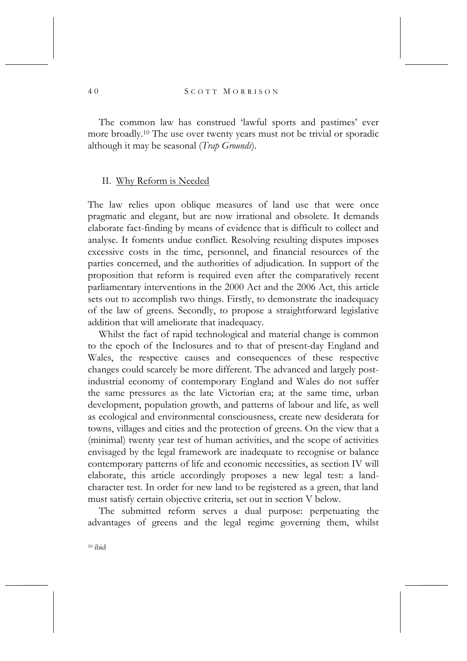### 40 SCOTT MORRISON

The common law has construed 'lawful sports and pastimes' ever more broadly.<sup>10</sup> The use over twenty years must not be trivial or sporadic although it may be seasonal (*Trap Grounds*).

### II. Why Reform is Needed

The law relies upon oblique measures of land use that were once pragmatic and elegant, but are now irrational and obsolete. It demands elaborate fact-finding by means of evidence that is difficult to collect and analyse. It foments undue conflict. Resolving resulting disputes imposes excessive costs in the time, personnel, and financial resources of the parties concerned, and the authorities of adjudication. In support of the proposition that reform is required even after the comparatively recent parliamentary interventions in the 2000 Act and the 2006 Act, this article sets out to accomplish two things. Firstly, to demonstrate the inadequacy of the law of greens. Secondly, to propose a straightforward legislative addition that will ameliorate that inadequacy.

Whilst the fact of rapid technological and material change is common to the epoch of the Inclosures and to that of present-day England and Wales, the respective causes and consequences of these respective changes could scarcely be more different. The advanced and largely postindustrial economy of contemporary England and Wales do not suffer the same pressures as the late Victorian era; at the same time, urban development, population growth, and patterns of labour and life, as well as ecological and environmental consciousness, create new desiderata for towns, villages and cities and the protection of greens. On the view that a (minimal) twenty year test of human activities, and the scope of activities envisaged by the legal framework are inadequate to recognise or balance contemporary patterns of life and economic necessities, as section IV will elaborate, this article accordingly proposes a new legal test: a landcharacter test. In order for new land to be registered as a green, that land must satisfy certain objective criteria, set out in section V below.

The submitted reform serves a dual purpose: perpetuating the advantages of greens and the legal regime governing them, whilst

 $10$  ibid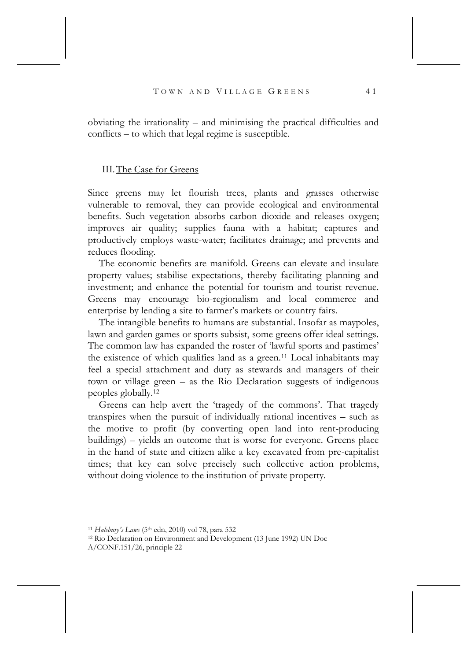obviating the irrationality – and minimising the practical difficulties and conflicts – to which that legal regime is susceptible.

### III.The Case for Greens

Since greens may let flourish trees, plants and grasses otherwise vulnerable to removal, they can provide ecological and environmental benefits. Such vegetation absorbs carbon dioxide and releases oxygen; improves air quality; supplies fauna with a habitat; captures and productively employs waste-water; facilitates drainage; and prevents and reduces flooding.

The economic benefits are manifold. Greens can elevate and insulate property values; stabilise expectations, thereby facilitating planning and investment; and enhance the potential for tourism and tourist revenue. Greens may encourage bio-regionalism and local commerce and enterprise by lending a site to farmer's markets or country fairs.

The intangible benefits to humans are substantial. Insofar as maypoles, lawn and garden games or sports subsist, some greens offer ideal settings. The common law has expanded the roster of 'lawful sports and pastimes' the existence of which qualifies land as a green.<sup>11</sup> Local inhabitants may feel a special attachment and duty as stewards and managers of their town or village green – as the Rio Declaration suggests of indigenous peoples globally.<sup>12</sup>

Greens can help avert the 'tragedy of the commons'. That tragedy transpires when the pursuit of individually rational incentives – such as the motive to profit (by converting open land into rent-producing buildings) – yields an outcome that is worse for everyone. Greens place in the hand of state and citizen alike a key excavated from pre-capitalist times; that key can solve precisely such collective action problems, without doing violence to the institution of private property.

<sup>11</sup> *Halsbury's Laws* (5th edn, 2010) vol 78, para 532

<sup>12</sup> Rio Declaration on Environment and Development (13 June 1992) UN Doc A/CONF.151/26, principle 22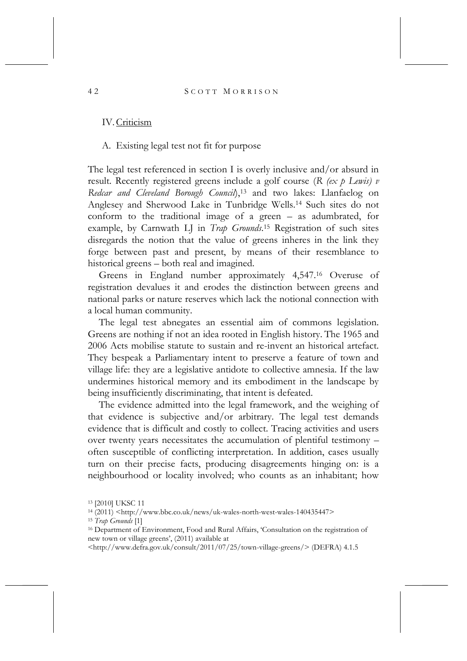### 4 2 S C O T T M O R R I S O N

### IV.Criticism

### A. Existing legal test not fit for purpose

The legal test referenced in section I is overly inclusive and/or absurd in result. Recently registered greens include a golf course (*R (ex p Lewis) v Redcar and Cleveland Borough Council*),<sup>13</sup> and two lakes: Llanfaelog on Anglesey and Sherwood Lake in Tunbridge Wells.<sup>14</sup> Such sites do not conform to the traditional image of a green – as adumbrated, for example, by Carnwath LJ in *Trap Grounds*. <sup>15</sup> Registration of such sites disregards the notion that the value of greens inheres in the link they forge between past and present, by means of their resemblance to historical greens – both real and imagined.

Greens in England number approximately 4,547.<sup>16</sup> Overuse of registration devalues it and erodes the distinction between greens and national parks or nature reserves which lack the notional connection with a local human community.

The legal test abnegates an essential aim of commons legislation. Greens are nothing if not an idea rooted in English history. The 1965 and 2006 Acts mobilise statute to sustain and re-invent an historical artefact. They bespeak a Parliamentary intent to preserve a feature of town and village life: they are a legislative antidote to collective amnesia. If the law undermines historical memory and its embodiment in the landscape by being insufficiently discriminating, that intent is defeated.

The evidence admitted into the legal framework, and the weighing of that evidence is subjective and/or arbitrary. The legal test demands evidence that is difficult and costly to collect. Tracing activities and users over twenty years necessitates the accumulation of plentiful testimony – often susceptible of conflicting interpretation. In addition, cases usually turn on their precise facts, producing disagreements hinging on: is a neighbourhood or locality involved; who counts as an inhabitant; how

<sup>13</sup> [2010] UKSC 11

<sup>14</sup> (2011) <http://www.bbc.co.uk/news/uk-wales-north-west-wales-140435447>

<sup>15</sup> *Trap Grounds* [1]

<sup>16</sup> Department of Environment, Food and Rural Affairs, 'Consultation on the registration of new town or village greens', (2011) available at

<sup>&</sup>lt;http://www.defra.gov.uk/consult/2011/07/25/town-village-greens/> (DEFRA) 4.1.5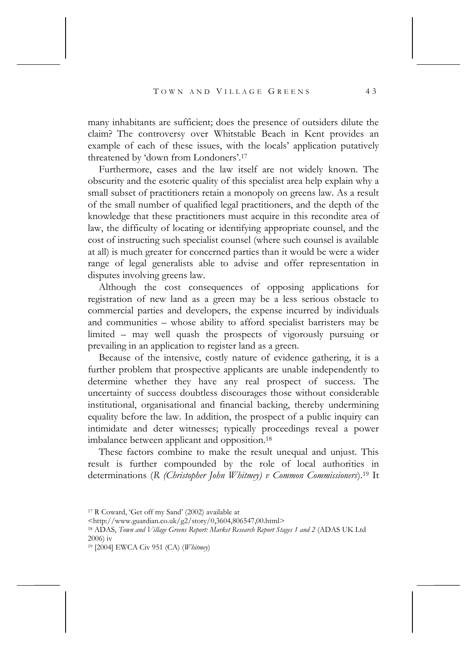many inhabitants are sufficient; does the presence of outsiders dilute the claim? The controversy over Whitstable Beach in Kent provides an example of each of these issues, with the locals' application putatively threatened by 'down from Londoners'. 17

Furthermore, cases and the law itself are not widely known. The obscurity and the esoteric quality of this specialist area help explain why a small subset of practitioners retain a monopoly on greens law. As a result of the small number of qualified legal practitioners, and the depth of the knowledge that these practitioners must acquire in this recondite area of law, the difficulty of locating or identifying appropriate counsel, and the cost of instructing such specialist counsel (where such counsel is available at all) is much greater for concerned parties than it would be were a wider range of legal generalists able to advise and offer representation in disputes involving greens law.

Although the cost consequences of opposing applications for registration of new land as a green may be a less serious obstacle to commercial parties and developers, the expense incurred by individuals and communities – whose ability to afford specialist barristers may be limited – may well quash the prospects of vigorously pursuing or prevailing in an application to register land as a green.

Because of the intensive, costly nature of evidence gathering, it is a further problem that prospective applicants are unable independently to determine whether they have any real prospect of success. The uncertainty of success doubtless discourages those without considerable institutional, organisational and financial backing, thereby undermining equality before the law. In addition, the prospect of a public inquiry can intimidate and deter witnesses; typically proceedings reveal a power imbalance between applicant and opposition.<sup>18</sup>

These factors combine to make the result unequal and unjust. This result is further compounded by the role of local authorities in determinations (*R (Christopher John Whitmey) v Common Commissioners*). <sup>19</sup> It

<sup>17</sup> R Coward, 'Get off my Sand' (2002) available at

 $\langle$ http://www.guardian.co.uk/g2/story/0,3604,806547,00.html>

<sup>18</sup> ADAS, *Town and Village Greens Report: Market Research Report Stages 1 and 2* (ADAS UK Ltd 2006) iv

<sup>19</sup> [2004] EWCA Civ 951 (CA) (*Whitmey*)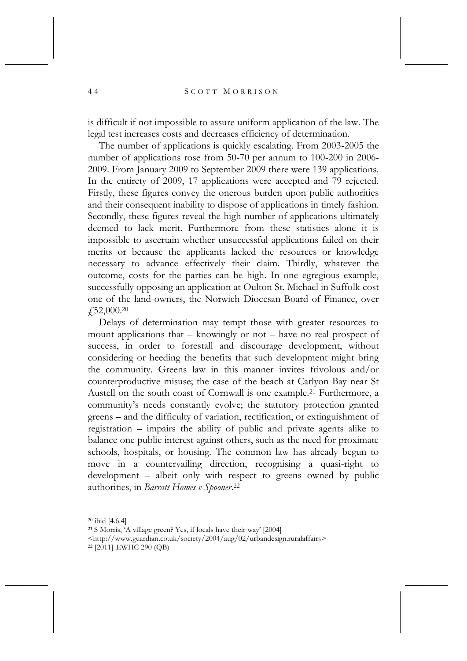#### 4 4 S C O T T M O R R I S O N

is difficult if not impossible to assure uniform application of the law. The legal test increases costs and decreases efficiency of determination*.*

The number of applications is quickly escalating. From 2003-2005 the number of applications rose from 50-70 per annum to 100-200 in 2006- 2009. From January 2009 to September 2009 there were 139 applications. In the entirety of 2009, 17 applications were accepted and 79 rejected. Firstly, these figures convey the onerous burden upon public authorities and their consequent inability to dispose of applications in timely fashion. Secondly, these figures reveal the high number of applications ultimately deemed to lack merit. Furthermore from these statistics alone it is impossible to ascertain whether unsuccessful applications failed on their merits or because the applicants lacked the resources or knowledge necessary to advance effectively their claim. Thirdly, whatever the outcome, costs for the parties can be high. In one egregious example, successfully opposing an application at Oulton St. Michael in Suffolk cost one of the land-owners, the Norwich Diocesan Board of Finance, over £52,000.<sup>20</sup>

Delays of determination may tempt those with greater resources to mount applications that – knowingly or not – have no real prospect of success, in order to forestall and discourage development, without considering or heeding the benefits that such development might bring the community. Greens law in this manner invites frivolous and/or counterproductive misuse; the case of the beach at Carlyon Bay near St Austell on the south coast of Cornwall is one example.<sup>21</sup> Furthermore, a community's needs constantly evolve; the statutory protection granted greens – and the difficulty of variation, rectification, or extinguishment of registration – impairs the ability of public and private agents alike to balance one public interest against others, such as the need for proximate schools, hospitals, or housing. The common law has already begun to move in a countervailing direction, recognising a quasi-right to development – albeit only with respect to greens owned by public authorities, in *Barratt Homes v Spooner*. 22

<sup>20</sup> ibid [4.6.4]

**<sup>21</sup>** S Morris, 'A village green? Yes, if locals have their way' [2004]

<sup>&</sup>lt;http://www.guardian.co.uk/society/2004/aug/02/urbandesign.ruralaffairs> <sup>22</sup> [2011] EWHC 290 (QB)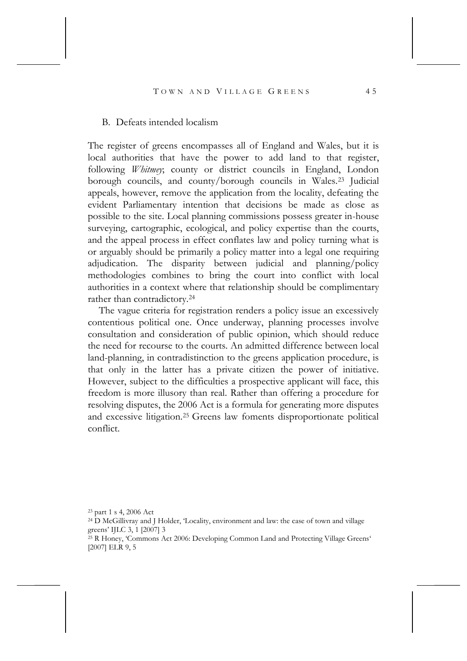### TOWN AND VILLAGE GREENS 45

## B. Defeats intended localism

The register of greens encompasses all of England and Wales, but it is local authorities that have the power to add land to that register, following *Whitmey*; county or district councils in England, London borough councils, and county/borough councils in Wales.<sup>23</sup> Judicial appeals, however, remove the application from the locality, defeating the evident Parliamentary intention that decisions be made as close as possible to the site. Local planning commissions possess greater in-house surveying, cartographic, ecological, and policy expertise than the courts, and the appeal process in effect conflates law and policy turning what is or arguably should be primarily a policy matter into a legal one requiring adjudication. The disparity between judicial and planning/policy methodologies combines to bring the court into conflict with local authorities in a context where that relationship should be complimentary rather than contradictory.<sup>24</sup>

The vague criteria for registration renders a policy issue an excessively contentious political one. Once underway, planning processes involve consultation and consideration of public opinion, which should reduce the need for recourse to the courts. An admitted difference between local land-planning, in contradistinction to the greens application procedure, is that only in the latter has a private citizen the power of initiative. However, subject to the difficulties a prospective applicant will face, this freedom is more illusory than real. Rather than offering a procedure for resolving disputes, the 2006 Act is a formula for generating more disputes and excessive litigation.<sup>25</sup> Greens law foments disproportionate political conflict.

<sup>24</sup> D McGillivray and J Holder, 'Locality, environment and law: the case of town and village greens' IJLC 3, 1 [2007] 3

<sup>23</sup> part 1 s 4, 2006 Act

<sup>25</sup> R Honey, 'Commons Act 2006: Developing Common Land and Protecting Village Greens' [2007] ELR 9, 5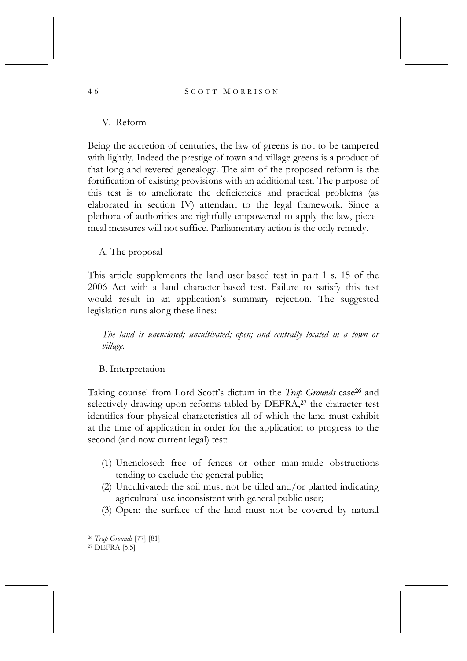### 4 6 S C O T T M O R R I S O N

# V. Reform

Being the accretion of centuries, the law of greens is not to be tampered with lightly. Indeed the prestige of town and village greens is a product of that long and revered genealogy. The aim of the proposed reform is the fortification of existing provisions with an additional test. The purpose of this test is to ameliorate the deficiencies and practical problems (as elaborated in section IV) attendant to the legal framework. Since a plethora of authorities are rightfully empowered to apply the law, piecemeal measures will not suffice. Parliamentary action is the only remedy.

# A. The proposal

This article supplements the land user-based test in part 1 s. 15 of the 2006 Act with a land character-based test. Failure to satisfy this test would result in an application's summary rejection. The suggested legislation runs along these lines:

*The land is unenclosed; uncultivated; open; and centrally located in a town or village.*

## B. Interpretation

Taking counsel from Lord Scott's dictum in the *Trap Grounds* case**<sup>26</sup>** and selectively drawing upon reforms tabled by DEFRA,**<sup>27</sup>** the character test identifies four physical characteristics all of which the land must exhibit at the time of application in order for the application to progress to the second (and now current legal) test:

- (1) Unenclosed: free of fences or other man-made obstructions tending to exclude the general public;
- (2) Uncultivated: the soil must not be tilled and/or planted indicating agricultural use inconsistent with general public user;
- (3) Open: the surface of the land must not be covered by natural

<sup>26</sup> *Trap Grounds* [77]-[81] <sup>27</sup> DEFRA [5.5]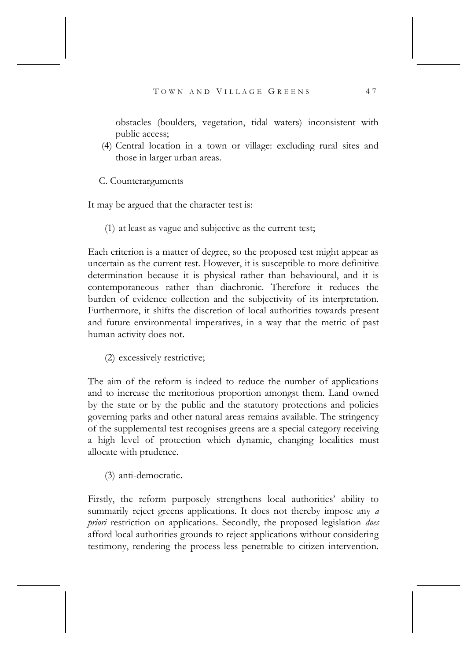obstacles (boulders, vegetation, tidal waters) inconsistent with public access;

- (4) Central location in a town or village: excluding rural sites and those in larger urban areas.
- C. Counterarguments

It may be argued that the character test is:

(1) at least as vague and subjective as the current test;

Each criterion is a matter of degree, so the proposed test might appear as uncertain as the current test. However, it is susceptible to more definitive determination because it is physical rather than behavioural, and it is contemporaneous rather than diachronic. Therefore it reduces the burden of evidence collection and the subjectivity of its interpretation. Furthermore, it shifts the discretion of local authorities towards present and future environmental imperatives, in a way that the metric of past human activity does not.

(2) excessively restrictive;

The aim of the reform is indeed to reduce the number of applications and to increase the meritorious proportion amongst them. Land owned by the state or by the public and the statutory protections and policies governing parks and other natural areas remains available. The stringency of the supplemental test recognises greens are a special category receiving a high level of protection which dynamic, changing localities must allocate with prudence.

(3) anti-democratic.

Firstly, the reform purposely strengthens local authorities' ability to summarily reject greens applications. It does not thereby impose any *a priori* restriction on applications. Secondly, the proposed legislation *does* afford local authorities grounds to reject applications without considering testimony, rendering the process less penetrable to citizen intervention.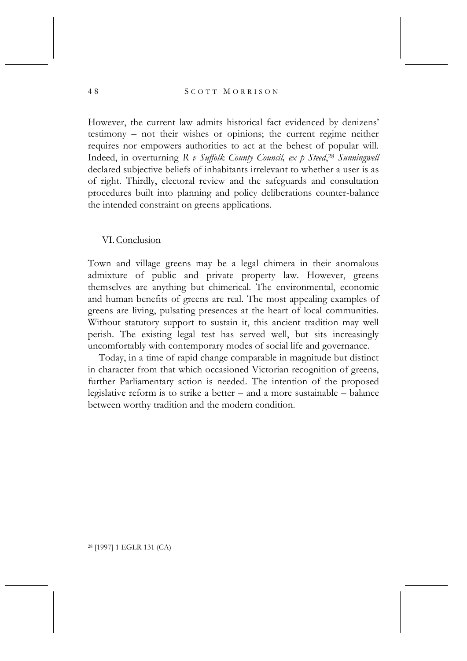## 4 8 S C O T T M O R R I S O N

However, the current law admits historical fact evidenced by denizens' testimony – not their wishes or opinions; the current regime neither requires nor empowers authorities to act at the behest of popular will. Indeed, in overturning *R v Suffolk County Council, ex p Steed*, <sup>28</sup> *Sunningwell*  declared subjective beliefs of inhabitants irrelevant to whether a user is as of right. Thirdly, electoral review and the safeguards and consultation procedures built into planning and policy deliberations counter-balance the intended constraint on greens applications.

### VI.Conclusion

Town and village greens may be a legal chimera in their anomalous admixture of public and private property law. However, greens themselves are anything but chimerical. The environmental, economic and human benefits of greens are real. The most appealing examples of greens are living, pulsating presences at the heart of local communities. Without statutory support to sustain it, this ancient tradition may well perish. The existing legal test has served well, but sits increasingly uncomfortably with contemporary modes of social life and governance.

Today, in a time of rapid change comparable in magnitude but distinct in character from that which occasioned Victorian recognition of greens, further Parliamentary action is needed. The intention of the proposed legislative reform is to strike a better – and a more sustainable – balance between worthy tradition and the modern condition.

<sup>28</sup> [1997] 1 EGLR 131 (CA)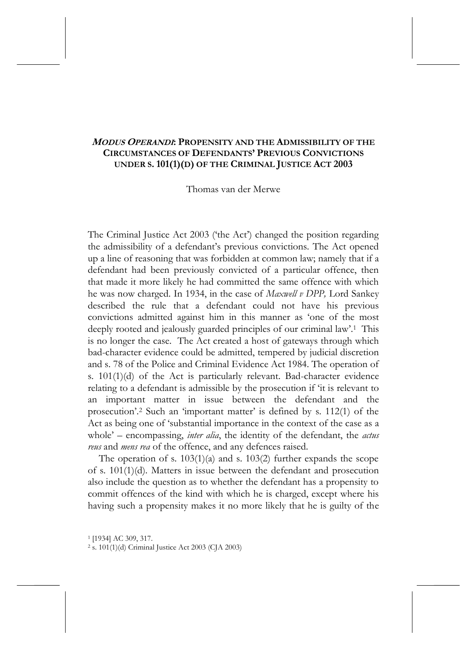# **<sup>M</sup>ODUS OPERANDI: PROPENSITY AND THE ADMISSIBILITY OF THE CIRCUMSTANCES OF DEFENDANTS' PREVIOUS CONVICTIONS UNDER S. 101(1)(D) OF THE CRIMINAL JUSTICE ACT 2003**

Thomas van der Merwe

The Criminal Justice Act 2003 ('the Act') changed the position regarding the admissibility of a defendant's previous convictions. The Act opened up a line of reasoning that was forbidden at common law; namely that if a defendant had been previously convicted of a particular offence, then that made it more likely he had committed the same offence with which he was now charged. In 1934, in the case of *Maxwell v DPP,* Lord Sankey described the rule that a defendant could not have his previous convictions admitted against him in this manner as 'one of the most deeply rooted and jealously guarded principles of our criminal law'. 1 This is no longer the case. The Act created a host of gateways through which bad-character evidence could be admitted, tempered by judicial discretion and s. 78 of the Police and Criminal Evidence Act 1984. The operation of s. 101(1)(d) of the Act is particularly relevant. Bad-character evidence relating to a defendant is admissible by the prosecution if 'it is relevant to an important matter in issue between the defendant and the prosecution'. <sup>2</sup> Such an 'important matter' is defined by s. 112(1) of the Act as being one of 'substantial importance in the context of the case as a whole' – encompassing, *inter alia*, the identity of the defendant, the *actus reus* and *mens rea* of the offence, and any defences raised.

The operation of s. 103(1)(a) and s. 103(2) further expands the scope of s. 101(1)(d). Matters in issue between the defendant and prosecution also include the question as to whether the defendant has a propensity to commit offences of the kind with which he is charged, except where his having such a propensity makes it no more likely that he is guilty of the

<sup>1</sup> [1934] AC 309, 317.

<sup>2</sup> s. 101(1)(d) Criminal Justice Act 2003 (CJA 2003)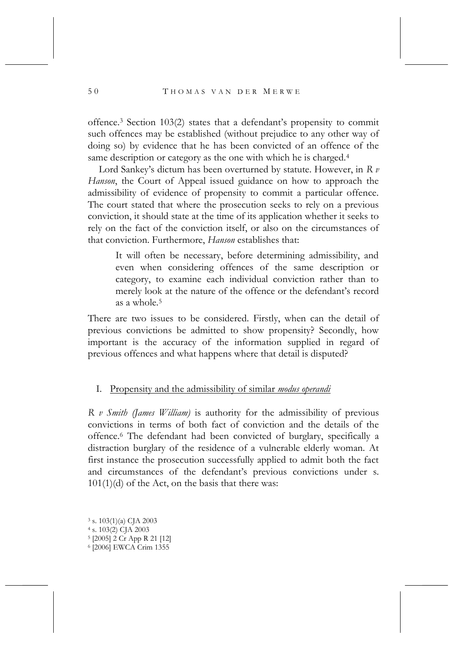### 5 0 T H O M A S V A N D E R M E R W E

offence.<sup>3</sup> Section 103(2) states that a defendant's propensity to commit such offences may be established (without prejudice to any other way of doing so) by evidence that he has been convicted of an offence of the same description or category as the one with which he is charged.<sup>4</sup>

Lord Sankey's dictum has been overturned by statute. However, in *R v Hanson*, the Court of Appeal issued guidance on how to approach the admissibility of evidence of propensity to commit a particular offence. The court stated that where the prosecution seeks to rely on a previous conviction, it should state at the time of its application whether it seeks to rely on the fact of the conviction itself, or also on the circumstances of that conviction. Furthermore, *Hanson* establishes that:

It will often be necessary, before determining admissibility, and even when considering offences of the same description or category, to examine each individual conviction rather than to merely look at the nature of the offence or the defendant's record as a whole.<sup>5</sup>

There are two issues to be considered. Firstly, when can the detail of previous convictions be admitted to show propensity? Secondly, how important is the accuracy of the information supplied in regard of previous offences and what happens where that detail is disputed?

## I. Propensity and the admissibility of similar *modus operandi*

*R v Smith (James William)* is authority for the admissibility of previous convictions in terms of both fact of conviction and the details of the offence.<sup>6</sup> The defendant had been convicted of burglary, specifically a distraction burglary of the residence of a vulnerable elderly woman. At first instance the prosecution successfully applied to admit both the fact and circumstances of the defendant's previous convictions under s.  $101(1)(d)$  of the Act, on the basis that there was:

 s. 103(1)(a) CJA 2003 s. 103(2) CJA 2003 [2005] 2 Cr App R 21 [12] [2006] EWCA Crim 1355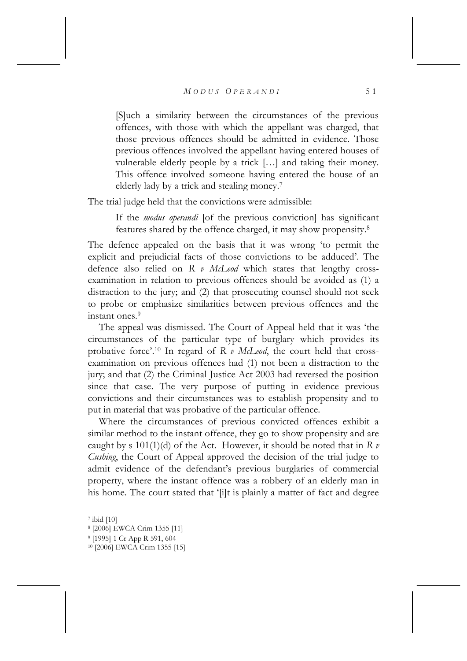[S]uch a similarity between the circumstances of the previous offences, with those with which the appellant was charged, that those previous offences should be admitted in evidence. Those previous offences involved the appellant having entered houses of vulnerable elderly people by a trick […] and taking their money. This offence involved someone having entered the house of an elderly lady by a trick and stealing money. 7

The trial judge held that the convictions were admissible:

If the *modus operandi* [of the previous conviction] has significant features shared by the offence charged, it may show propensity. 8

The defence appealed on the basis that it was wrong 'to permit the explicit and prejudicial facts of those convictions to be adduced'. The defence also relied on *R v McLeod* which states that lengthy crossexamination in relation to previous offences should be avoided as (1) a distraction to the jury; and (2) that prosecuting counsel should not seek to probe or emphasize similarities between previous offences and the instant ones.<sup>9</sup>

The appeal was dismissed. The Court of Appeal held that it was 'the circumstances of the particular type of burglary which provides its probative force'. <sup>10</sup> In regard of *R v McLeod*, the court held that crossexamination on previous offences had (1) not been a distraction to the jury; and that (2) the Criminal Justice Act 2003 had reversed the position since that case. The very purpose of putting in evidence previous convictions and their circumstances was to establish propensity and to put in material that was probative of the particular offence.

Where the circumstances of previous convicted offences exhibit a similar method to the instant offence, they go to show propensity and are caught by s 101(1)(d) of the Act. However, it should be noted that in *R v Cushing*, the Court of Appeal approved the decision of the trial judge to admit evidence of the defendant's previous burglaries of commercial property, where the instant offence was a robbery of an elderly man in his home. The court stated that '[i]t is plainly a matter of fact and degree

<sup>7</sup> ibid [10]

<sup>8</sup> [2006] EWCA Crim 1355 [11]

<sup>9</sup> [1995] 1 Cr App R 591, 604

<sup>10</sup> [2006] EWCA Crim 1355 [15]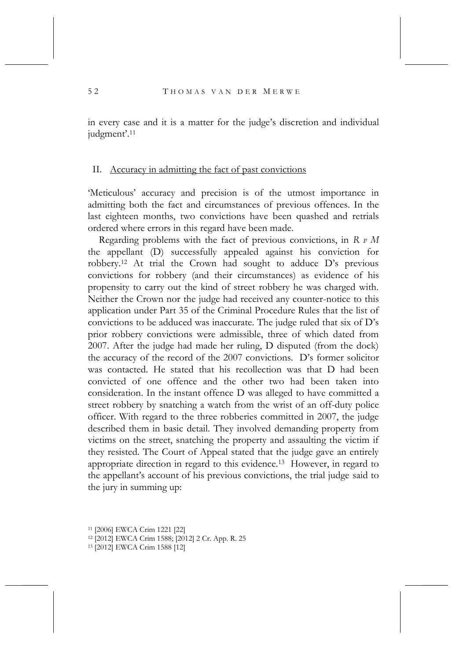### 52 THOMAS VAN DER MERWE

in every case and it is a matter for the judge's discretion and individual judgment'. 11

### II. Accuracy in admitting the fact of past convictions

'Meticulous' accuracy and precision is of the utmost importance in admitting both the fact and circumstances of previous offences. In the last eighteen months, two convictions have been quashed and retrials ordered where errors in this regard have been made.

Regarding problems with the fact of previous convictions, in *R v M* the appellant (D) successfully appealed against his conviction for robbery.<sup>12</sup> At trial the Crown had sought to adduce D's previous convictions for robbery (and their circumstances) as evidence of his propensity to carry out the kind of street robbery he was charged with. Neither the Crown nor the judge had received any counter-notice to this application under Part 35 of the Criminal Procedure Rules that the list of convictions to be adduced was inaccurate. The judge ruled that six of D's prior robbery convictions were admissible, three of which dated from 2007. After the judge had made her ruling, D disputed (from the dock) the accuracy of the record of the 2007 convictions. D's former solicitor was contacted. He stated that his recollection was that D had been convicted of one offence and the other two had been taken into consideration. In the instant offence D was alleged to have committed a street robbery by snatching a watch from the wrist of an off-duty police officer. With regard to the three robberies committed in 2007, the judge described them in basic detail. They involved demanding property from victims on the street, snatching the property and assaulting the victim if they resisted. The Court of Appeal stated that the judge gave an entirely appropriate direction in regard to this evidence.<sup>13</sup> However, in regard to the appellant's account of his previous convictions, the trial judge said to the jury in summing up:

<sup>11</sup> [2006] EWCA Crim 1221 [22]

<sup>12</sup> [2012] EWCA Crim 1588; [2012] 2 Cr. App. R. 25

<sup>13</sup> [2012] EWCA Crim 1588 [12]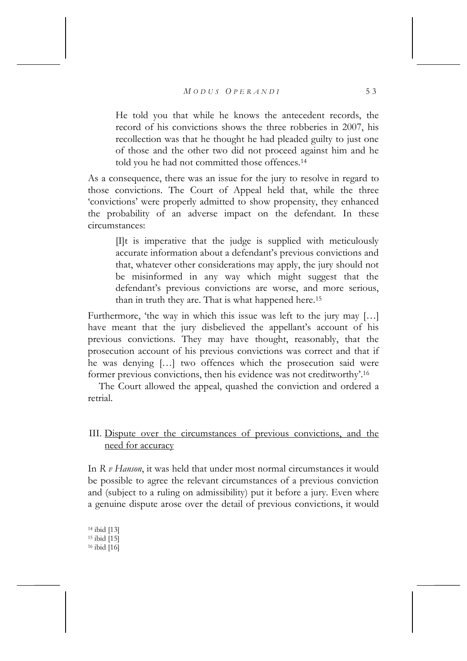He told you that while he knows the antecedent records, the record of his convictions shows the three robberies in 2007, his recollection was that he thought he had pleaded guilty to just one of those and the other two did not proceed against him and he told you he had not committed those offences.<sup>14</sup>

As a consequence, there was an issue for the jury to resolve in regard to those convictions. The Court of Appeal held that, while the three 'convictions' were properly admitted to show propensity, they enhanced the probability of an adverse impact on the defendant. In these circumstances:

[I]t is imperative that the judge is supplied with meticulously accurate information about a defendant's previous convictions and that, whatever other considerations may apply, the jury should not be misinformed in any way which might suggest that the defendant's previous convictions are worse, and more serious, than in truth they are. That is what happened here.<sup>15</sup>

Furthermore, 'the way in which this issue was left to the jury may […] have meant that the jury disbelieved the appellant's account of his previous convictions. They may have thought, reasonably, that the prosecution account of his previous convictions was correct and that if he was denying […] two offences which the prosecution said were former previous convictions, then his evidence was not creditworthy'.<sup>16</sup>

The Court allowed the appeal, quashed the conviction and ordered a retrial.

# III. Dispute over the circumstances of previous convictions, and the need for accuracy

In *R v Hanson*, it was held that under most normal circumstances it would be possible to agree the relevant circumstances of a previous conviction and (subject to a ruling on admissibility) put it before a jury. Even where a genuine dispute arose over the detail of previous convictions, it would

- <sup>14</sup> ibid [13] <sup>15</sup> ibid [15]
- <sup>16</sup> ibid [16]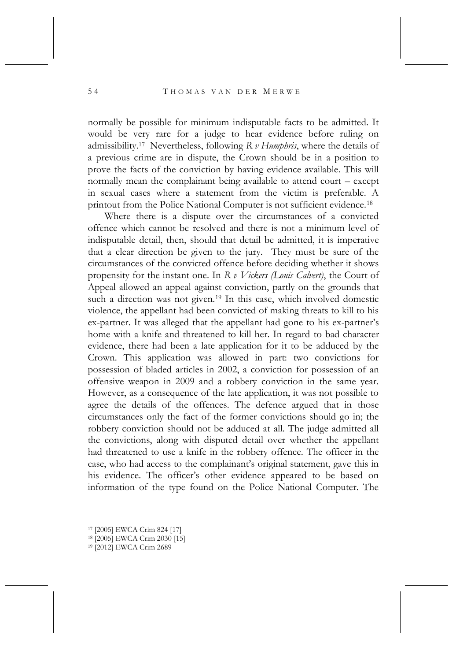#### 54 THOMAS VAN DER MERWE

normally be possible for minimum indisputable facts to be admitted. It would be very rare for a judge to hear evidence before ruling on admissibility.<sup>17</sup> Nevertheless, following *R v Humphris*, where the details of a previous crime are in dispute, the Crown should be in a position to prove the facts of the conviction by having evidence available. This will normally mean the complainant being available to attend court – except in sexual cases where a statement from the victim is preferable. A printout from the Police National Computer is not sufficient evidence.<sup>18</sup>

Where there is a dispute over the circumstances of a convicted offence which cannot be resolved and there is not a minimum level of indisputable detail, then, should that detail be admitted, it is imperative that a clear direction be given to the jury. They must be sure of the circumstances of the convicted offence before deciding whether it shows propensity for the instant one. In *R v Vickers (Louis Calvert)*, the Court of Appeal allowed an appeal against conviction, partly on the grounds that such a direction was not given.<sup>19</sup> In this case, which involved domestic violence, the appellant had been convicted of making threats to kill to his ex-partner. It was alleged that the appellant had gone to his ex-partner's home with a knife and threatened to kill her. In regard to bad character evidence, there had been a late application for it to be adduced by the Crown. This application was allowed in part: two convictions for possession of bladed articles in 2002, a conviction for possession of an offensive weapon in 2009 and a robbery conviction in the same year. However, as a consequence of the late application, it was not possible to agree the details of the offences. The defence argued that in those circumstances only the fact of the former convictions should go in; the robbery conviction should not be adduced at all. The judge admitted all the convictions, along with disputed detail over whether the appellant had threatened to use a knife in the robbery offence. The officer in the case, who had access to the complainant's original statement, gave this in his evidence. The officer's other evidence appeared to be based on information of the type found on the Police National Computer. The

- <sup>17</sup> [2005] EWCA Crim 824 [17]
- <sup>18</sup> [2005] EWCA Crim 2030 [15]
- <sup>19</sup> [2012] EWCA Crim 2689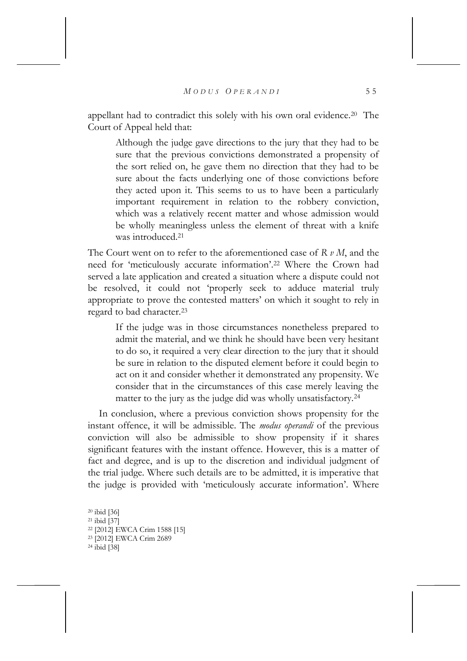#### $M$  *O D U S O P E R A N D I* 55

appellant had to contradict this solely with his own oral evidence.<sup>20</sup> The Court of Appeal held that:

Although the judge gave directions to the jury that they had to be sure that the previous convictions demonstrated a propensity of the sort relied on, he gave them no direction that they had to be sure about the facts underlying one of those convictions before they acted upon it. This seems to us to have been a particularly important requirement in relation to the robbery conviction, which was a relatively recent matter and whose admission would be wholly meaningless unless the element of threat with a knife was introduced.<sup>21</sup>

The Court went on to refer to the aforementioned case of *R v M*, and the need for 'meticulously accurate information'. <sup>22</sup> Where the Crown had served a late application and created a situation where a dispute could not be resolved, it could not 'properly seek to adduce material truly appropriate to prove the contested matters' on which it sought to rely in regard to bad character.<sup>23</sup>

If the judge was in those circumstances nonetheless prepared to admit the material, and we think he should have been very hesitant to do so, it required a very clear direction to the jury that it should be sure in relation to the disputed element before it could begin to act on it and consider whether it demonstrated any propensity. We consider that in the circumstances of this case merely leaving the matter to the jury as the judge did was wholly unsatisfactory.<sup>24</sup>

In conclusion, where a previous conviction shows propensity for the instant offence, it will be admissible. The *modus operandi* of the previous conviction will also be admissible to show propensity if it shares significant features with the instant offence. However, this is a matter of fact and degree, and is up to the discretion and individual judgment of the trial judge. Where such details are to be admitted, it is imperative that the judge is provided with 'meticulously accurate information'. Where

 ibid [36] ibid [37] [2012] EWCA Crim 1588 [15] [2012] EWCA Crim 2689 <sup>24</sup> ibid [38]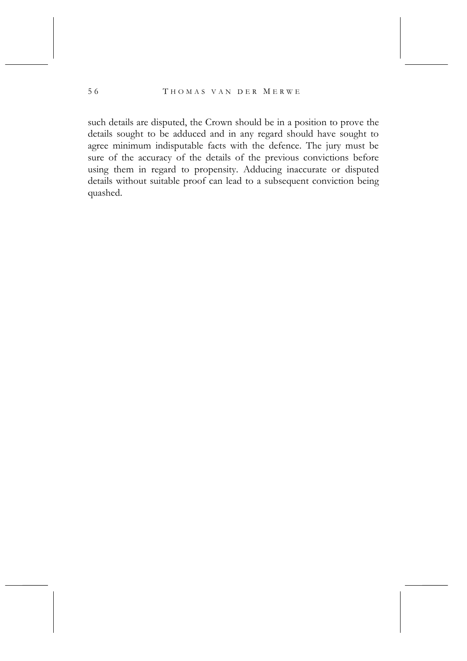### 5 6 T H O M A S V A N D E R M E R W E

such details are disputed, the Crown should be in a position to prove the details sought to be adduced and in any regard should have sought to agree minimum indisputable facts with the defence. The jury must be sure of the accuracy of the details of the previous convictions before using them in regard to propensity. Adducing inaccurate or disputed details without suitable proof can lead to a subsequent conviction being quashed.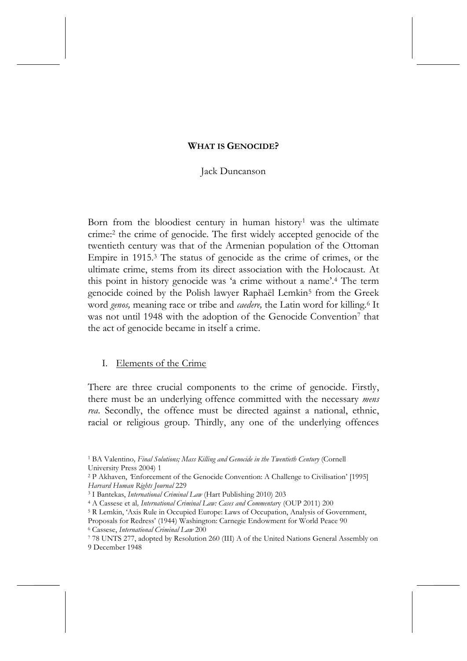# **WHAT IS GENOCIDE?**

### Jack Duncanson

Born from the bloodiest century in human history<sup>1</sup> was the ultimate crime:<sup>2</sup> the crime of genocide. The first widely accepted genocide of the twentieth century was that of the Armenian population of the Ottoman Empire in 1915.<sup>3</sup> The status of genocide as the crime of crimes, or the ultimate crime, stems from its direct association with the Holocaust. At this point in history genocide was 'a crime without a name'. <sup>4</sup> The term genocide coined by the Polish lawyer Raphaël Lemkin<sup>5</sup> from the Greek word *genos,* meaning race or tribe and *caedere,* the Latin word for killing.<sup>6</sup> It was not until 1948 with the adoption of the Genocide Convention7 that the act of genocide became in itself a crime.

## I. Elements of the Crime

There are three crucial components to the crime of genocide. Firstly, there must be an underlying offence committed with the necessary *mens rea*. Secondly, the offence must be directed against a national, ethnic, racial or religious group. Thirdly, any one of the underlying offences

<sup>1</sup> BA Valentino*, Final Solutions; Mass Killing and Genocide in the Twentieth Century* (Cornell University Press 2004) 1

<sup>2</sup> P Akhaven, *'*Enforcement of the Genocide Convention: A Challenge to Civilisation' [1995] *Harvard Human Rights Journal* 229

<sup>3</sup> I Bantekas, *International Criminal Law* (Hart Publishing 2010) 203

<sup>4</sup> A Cassese et al*, International Criminal Law: Cases and Commentar*y (OUP 2011) 200

<sup>5</sup> R Lemkin, 'Axis Rule in Occupied Europe: Laws of Occupation, Analysis of Government,

Proposals for Redress' (1944) Washington: Carnegie Endowment for World Peace 90 <sup>6</sup> Cassese, *International Criminal Law* 200

<sup>7</sup> 78 UNTS 277, adopted by Resolution 260 (III) A of the United Nations General Assembly on 9 December 1948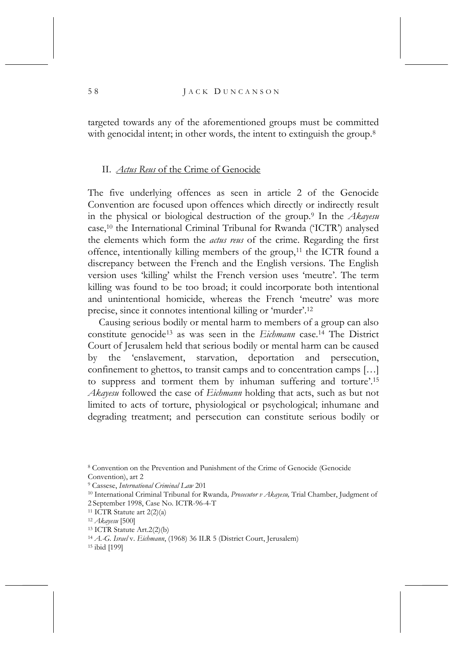### 58 J A C K D U N C A N S O N

targeted towards any of the aforementioned groups must be committed with genocidal intent; in other words, the intent to extinguish the group.<sup>8</sup>

### II. *Actus Reus* of the Crime of Genocide

The five underlying offences as seen in article 2 of the Genocide Convention are focused upon offences which directly or indirectly result in the physical or biological destruction of the group.<sup>9</sup> In the *Akayesu* case,<sup>10</sup> the International Criminal Tribunal for Rwanda ('ICTR') analysed the elements which form the *actus reus* of the crime. Regarding the first offence, intentionally killing members of the group,<sup>11</sup> the ICTR found a discrepancy between the French and the English versions. The English version uses 'killing' whilst the French version uses 'meutre'. The term killing was found to be too broad; it could incorporate both intentional and unintentional homicide, whereas the French 'meutre' was more precise, since it connotes intentional killing or 'murder'. 12

Causing serious bodily or mental harm to members of a group can also constitute genocide<sup>13</sup> as was seen in the *Eichmann* case.<sup>14</sup> The District Court of Jerusalem held that serious bodily or mental harm can be caused by the 'enslavement, starvation, deportation and persecution, confinement to ghettos, to transit camps and to concentration camps […] to suppress and torment them by inhuman suffering and torture'. 15 *Akayesu* followed the case of *Eichmann* holding that acts, such as but not limited to acts of torture, physiological or psychological; inhumane and degrading treatment; and persecution can constitute serious bodily or

<sup>8</sup> Convention on the Prevention and Punishment of the Crime of Genocide (Genocide Convention), art 2

<sup>9</sup> Cassese, *International Criminal Law* 201

<sup>10</sup> International Criminal Tribunal for Rwanda*, Prosecutor v Akayesu,* Trial Chamber, Judgment of 2 September 1998, Case No. ICTR-96-4-T

<sup>11</sup> ICTR Statute art 2(2)(a)

<sup>12</sup> *Akayesu* [500]

<sup>13</sup> ICTR Statute Art.2(2)(b)

<sup>14</sup> *A.-G. Israel* v. *Eichmann*, (1968) 36 ILR 5 (District Court, Jerusalem)

<sup>15</sup> ibid [199]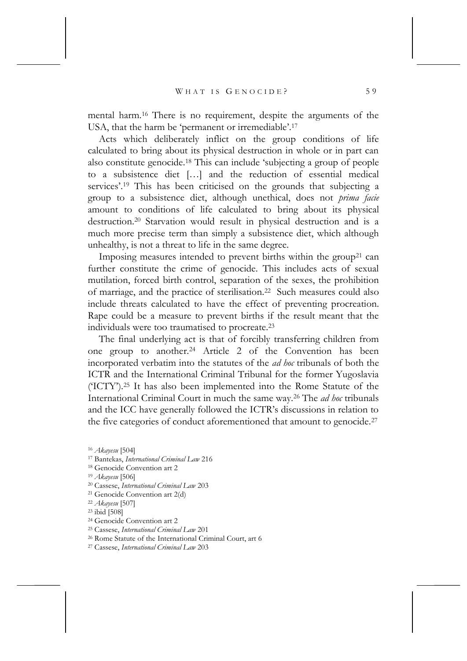#### WHAT IS  $G \text{ENOCIDE}$  ? 59

mental harm.<sup>16</sup> There is no requirement, despite the arguments of the USA, that the harm be 'permanent or irremediable'. 17

Acts which deliberately inflict on the group conditions of life calculated to bring about its physical destruction in whole or in part can also constitute genocide.<sup>18</sup> This can include 'subjecting a group of people to a subsistence diet […] and the reduction of essential medical services'.<sup>19</sup> This has been criticised on the grounds that subjecting a group to a subsistence diet, although unethical, does not *prima facie*  amount to conditions of life calculated to bring about its physical destruction.<sup>20</sup> Starvation would result in physical destruction and is a much more precise term than simply a subsistence diet, which although unhealthy, is not a threat to life in the same degree.

Imposing measures intended to prevent births within the group<sup>21</sup> can further constitute the crime of genocide. This includes acts of sexual mutilation, forced birth control, separation of the sexes, the prohibition of marriage, and the practice of sterilisation.<sup>22</sup> Such measures could also include threats calculated to have the effect of preventing procreation. Rape could be a measure to prevent births if the result meant that the individuals were too traumatised to procreate.<sup>23</sup>

The final underlying act is that of forcibly transferring children from one group to another.<sup>24</sup> Article 2 of the Convention has been incorporated verbatim into the statutes of the *ad hoc* tribunals of both the ICTR and the International Criminal Tribunal for the former Yugoslavia ('ICTY').<sup>25</sup> It has also been implemented into the Rome Statute of the International Criminal Court in much the same way.<sup>26</sup> The *ad hoc* tribunals and the ICC have generally followed the ICTR's discussions in relation to the five categories of conduct aforementioned that amount to genocide.<sup>27</sup>

<sup>16</sup> *Akayesu* [504]

<sup>17</sup> Bantekas, *International Criminal Law* 216

<sup>18</sup> Genocide Convention art 2

<sup>19</sup> *Akayesu* [506]

<sup>20</sup> Cassese, *International Criminal Law* 203

<sup>21</sup> Genocide Convention art 2(d)

<sup>22</sup> *Akayesu* [507]

<sup>23</sup> ibid [508]

<sup>24</sup> Genocide Convention art 2

<sup>25</sup> Cassese, *International Criminal Law* 201

<sup>26</sup> Rome Statute of the International Criminal Court, art 6

<sup>27</sup> Cassese, *International Criminal Law* 203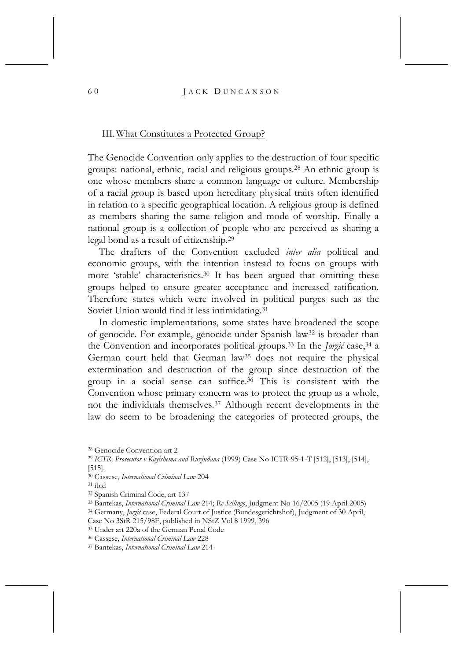### 6 0 J A C K D U N C A N S O N

#### III.What Constitutes a Protected Group?

The Genocide Convention only applies to the destruction of four specific groups: national, ethnic, racial and religious groups.<sup>28</sup> An ethnic group is one whose members share a common language or culture. Membership of a racial group is based upon hereditary physical traits often identified in relation to a specific geographical location. A religious group is defined as members sharing the same religion and mode of worship. Finally a national group is a collection of people who are perceived as sharing a legal bond as a result of citizenship.<sup>29</sup>

The drafters of the Convention excluded *inter alia* political and economic groups, with the intention instead to focus on groups with more 'stable' characteristics.<sup>30</sup> It has been argued that omitting these groups helped to ensure greater acceptance and increased ratification. Therefore states which were involved in political purges such as the Soviet Union would find it less intimidating.<sup>31</sup>

In domestic implementations, some states have broadened the scope of genocide. For example, genocide under Spanish law<sup>32</sup> is broader than the Convention and incorporates political groups.<sup>33</sup> In the *Jorgić* case,<sup>34</sup> a German court held that German law<sup>35</sup> does not require the physical extermination and destruction of the group since destruction of the group in a social sense can suffice.<sup>36</sup> This is consistent with the Convention whose primary concern was to protect the group as a whole, not the individuals themselves.<sup>37</sup> Although recent developments in the law do seem to be broadening the categories of protected groups, the

Case No 3StR 215/98F, published in NStZ Vol 8 1999, 396

<sup>35</sup> Under art 220a of the German Penal Code <sup>36</sup> Cassese, *International Criminal Law* 228

<sup>28</sup> Genocide Convention art 2

<sup>29</sup> *ICTR, Prosecutor v Kayishema and Ruzindana* (1999) Case No ICTR-95-1-T [512], [513], [514], [515].

<sup>30</sup> Cassese, *International Criminal Law* 204

 $31$  ibid

<sup>32</sup> Spanish Criminal Code, art 137

<sup>33</sup> Bantekas, *International Criminal Law* 214; *Re Scilingo*, Judgment No 16/2005 (19 April 2005) <sup>34</sup> Germany, *Jorgić* case, Federal Court of Justice (Bundesgerichtshof), Judgment of 30 April,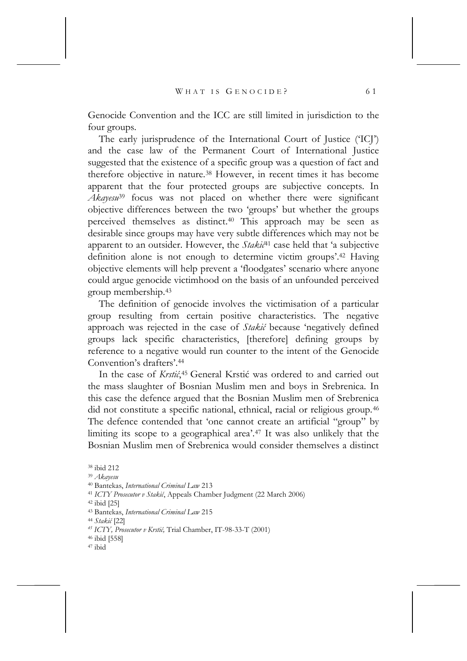#### $WHAT IS GENOCIDER?$  61

Genocide Convention and the ICC are still limited in jurisdiction to the four groups.

The early jurisprudence of the International Court of Justice ('ICJ') and the case law of the Permanent Court of International Justice suggested that the existence of a specific group was a question of fact and therefore objective in nature.<sup>38</sup> However, in recent times it has become apparent that the four protected groups are subjective concepts. In *Akayesu*<sup>39</sup> focus was not placed on whether there were significant objective differences between the two 'groups' but whether the groups perceived themselves as distinct. <sup>40</sup> This approach may be seen as desirable since groups may have very subtle differences which may not be apparent to an outsider. However, the *Stakić*<sup>41</sup> case held that 'a subjective definition alone is not enough to determine victim groups'. <sup>42</sup> Having objective elements will help prevent a 'floodgates' scenario where anyone could argue genocide victimhood on the basis of an unfounded perceived group membership.<sup>43</sup>

The definition of genocide involves the victimisation of a particular group resulting from certain positive characteristics. The negative approach was rejected in the case of *Stakić* because 'negatively defined groups lack specific characteristics, [therefore] defining groups by reference to a negative would run counter to the intent of the Genocide Convention's drafters'. 44

In the case of *Krstić*, <sup>45</sup> General Krstić was ordered to and carried out the mass slaughter of Bosnian Muslim men and boys in Srebrenica. In this case the defence argued that the Bosnian Muslim men of Srebrenica did not constitute a specific national, ethnical, racial or religious group.<sup>46</sup> The defence contended that 'one cannot create an artificial "group" by limiting its scope to a geographical area'. <sup>47</sup> It was also unlikely that the Bosnian Muslim men of Srebrenica would consider themselves a distinct

<sup>47</sup> ibid

<sup>38</sup> ibid 212

<sup>39</sup> *Akayesu*

<sup>40</sup> Bantekas, *International Criminal Law* 213

<sup>41</sup> *ICTY Prosecutor v Stakić*, Appeals Chamber Judgment (22 March 2006)

<sup>42</sup> ibid [25]

<sup>43</sup> Bantekas, *International Criminal Law* 215

<sup>44</sup> *Stakić* [22]

*<sup>45</sup> ICTY, Prosecutor v Krstić,* Trial Chamber, IT-98-33-T (2001)

<sup>46</sup> ibid [558]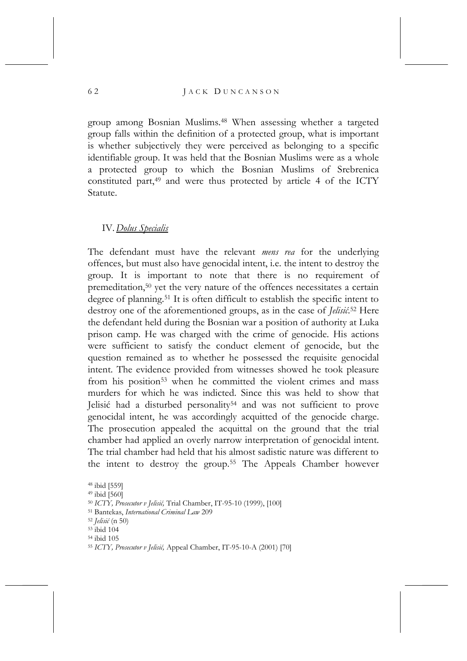### 6 2 J A C K D U N C A N S O N

group among Bosnian Muslims.<sup>48</sup> When assessing whether a targeted group falls within the definition of a protected group, what is important is whether subjectively they were perceived as belonging to a specific identifiable group. It was held that the Bosnian Muslims were as a whole a protected group to which the Bosnian Muslims of Srebrenica constituted part,<sup>49</sup> and were thus protected by article 4 of the ICTY Statute.

## IV.*Dolus Specialis*

The defendant must have the relevant *mens rea* for the underlying offences, but must also have genocidal intent, i.e. the intent to destroy the group. It is important to note that there is no requirement of premeditation,<sup>50</sup> yet the very nature of the offences necessitates a certain degree of planning.<sup>51</sup> It is often difficult to establish the specific intent to destroy one of the aforementioned groups, as in the case of *Jelisić*. <sup>52</sup> Here the defendant held during the Bosnian war a position of authority at Luka prison camp. He was charged with the crime of genocide. His actions were sufficient to satisfy the conduct element of genocide, but the question remained as to whether he possessed the requisite genocidal intent. The evidence provided from witnesses showed he took pleasure from his position<sup>53</sup> when he committed the violent crimes and mass murders for which he was indicted. Since this was held to show that Jelisić had a disturbed personality<sup>54</sup> and was not sufficient to prove genocidal intent, he was accordingly acquitted of the genocide charge. The prosecution appealed the acquittal on the ground that the trial chamber had applied an overly narrow interpretation of genocidal intent. The trial chamber had held that his almost sadistic nature was different to the intent to destroy the group.<sup>55</sup> The Appeals Chamber however

<sup>48</sup> ibid [559]

<sup>49</sup> ibid [560]

<sup>50</sup> *ICTY, Prosecutor v Jelisić,* Trial Chamber, IT-95-10 (1999), [100]

<sup>51</sup> Bantekas, *International Criminal Law* 209

<sup>52</sup> *Jelisić* (n 50)

<sup>53</sup> ibid 104

<sup>54</sup> ibid 105

<sup>55</sup> *ICTY, Prosecutor v Jelisić,* Appeal Chamber, IT-95-10-A (2001) [70]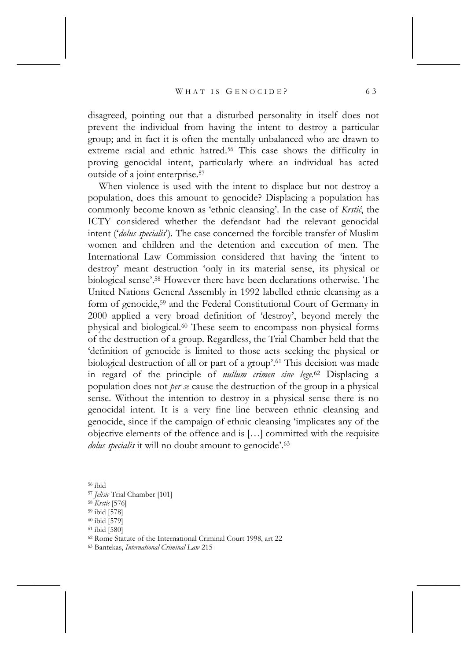#### WHAT IS  $G \text{ENOCIDE}$ ? 63

disagreed, pointing out that a disturbed personality in itself does not prevent the individual from having the intent to destroy a particular group; and in fact it is often the mentally unbalanced who are drawn to extreme racial and ethnic hatred.<sup>56</sup> This case shows the difficulty in proving genocidal intent, particularly where an individual has acted outside of a joint enterprise.<sup>57</sup>

When violence is used with the intent to displace but not destroy a population, does this amount to genocide? Displacing a population has commonly become known as 'ethnic cleansing'. In the case of *Krstić*, the ICTY considered whether the defendant had the relevant genocidal intent ('*dolus specialis*')*.* The case concerned the forcible transfer of Muslim women and children and the detention and execution of men. The International Law Commission considered that having the 'intent to destroy' meant destruction 'only in its material sense, its physical or biological sense'. <sup>58</sup> However there have been declarations otherwise. The United Nations General Assembly in 1992 labelled ethnic cleansing as a form of genocide,<sup>59</sup> and the Federal Constitutional Court of Germany in 2000 applied a very broad definition of 'destroy', beyond merely the physical and biological.<sup>60</sup> These seem to encompass non-physical forms of the destruction of a group. Regardless, the Trial Chamber held that the 'definition of genocide is limited to those acts seeking the physical or biological destruction of all or part of a group'. <sup>61</sup> This decision was made in regard of the principle of *nullum crimen sine lege.*<sup>62</sup> Displacing a population does not *per se* cause the destruction of the group in a physical sense. Without the intention to destroy in a physical sense there is no genocidal intent. It is a very fine line between ethnic cleansing and genocide, since if the campaign of ethnic cleansing 'implicates any of the objective elements of the offence and is […] committed with the requisite *dolus specialis* it will no doubt amount to genocide'. 63

<sup>56</sup> ibid

<sup>57</sup> *Jelisic* Trial Chamber [101]

<sup>58</sup> *Krstic* [576]

<sup>59</sup> ibid [578]

<sup>60</sup> ibid [579]

<sup>61</sup> ibid [580]

<sup>62</sup> Rome Statute of the International Criminal Court 1998, art 22

<sup>63</sup> Bantekas, *International Criminal Law* 215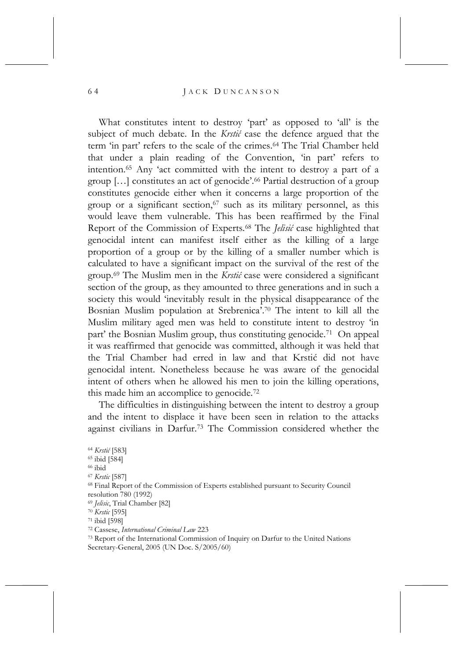#### 6 4 J A C K D U N C A N S O N

What constitutes intent to destroy 'part' as opposed to 'all' is the subject of much debate. In the *Krstić* case the defence argued that the term 'in part' refers to the scale of the crimes. <sup>64</sup> The Trial Chamber held that under a plain reading of the Convention, 'in part' refers to intention.<sup>65</sup> Any 'act committed with the intent to destroy a part of a group […] constitutes an act of genocide'. <sup>66</sup> Partial destruction of a group constitutes genocide either when it concerns a large proportion of the group or a significant section, $67$  such as its military personnel, as this would leave them vulnerable. This has been reaffirmed by the Final Report of the Commission of Experts.<sup>68</sup> The *Jelisić* case highlighted that genocidal intent can manifest itself either as the killing of a large proportion of a group or by the killing of a smaller number which is calculated to have a significant impact on the survival of the rest of the group.<sup>69</sup> The Muslim men in the *Krstić* case were considered a significant section of the group, as they amounted to three generations and in such a society this would 'inevitably result in the physical disappearance of the Bosnian Muslim population at Srebrenica'. <sup>70</sup> The intent to kill all the Muslim military aged men was held to constitute intent to destroy 'in part' the Bosnian Muslim group, thus constituting genocide.<sup>71</sup> On appeal it was reaffirmed that genocide was committed, although it was held that the Trial Chamber had erred in law and that Krstić did not have genocidal intent. Nonetheless because he was aware of the genocidal intent of others when he allowed his men to join the killing operations, this made him an accomplice to genocide.<sup>72</sup>

The difficulties in distinguishing between the intent to destroy a group and the intent to displace it have been seen in relation to the attacks against civilians in Darfur.<sup>73</sup> The Commission considered whether the

<sup>64</sup> *Krstić* [583] <sup>65</sup> ibid [584] <sup>66</sup> ibid <sup>67</sup> *Krstic* [587] <sup>68</sup> Final Report of the Commission of Experts established pursuant to Security Council resolution 780 (1992) <sup>69</sup> *Jelisic*, Trial Chamber [82] <sup>70</sup> *Krstic* [595]

<sup>71</sup> ibid [598]

<sup>72</sup> Cassese, *International Criminal Law* 223

<sup>73</sup> Report of the International Commission of Inquiry on Darfur to the United Nations Secretary-General, 2005 (UN Doc. S/2005/60)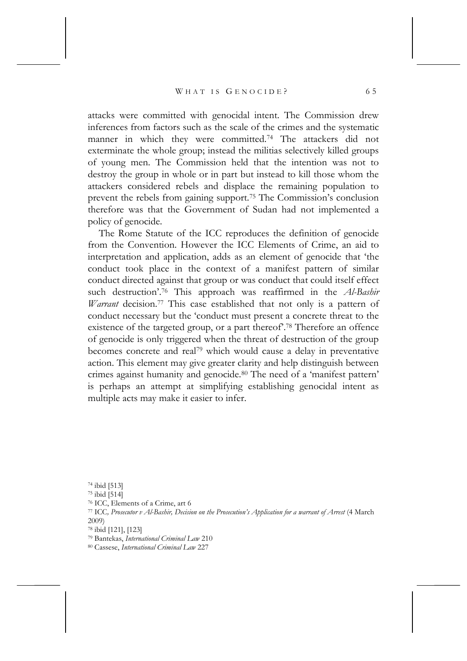### $WHAT IS GENOCIDE?$  65

attacks were committed with genocidal intent. The Commission drew inferences from factors such as the scale of the crimes and the systematic manner in which they were committed.<sup>74</sup> The attackers did not exterminate the whole group; instead the militias selectively killed groups of young men. The Commission held that the intention was not to destroy the group in whole or in part but instead to kill those whom the attackers considered rebels and displace the remaining population to prevent the rebels from gaining support.<sup>75</sup> The Commission's conclusion therefore was that the Government of Sudan had not implemented a policy of genocide.

The Rome Statute of the ICC reproduces the definition of genocide from the Convention. However the ICC Elements of Crime, an aid to interpretation and application, adds as an element of genocide that 'the conduct took place in the context of a manifest pattern of similar conduct directed against that group or was conduct that could itself effect such destruction'. <sup>76</sup> This approach was reaffirmed in the *Al-Bashir Warrant* decision.<sup>77</sup> This case established that not only is a pattern of conduct necessary but the 'conduct must present a concrete threat to the existence of the targeted group, or a part thereof.<sup>78</sup> Therefore an offence of genocide is only triggered when the threat of destruction of the group becomes concrete and real<sup>79</sup> which would cause a delay in preventative action. This element may give greater clarity and help distinguish between crimes against humanity and genocide.<sup>80</sup> The need of a 'manifest pattern' is perhaps an attempt at simplifying establishing genocidal intent as multiple acts may make it easier to infer.

<sup>74</sup> ibid [513]

<sup>75</sup> ibid [514]

<sup>76</sup> ICC, Elements of a Crime, art 6

<sup>77</sup> ICC*, Prosecutor v Al-Bashir, Decision on the Prosecution's Application for a warrant of Arrest* (4 March 2009)

<sup>78</sup> ibid [121], [123]

<sup>79</sup> Bantekas, *International Criminal Law* 210

<sup>80</sup> Cassese, *International Criminal Law* 227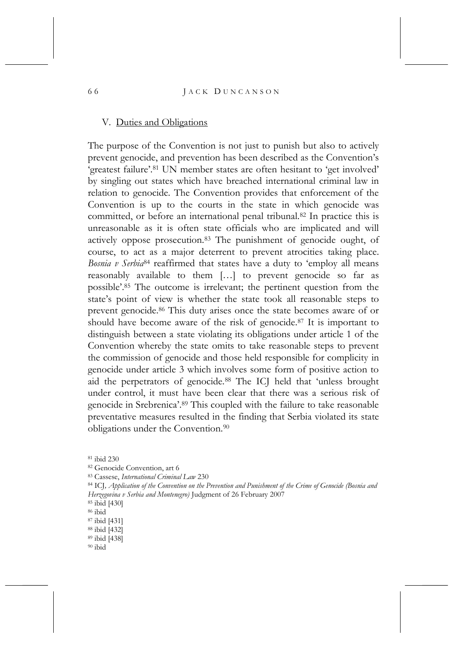### 6 6 J A C K D U N C A N S O N

## V. Duties and Obligations

The purpose of the Convention is not just to punish but also to actively prevent genocide, and prevention has been described as the Convention's 'greatest failure'. <sup>81</sup> UN member states are often hesitant to 'get involved' by singling out states which have breached international criminal law in relation to genocide. The Convention provides that enforcement of the Convention is up to the courts in the state in which genocide was committed, or before an international penal tribunal.<sup>82</sup> In practice this is unreasonable as it is often state officials who are implicated and will actively oppose prosecution.<sup>83</sup> The punishment of genocide ought, of course, to act as a major deterrent to prevent atrocities taking place. *Bosnia v Serbia*<sup>84</sup> reaffirmed that states have a duty to 'employ all means reasonably available to them […] to prevent genocide so far as possible'. <sup>85</sup> The outcome is irrelevant; the pertinent question from the state's point of view is whether the state took all reasonable steps to prevent genocide. <sup>86</sup> This duty arises once the state becomes aware of or should have become aware of the risk of genocide.<sup>87</sup> It is important to distinguish between a state violating its obligations under article 1 of the Convention whereby the state omits to take reasonable steps to prevent the commission of genocide and those held responsible for complicity in genocide under article 3 which involves some form of positive action to aid the perpetrators of genocide.<sup>88</sup> The ICJ held that 'unless brought under control, it must have been clear that there was a serious risk of genocide in Srebrenica'. <sup>89</sup> This coupled with the failure to take reasonable preventative measures resulted in the finding that Serbia violated its state obligations under the Convention.<sup>90</sup>

<sup>81</sup> ibid 230

<sup>82</sup> Genocide Convention, art 6

<sup>83</sup> Cassese, *International Criminal Law* 230

<sup>84</sup> ICJ*, Application of the Convention on the Prevention and Punishment of the Crime of Genocide (Bosnia and Herzegovina v Serbia and Montenegro)* Judgment of 26 February 2007

<sup>85</sup> ibid [430]

<sup>86</sup> ibid

<sup>87</sup> ibid [431]

<sup>88</sup> ibid [432]

<sup>89</sup> ibid [438]

<sup>90</sup> ibid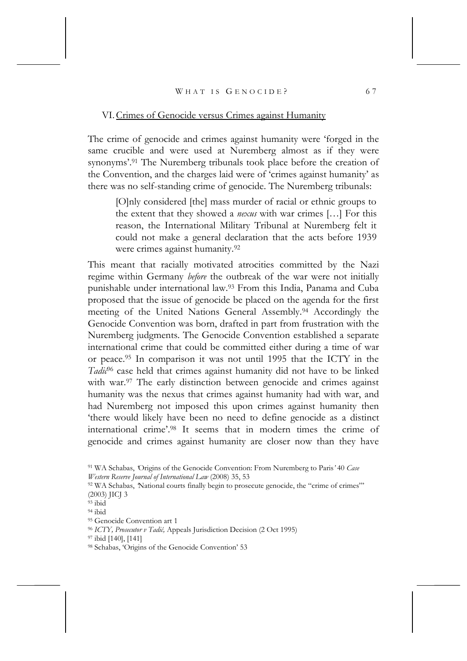### WHAT IS  $G \text{ENOCIDE}$ ? 67

### VI.Crimes of Genocide versus Crimes against Humanity

The crime of genocide and crimes against humanity were 'forged in the same crucible and were used at Nuremberg almost as if they were synonyms'. <sup>91</sup> The Nuremberg tribunals took place before the creation of the Convention, and the charges laid were of 'crimes against humanity' as there was no self-standing crime of genocide. The Nuremberg tribunals:

[O]nly considered [the] mass murder of racial or ethnic groups to the extent that they showed a *nexus* with war crimes […] For this reason, the International Military Tribunal at Nuremberg felt it could not make a general declaration that the acts before 1939 were crimes against humanity.<sup>92</sup>

This meant that racially motivated atrocities committed by the Nazi regime within Germany *before* the outbreak of the war were not initially punishable under international law.<sup>93</sup> From this India, Panama and Cuba proposed that the issue of genocide be placed on the agenda for the first meeting of the United Nations General Assembly.<sup>94</sup> Accordingly the Genocide Convention was born, drafted in part from frustration with the Nuremberg judgments. The Genocide Convention established a separate international crime that could be committed either during a time of war or peace.<sup>95</sup> In comparison it was not until 1995 that the ICTY in the *Tadić*<sup>96</sup> case held that crimes against humanity did not have to be linked with war.<sup>97</sup> The early distinction between genocide and crimes against humanity was the nexus that crimes against humanity had with war, and had Nuremberg not imposed this upon crimes against humanity then 'there would likely have been no need to define genocide as a distinct international crime'. <sup>98</sup> It seems that in modern times the crime of genocide and crimes against humanity are closer now than they have

<sup>97</sup> ibid [140], [141]

<sup>91</sup> WA Schabas, *'*Origins of the Genocide Convention: From Nuremberg to Paris*'* 40 *Case Western Reserve Journal of International Law* (2008) 35, 53

<sup>92</sup> WA Schabas, *'*National courts finally begin to prosecute genocide, the "crime of crimes"' (2003) JICJ 3

<sup>93</sup> ibid

<sup>94</sup> ibid

<sup>95</sup> Genocide Convention art 1

<sup>96</sup> *ICTY, Prosecutor v Tadić,* Appeals Jurisdiction Decision (2 Oct 1995)

<sup>98</sup> Schabas, 'Origins of the Genocide Convention' 53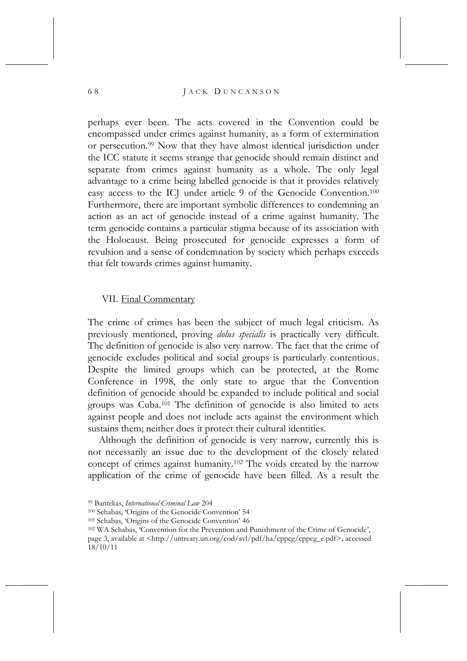#### 6 8 J A C K D U N C A N S O N

perhaps ever been. The acts covered in the Convention could be encompassed under crimes against humanity, as a form of extermination or persecution.<sup>99</sup> Now that they have almost identical jurisdiction under the ICC statute it seems strange that genocide should remain distinct and separate from crimes against humanity as a whole. The only legal advantage to a crime being labelled genocide is that it provides relatively easy access to the ICJ under article 9 of the Genocide Convention.<sup>100</sup> Furthermore, there are important symbolic differences to condemning an action as an act of genocide instead of a crime against humanity. The term genocide contains a particular stigma because of its association with the Holocaust. Being prosecuted for genocide expresses a form of revulsion and a sense of condemnation by society which perhaps exceeds that felt towards crimes against humanity.

### VII. Final Commentary

The crime of crimes has been the subject of much legal criticism. As previously mentioned, proving *dolus specialis* is practically very difficult. The definition of genocide is also very narrow. The fact that the crime of genocide excludes political and social groups is particularly contentious. Despite the limited groups which can be protected, at the Rome Conference in 1998, the only state to argue that the Convention definition of genocide should be expanded to include political and social groups was Cuba.<sup>101</sup> The definition of genocide is also limited to acts against people and does not include acts against the environment which sustains them; neither does it protect their cultural identities.

Although the definition of genocide is very narrow, currently this is not necessarily an issue due to the development of the closely related concept of crimes against humanity.<sup>102</sup> The voids created by the narrow application of the crime of genocide have been filled. As a result the

<sup>100</sup> Schabas, 'Origins of the Genocide Convention' 54

<sup>99</sup> Bantekas, *International Criminal Law* 204

<sup>101</sup> Schabas, 'Origins of the Genocide Convention' 46

<sup>102</sup> WA Schabas, 'Convention for the Prevention and Punishment of the Crime of Genocide', page 3, available at <http://untreaty.un.org/cod/avl/pdf/ha/cppcg/cppcg\_e.pdf>, accessed 18/10/11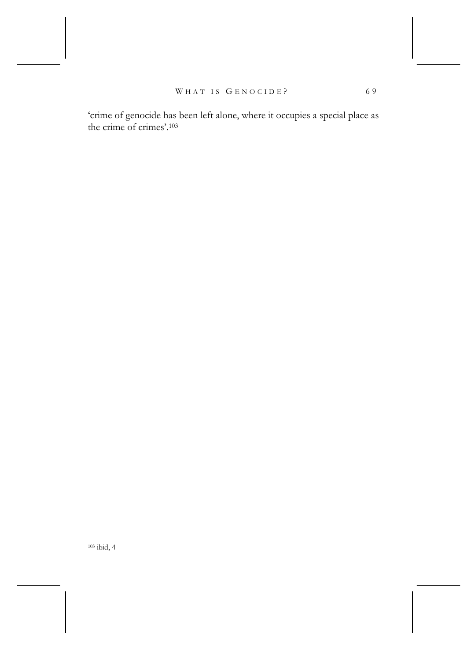# WHAT IS GENOCIDE? 69

'crime of genocide has been left alone, where it occupies a special place as the crime of crimes'. 103

<sup>103</sup> ibid, 4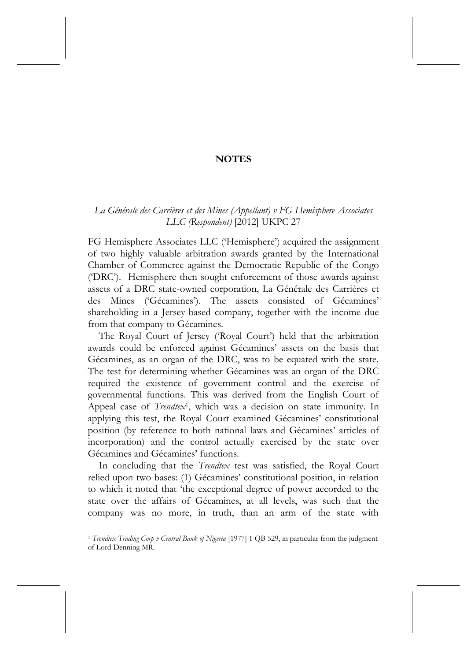### **NOTES**

# *La Générale des Carrières et des Mines (Appellant) v FG Hemisphere Associates LLC (Respondent)* [2012] UKPC 27

FG Hemisphere Associates LLC ('Hemisphere') acquired the assignment of two highly valuable arbitration awards granted by the International Chamber of Commerce against the Democratic Republic of the Congo ('DRC'). Hemisphere then sought enforcement of those awards against assets of a DRC state-owned corporation, La Générale des Carrières et des Mines ('Gécamines'). The assets consisted of Gécamines' shareholding in a Jersey-based company, together with the income due from that company to Gécamines.

The Royal Court of Jersey ('Royal Court') held that the arbitration awards could be enforced against Gécamines' assets on the basis that Gécamines, as an organ of the DRC, was to be equated with the state. The test for determining whether Gécamines was an organ of the DRC required the existence of government control and the exercise of governmental functions. This was derived from the English Court of Appeal case of *Trendtex*<sup>1</sup> , which was a decision on state immunity. In applying this test, the Royal Court examined Gécamines' constitutional position (by reference to both national laws and Gécamines' articles of incorporation) and the control actually exercised by the state over Gécamines and Gécamines' functions.

In concluding that the *Trendtex* test was satisfied, the Royal Court relied upon two bases: (1) Gécamines' constitutional position, in relation to which it noted that 'the exceptional degree of power accorded to the state over the affairs of Gécamines, at all levels, was such that the company was no more, in truth, than an arm of the state with

<sup>1</sup> *Trendtex Trading Corp v Central Bank of Nigeria* [1977] 1 QB 529, in particular from the judgment of Lord Denning MR.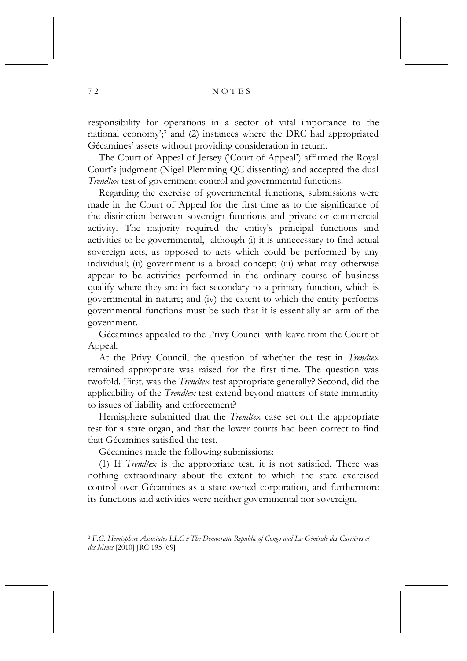## 7 2 N O T E S

responsibility for operations in a sector of vital importance to the national economy'; <sup>2</sup> and (2) instances where the DRC had appropriated Gécamines' assets without providing consideration in return.

The Court of Appeal of Jersey ('Court of Appeal') affirmed the Royal Court's judgment (Nigel Plemming QC dissenting) and accepted the dual *Trendtex* test of government control and governmental functions.

Regarding the exercise of governmental functions, submissions were made in the Court of Appeal for the first time as to the significance of the distinction between sovereign functions and private or commercial activity. The majority required the entity's principal functions and activities to be governmental, although (i) it is unnecessary to find actual sovereign acts, as opposed to acts which could be performed by any individual; (ii) government is a broad concept; (iii) what may otherwise appear to be activities performed in the ordinary course of business qualify where they are in fact secondary to a primary function, which is governmental in nature; and (iv) the extent to which the entity performs governmental functions must be such that it is essentially an arm of the government.

Gécamines appealed to the Privy Council with leave from the Court of Appeal.

At the Privy Council, the question of whether the test in *Trendtex* remained appropriate was raised for the first time. The question was twofold. First, was the *Trendtex* test appropriate generally? Second, did the applicability of the *Trendtex* test extend beyond matters of state immunity to issues of liability and enforcement?

Hemisphere submitted that the *Trendtex* case set out the appropriate test for a state organ, and that the lower courts had been correct to find that Gécamines satisfied the test.

Gécamines made the following submissions:

(1) If *Trendtex* is the appropriate test, it is not satisfied. There was nothing extraordinary about the extent to which the state exercised control over Gécamines as a state-owned corporation, and furthermore its functions and activities were neither governmental nor sovereign.

<sup>2</sup> *F.G. Hemisphere Associates LLC v The Democratic Republic of Congo and La Générale des Carrières et des Mines* [2010] JRC 195 [69]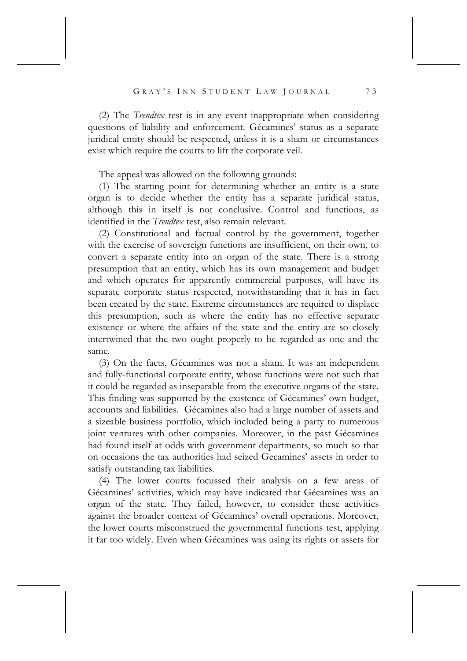(2) The *Trendtex* test is in any event inappropriate when considering questions of liability and enforcement. Gécamines' status as a separate juridical entity should be respected, unless it is a sham or circumstances exist which require the courts to lift the corporate veil.

The appeal was allowed on the following grounds:

(1) The starting point for determining whether an entity is a state organ is to decide whether the entity has a separate juridical status, although this in itself is not conclusive. Control and functions, as identified in the *Trendtex* test, also remain relevant.

(2) Constitutional and factual control by the government, together with the exercise of sovereign functions are insufficient, on their own, to convert a separate entity into an organ of the state. There is a strong presumption that an entity, which has its own management and budget and which operates for apparently commercial purposes, will have its separate corporate status respected, notwithstanding that it has in fact been created by the state. Extreme circumstances are required to displace this presumption, such as where the entity has no effective separate existence or where the affairs of the state and the entity are so closely intertwined that the two ought properly to be regarded as one and the same.

(3) On the facts, Gécamines was not a sham. It was an independent and fully-functional corporate entity, whose functions were not such that it could be regarded as inseparable from the executive organs of the state. This finding was supported by the existence of Gécamines' own budget, accounts and liabilities. Gécamines also had a large number of assets and a sizeable business portfolio, which included being a party to numerous joint ventures with other companies. Moreover, in the past Gécamines had found itself at odds with government departments, so much so that on occasions the tax authorities had seized Gecamines' assets in order to satisfy outstanding tax liabilities.

(4) The lower courts focussed their analysis on a few areas of Gécamines' activities, which may have indicated that Gécamines was an organ of the state. They failed, however, to consider these activities against the broader context of Gécamines' overall operations. Moreover, the lower courts misconstrued the governmental functions test, applying it far too widely. Even when Gécamines was using its rights or assets for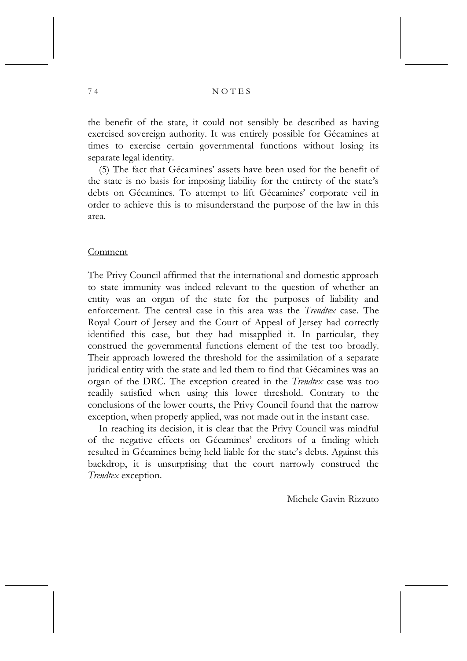## 7 4 N O T E S

the benefit of the state, it could not sensibly be described as having exercised sovereign authority. It was entirely possible for Gécamines at times to exercise certain governmental functions without losing its separate legal identity.

(5) The fact that Gécamines' assets have been used for the benefit of the state is no basis for imposing liability for the entirety of the state's debts on Gécamines. To attempt to lift Gécamines' corporate veil in order to achieve this is to misunderstand the purpose of the law in this area.

### **Comment**

The Privy Council affirmed that the international and domestic approach to state immunity was indeed relevant to the question of whether an entity was an organ of the state for the purposes of liability and enforcement. The central case in this area was the *Trendtex* case. The Royal Court of Jersey and the Court of Appeal of Jersey had correctly identified this case, but they had misapplied it. In particular, they construed the governmental functions element of the test too broadly. Their approach lowered the threshold for the assimilation of a separate juridical entity with the state and led them to find that Gécamines was an organ of the DRC. The exception created in the *Trendtex* case was too readily satisfied when using this lower threshold. Contrary to the conclusions of the lower courts, the Privy Council found that the narrow exception, when properly applied, was not made out in the instant case.

In reaching its decision, it is clear that the Privy Council was mindful of the negative effects on Gécamines' creditors of a finding which resulted in Gécamines being held liable for the state's debts. Against this backdrop, it is unsurprising that the court narrowly construed the *Trendtex* exception.

Michele Gavin-Rizzuto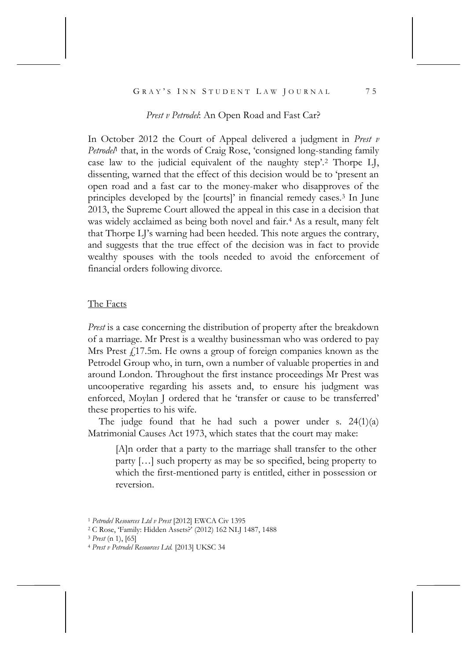# *Prest v Petrodel*: An Open Road and Fast Car?

In October 2012 the Court of Appeal delivered a judgment in *Prest v*  Petrodel<sup>1</sup> that, in the words of Craig Rose, 'consigned long-standing family case law to the judicial equivalent of the naughty step'.<sup>2</sup> Thorpe LJ, dissenting, warned that the effect of this decision would be to 'present an open road and a fast car to the money-maker who disapproves of the principles developed by the [courts]' in financial remedy cases.<sup>3</sup> In June 2013, the Supreme Court allowed the appeal in this case in a decision that was widely acclaimed as being both novel and fair.<sup>4</sup> As a result, many felt that Thorpe LJ's warning had been heeded. This note argues the contrary, and suggests that the true effect of the decision was in fact to provide wealthy spouses with the tools needed to avoid the enforcement of financial orders following divorce.

#### The Facts

*Prest* is a case concerning the distribution of property after the breakdown of a marriage. Mr Prest is a wealthy businessman who was ordered to pay Mrs Prest  $f_1$ 17.5m. He owns a group of foreign companies known as the Petrodel Group who, in turn, own a number of valuable properties in and around London. Throughout the first instance proceedings Mr Prest was uncooperative regarding his assets and, to ensure his judgment was enforced, Moylan J ordered that he 'transfer or cause to be transferred' these properties to his wife.

The judge found that he had such a power under s.  $24(1)(a)$ Matrimonial Causes Act 1973, which states that the court may make:

[A]n order that a party to the marriage shall transfer to the other party […] such property as may be so specified, being property to which the first-mentioned party is entitled, either in possession or reversion.

<sup>1</sup> *Petrodel Resources Ltd v Prest* [2012] EWCA Civ 1395

<sup>2</sup> C Rose, 'Family: Hidden Assets?' (2012) 162 NLJ 1487, 1488

<sup>3</sup> *Prest* (n 1), [65]

<sup>4</sup> *Prest v Petrodel Resources Ltd.* [2013] UKSC 34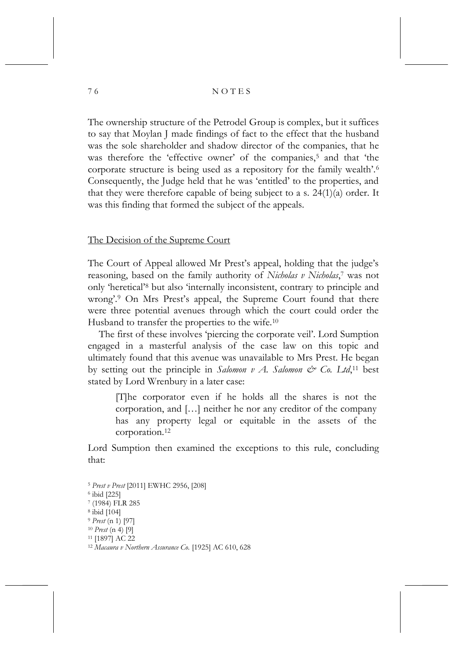## 7 6 N O T E S

The ownership structure of the Petrodel Group is complex, but it suffices to say that Moylan J made findings of fact to the effect that the husband was the sole shareholder and shadow director of the companies, that he was therefore the 'effective owner' of the companies,<sup>5</sup> and that 'the corporate structure is being used as a repository for the family wealth'.<sup>6</sup> Consequently, the Judge held that he was 'entitled' to the properties, and that they were therefore capable of being subject to a s. 24(1)(a) order. It was this finding that formed the subject of the appeals.

#### The Decision of the Supreme Court

The Court of Appeal allowed Mr Prest's appeal, holding that the judge's reasoning, based on the family authority of *Nicholas v Nicholas*, <sup>7</sup> was not only 'heretical'<sup>8</sup> but also 'internally inconsistent, contrary to principle and wrong'.<sup>9</sup> On Mrs Prest's appeal, the Supreme Court found that there were three potential avenues through which the court could order the Husband to transfer the properties to the wife.<sup>10</sup>

The first of these involves 'piercing the corporate veil'. Lord Sumption engaged in a masterful analysis of the case law on this topic and ultimately found that this avenue was unavailable to Mrs Prest. He began by setting out the principle in *Salomon v A. Salomon & Co. Ltd*,<sup>11</sup> best stated by Lord Wrenbury in a later case:

[T]he corporator even if he holds all the shares is not the corporation, and […] neither he nor any creditor of the company has any property legal or equitable in the assets of the corporation.<sup>12</sup>

Lord Sumption then examined the exceptions to this rule, concluding that:

<sup>5</sup> *Prest v Prest* [2011] EWHC 2956, [208]

<sup>6</sup> ibid [225]

<sup>7</sup> (1984) FLR 285

<sup>8</sup> ibid [104]

<sup>9</sup> *Prest* (n 1) [97]

<sup>10</sup> *Prest* (n 4) [9]

<sup>11</sup> [1897] AC 22

<sup>12</sup> *Macaura v Northern Assurance Co.* [1925] AC 610, 628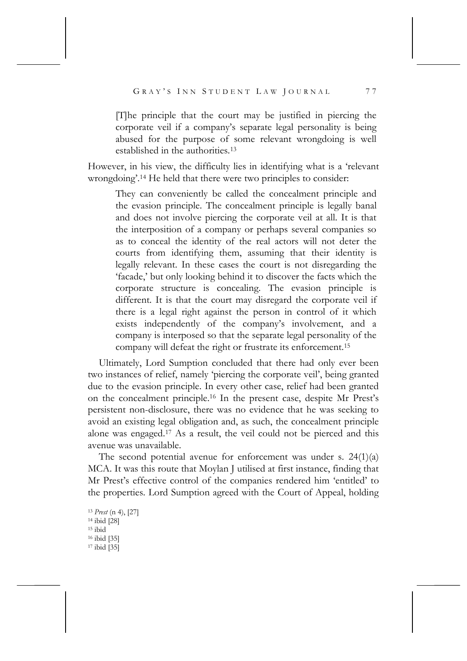[T]he principle that the court may be justified in piercing the corporate veil if a company's separate legal personality is being abused for the purpose of some relevant wrongdoing is well established in the authorities.<sup>13</sup>

However, in his view, the difficulty lies in identifying what is a 'relevant wrongdoing'.<sup>14</sup> He held that there were two principles to consider:

They can conveniently be called the concealment principle and the evasion principle. The concealment principle is legally banal and does not involve piercing the corporate veil at all. It is that the interposition of a company or perhaps several companies so as to conceal the identity of the real actors will not deter the courts from identifying them, assuming that their identity is legally relevant. In these cases the court is not disregarding the 'facade,' but only looking behind it to discover the facts which the corporate structure is concealing. The evasion principle is different. It is that the court may disregard the corporate veil if there is a legal right against the person in control of it which exists independently of the company's involvement, and a company is interposed so that the separate legal personality of the company will defeat the right or frustrate its enforcement.<sup>15</sup>

Ultimately, Lord Sumption concluded that there had only ever been two instances of relief, namely 'piercing the corporate veil', being granted due to the evasion principle. In every other case, relief had been granted on the concealment principle.<sup>16</sup> In the present case, despite Mr Prest's persistent non-disclosure, there was no evidence that he was seeking to avoid an existing legal obligation and, as such, the concealment principle alone was engaged.<sup>17</sup> As a result, the veil could not be pierced and this avenue was unavailable.

The second potential avenue for enforcement was under s.  $24(1)(a)$ MCA. It was this route that Moylan J utilised at first instance, finding that Mr Prest's effective control of the companies rendered him 'entitled' to the properties. Lord Sumption agreed with the Court of Appeal, holding

<sup>17</sup> ibid [35]

<sup>13</sup> *Prest* (n 4), [27]

<sup>14</sup> ibid [28]

<sup>15</sup> ibid

<sup>16</sup> ibid [35]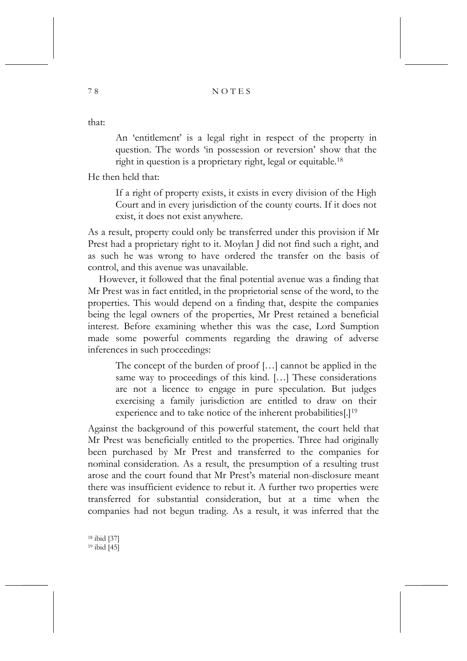## 7 8 N O T E S

that:

An 'entitlement' is a legal right in respect of the property in question. The words 'in possession or reversion' show that the right in question is a proprietary right, legal or equitable.<sup>18</sup>

He then held that:

If a right of property exists, it exists in every division of the High Court and in every jurisdiction of the county courts. If it does not exist, it does not exist anywhere.

As a result, property could only be transferred under this provision if Mr Prest had a proprietary right to it. Moylan J did not find such a right, and as such he was wrong to have ordered the transfer on the basis of control, and this avenue was unavailable.

However, it followed that the final potential avenue was a finding that Mr Prest was in fact entitled, in the proprietorial sense of the word, to the properties. This would depend on a finding that, despite the companies being the legal owners of the properties, Mr Prest retained a beneficial interest. Before examining whether this was the case, Lord Sumption made some powerful comments regarding the drawing of adverse inferences in such proceedings:

The concept of the burden of proof […] cannot be applied in the same way to proceedings of this kind. [...] These considerations are not a licence to engage in pure speculation. But judges exercising a family jurisdiction are entitled to draw on their experience and to take notice of the inherent probabilities[.]<sup>19</sup>

Against the background of this powerful statement, the court held that Mr Prest was beneficially entitled to the properties. Three had originally been purchased by Mr Prest and transferred to the companies for nominal consideration. As a result, the presumption of a resulting trust arose and the court found that Mr Prest's material non-disclosure meant there was insufficient evidence to rebut it. A further two properties were transferred for substantial consideration, but at a time when the companies had not begun trading. As a result, it was inferred that the

<sup>18</sup> ibid [37] <sup>19</sup> ibid [45]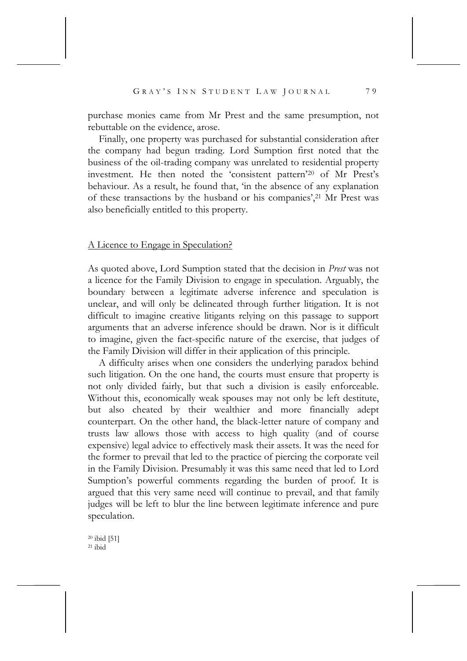purchase monies came from Mr Prest and the same presumption, not rebuttable on the evidence, arose.

Finally, one property was purchased for substantial consideration after the company had begun trading. Lord Sumption first noted that the business of the oil-trading company was unrelated to residential property investment. He then noted the 'consistent pattern'<sup>20</sup> of Mr Prest's behaviour. As a result, he found that, 'in the absence of any explanation of these transactions by the husband or his companies', <sup>21</sup> Mr Prest was also beneficially entitled to this property.

### A Licence to Engage in Speculation?

As quoted above, Lord Sumption stated that the decision in *Prest* was not a licence for the Family Division to engage in speculation. Arguably, the boundary between a legitimate adverse inference and speculation is unclear, and will only be delineated through further litigation. It is not difficult to imagine creative litigants relying on this passage to support arguments that an adverse inference should be drawn. Nor is it difficult to imagine, given the fact-specific nature of the exercise, that judges of the Family Division will differ in their application of this principle.

A difficulty arises when one considers the underlying paradox behind such litigation. On the one hand, the courts must ensure that property is not only divided fairly, but that such a division is easily enforceable. Without this, economically weak spouses may not only be left destitute, but also cheated by their wealthier and more financially adept counterpart. On the other hand, the black-letter nature of company and trusts law allows those with access to high quality (and of course expensive) legal advice to effectively mask their assets. It was the need for the former to prevail that led to the practice of piercing the corporate veil in the Family Division. Presumably it was this same need that led to Lord Sumption's powerful comments regarding the burden of proof. It is argued that this very same need will continue to prevail, and that family judges will be left to blur the line between legitimate inference and pure speculation.

<sup>20</sup> ibid [51]  $21$  ibid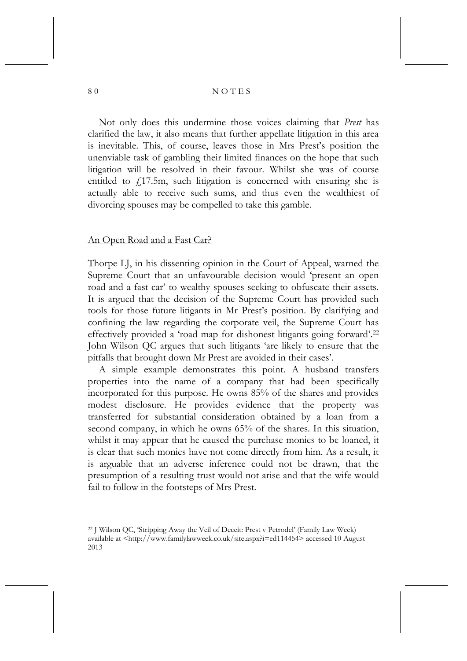### 8 0 N O T E S

Not only does this undermine those voices claiming that *Prest* has clarified the law, it also means that further appellate litigation in this area is inevitable. This, of course, leaves those in Mrs Prest's position the unenviable task of gambling their limited finances on the hope that such litigation will be resolved in their favour. Whilst she was of course entitled to  $f<sub>1</sub>17.5m$ , such litigation is concerned with ensuring she is actually able to receive such sums, and thus even the wealthiest of divorcing spouses may be compelled to take this gamble.

#### An Open Road and a Fast Car?

Thorpe LJ, in his dissenting opinion in the Court of Appeal, warned the Supreme Court that an unfavourable decision would 'present an open road and a fast car' to wealthy spouses seeking to obfuscate their assets. It is argued that the decision of the Supreme Court has provided such tools for those future litigants in Mr Prest's position. By clarifying and confining the law regarding the corporate veil, the Supreme Court has effectively provided a 'road map for dishonest litigants going forward'. 22 John Wilson QC argues that such litigants 'are likely to ensure that the pitfalls that brought down Mr Prest are avoided in their cases'.

A simple example demonstrates this point. A husband transfers properties into the name of a company that had been specifically incorporated for this purpose. He owns 85% of the shares and provides modest disclosure. He provides evidence that the property was transferred for substantial consideration obtained by a loan from a second company, in which he owns 65% of the shares. In this situation, whilst it may appear that he caused the purchase monies to be loaned, it is clear that such monies have not come directly from him. As a result, it is arguable that an adverse inference could not be drawn, that the presumption of a resulting trust would not arise and that the wife would fail to follow in the footsteps of Mrs Prest.

<sup>22</sup> J Wilson QC, 'Stripping Away the Veil of Deceit: Prest v Petrodel' (Family Law Week) available at <http://www.familylawweek.co.uk/site.aspx?i=ed114454> accessed 10 August 2013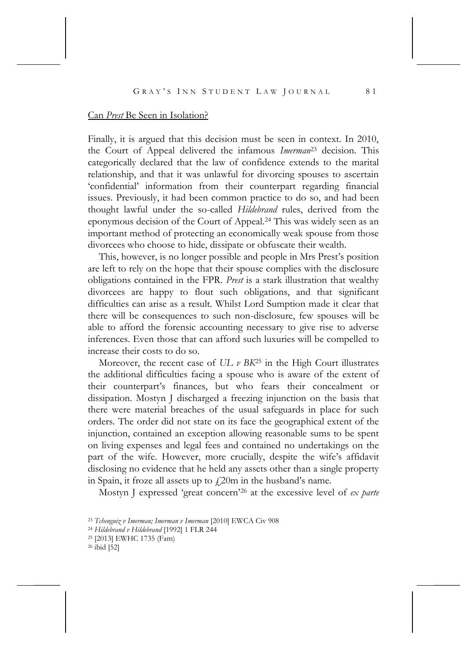### Can *Prest* Be Seen in Isolation?

Finally, it is argued that this decision must be seen in context. In 2010, the Court of Appeal delivered the infamous *Imerman*<sup>23</sup> decision. This categorically declared that the law of confidence extends to the marital relationship, and that it was unlawful for divorcing spouses to ascertain 'confidential' information from their counterpart regarding financial issues. Previously, it had been common practice to do so, and had been thought lawful under the so-called *Hildebrand* rules, derived from the eponymous decision of the Court of Appeal.<sup>24</sup> This was widely seen as an important method of protecting an economically weak spouse from those divorcees who choose to hide, dissipate or obfuscate their wealth.

This, however, is no longer possible and people in Mrs Prest's position are left to rely on the hope that their spouse complies with the disclosure obligations contained in the FPR. *Prest* is a stark illustration that wealthy divorcees are happy to flout such obligations, and that significant difficulties can arise as a result. Whilst Lord Sumption made it clear that there will be consequences to such non-disclosure, few spouses will be able to afford the forensic accounting necessary to give rise to adverse inferences. Even those that can afford such luxuries will be compelled to increase their costs to do so.

Moreover, the recent case of *UL v BK*<sup>25</sup> in the High Court illustrates the additional difficulties facing a spouse who is aware of the extent of their counterpart's finances, but who fears their concealment or dissipation. Mostyn J discharged a freezing injunction on the basis that there were material breaches of the usual safeguards in place for such orders. The order did not state on its face the geographical extent of the injunction, contained an exception allowing reasonable sums to be spent on living expenses and legal fees and contained no undertakings on the part of the wife. However, more crucially, despite the wife's affidavit disclosing no evidence that he held any assets other than a single property in Spain, it froze all assets up to  $\frac{1}{20m}$  in the husband's name.

Mostyn J expressed 'great concern'<sup>26</sup> at the excessive level of *ex parte*

<sup>23</sup> *Tchenguiz v Imerman; Imerman v Imerman* [2010] EWCA Civ 908

<sup>24</sup> *Hildebrand v Hildebrand* [1992] 1 FLR 244

<sup>25</sup> [2013] EWHC 1735 (Fam)

<sup>26</sup> ibid [52]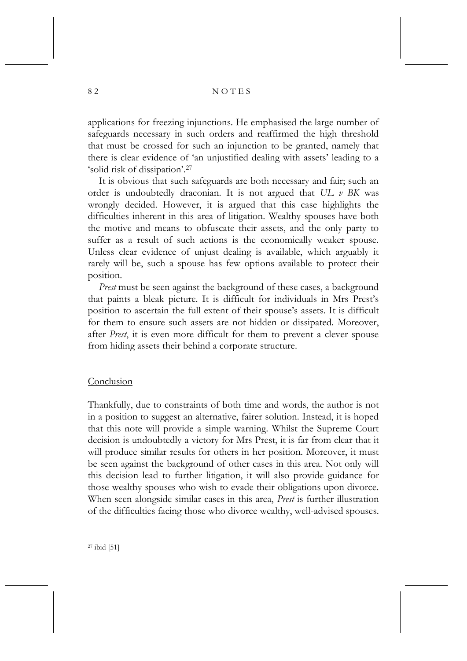## 8 2 N O T E S

applications for freezing injunctions. He emphasised the large number of safeguards necessary in such orders and reaffirmed the high threshold that must be crossed for such an injunction to be granted, namely that there is clear evidence of 'an unjustified dealing with assets' leading to a 'solid risk of dissipation'.<sup>27</sup>

It is obvious that such safeguards are both necessary and fair; such an order is undoubtedly draconian. It is not argued that *UL v BK* was wrongly decided. However, it is argued that this case highlights the difficulties inherent in this area of litigation. Wealthy spouses have both the motive and means to obfuscate their assets, and the only party to suffer as a result of such actions is the economically weaker spouse. Unless clear evidence of unjust dealing is available, which arguably it rarely will be, such a spouse has few options available to protect their position.

*Prest* must be seen against the background of these cases, a background that paints a bleak picture. It is difficult for individuals in Mrs Prest's position to ascertain the full extent of their spouse's assets. It is difficult for them to ensure such assets are not hidden or dissipated. Moreover, after *Prest*, it is even more difficult for them to prevent a clever spouse from hiding assets their behind a corporate structure.

### **Conclusion**

Thankfully, due to constraints of both time and words, the author is not in a position to suggest an alternative, fairer solution. Instead, it is hoped that this note will provide a simple warning. Whilst the Supreme Court decision is undoubtedly a victory for Mrs Prest, it is far from clear that it will produce similar results for others in her position. Moreover, it must be seen against the background of other cases in this area. Not only will this decision lead to further litigation, it will also provide guidance for those wealthy spouses who wish to evade their obligations upon divorce. When seen alongside similar cases in this area, *Prest* is further illustration of the difficulties facing those who divorce wealthy, well-advised spouses.